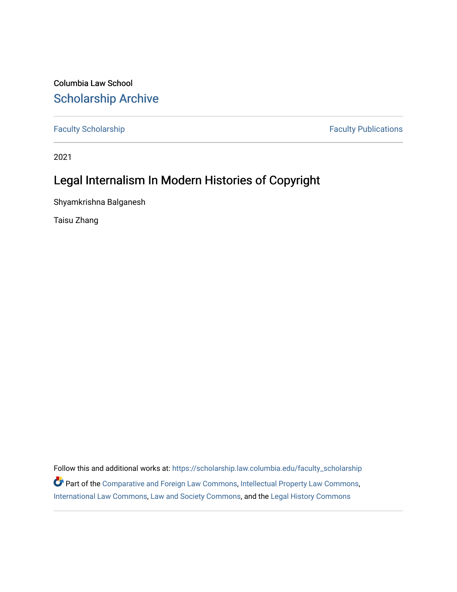Columbia Law School [Scholarship Archive](https://scholarship.law.columbia.edu/) 

[Faculty Scholarship](https://scholarship.law.columbia.edu/faculty_scholarship) **Faculty Scholarship** Faculty Publications

2021

# Legal Internalism In Modern Histories of Copyright

Shyamkrishna Balganesh

Taisu Zhang

Follow this and additional works at: [https://scholarship.law.columbia.edu/faculty\\_scholarship](https://scholarship.law.columbia.edu/faculty_scholarship?utm_source=scholarship.law.columbia.edu%2Ffaculty_scholarship%2F2775&utm_medium=PDF&utm_campaign=PDFCoverPages) Part of the [Comparative and Foreign Law Commons,](http://network.bepress.com/hgg/discipline/836?utm_source=scholarship.law.columbia.edu%2Ffaculty_scholarship%2F2775&utm_medium=PDF&utm_campaign=PDFCoverPages) [Intellectual Property Law Commons,](http://network.bepress.com/hgg/discipline/896?utm_source=scholarship.law.columbia.edu%2Ffaculty_scholarship%2F2775&utm_medium=PDF&utm_campaign=PDFCoverPages) [International Law Commons](http://network.bepress.com/hgg/discipline/609?utm_source=scholarship.law.columbia.edu%2Ffaculty_scholarship%2F2775&utm_medium=PDF&utm_campaign=PDFCoverPages), [Law and Society Commons,](http://network.bepress.com/hgg/discipline/853?utm_source=scholarship.law.columbia.edu%2Ffaculty_scholarship%2F2775&utm_medium=PDF&utm_campaign=PDFCoverPages) and the [Legal History Commons](http://network.bepress.com/hgg/discipline/904?utm_source=scholarship.law.columbia.edu%2Ffaculty_scholarship%2F2775&utm_medium=PDF&utm_campaign=PDFCoverPages)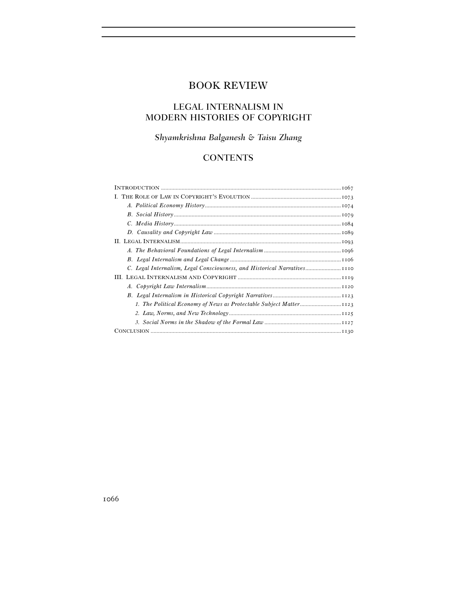# BOOK REVIEW

## LEGAL INTERNALISM IN MODERN HISTORIES OF COPYRIGHT

# *Shyamkrishna Balganesh & Taisu Zhang*

## **CONTENTS**

| C. Legal Internalism, Legal Consciousness, and Historical Narratives |
|----------------------------------------------------------------------|
|                                                                      |
|                                                                      |
|                                                                      |
|                                                                      |
|                                                                      |
|                                                                      |
|                                                                      |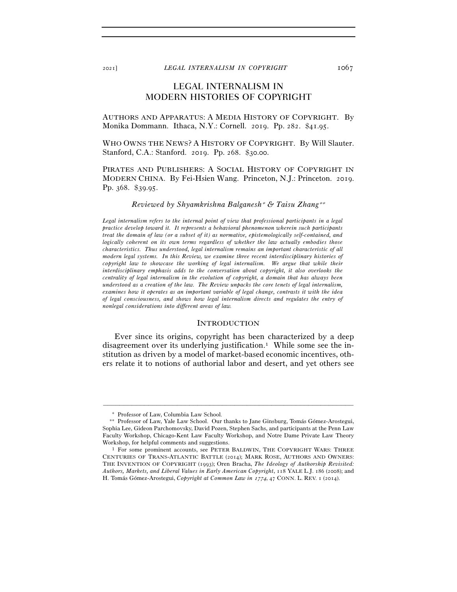<sup>2021</sup>] *LEGAL INTERNALISM IN COPYRIGHT* 1067

## LEGAL INTERNALISM IN MODERN HISTORIES OF COPYRIGHT

AUTHORS AND APPARATUS: A MEDIA HISTORY OF COPYRIGHT. By Monika Dommann. Ithaca, N.Y.: Cornell. 2019. Pp. 282. \$41.95.

WHO OWNS THE NEWS? A HISTORY OF COPYRIGHT. By Will Slauter. Stanford, C.A.: Stanford. 2019. Pp. 268. \$30.00.

PIRATES AND PUBLISHERS: A SOCIAL HISTORY OF COPYRIGHT IN MODERN CHINA. By Fei-Hsien Wang. Princeton, N.J.: Princeton. 2019. Pp. 368. \$39.95.

### *Reviewed by Shyamkrishna Balganesh*∗ *& Taisu Zhang*∗∗

*Legal internalism refers to the internal point of view that professional participants in a legal practice develop toward it. It represents a behavioral phenomenon wherein such participants treat the domain of law (or a subset of it) as normative, epistemologically self-contained, and logically coherent on its own terms regardless of whether the law actually embodies those characteristics. Thus understood, legal internalism remains an important characteristic of all modern legal systems. In this Review, we examine three recent interdisciplinary histories of copyright law to showcase the working of legal internalism. We argue that while their interdisciplinary emphasis adds to the conversation about copyright, it also overlooks the centrality of legal internalism in the evolution of copyright, a domain that has always been understood as a creation of the law. The Review unpacks the core tenets of legal internalism, examines how it operates as an important variable of legal change, contrasts it with the idea of legal consciousness, and shows how legal internalism directs and regulates the entry of nonlegal considerations into different areas of law.* 

## **INTRODUCTION**

Ever since its origins, copyright has been characterized by a deep disagreement over its underlying justification.1 While some see the institution as driven by a model of market-based economic incentives, others relate it to notions of authorial labor and desert, and yet others see

<sup>∗</sup> Professor of Law, Columbia Law School.

<sup>∗∗</sup> Professor of Law, Yale Law School. Our thanks to Jane Ginsburg, Tomás Gómez-Arostegui, Sophia Lee, Gideon Parchomovsky, David Pozen, Stephen Sachs, and participants at the Penn Law Faculty Workshop, Chicago-Kent Law Faculty Workshop, and Notre Dame Private Law Theory Workshop, for helpful comments and suggestions.<br><sup>1</sup> For some prominent accounts, see PETER BALDWIN, THE COPYRIGHT WARS: THREE

CENTURIES OF TRANS-ATLANTIC BATTLE (2014); MARK ROSE, AUTHORS AND OWNERS: THE INVENTION OF COPYRIGHT (1993); Oren Bracha, *The Ideology of Authorship Revisited: Authors, Markets, and Liberal Values in Early American Copyright*, 118 YALE L.J. 186 (2008); and H. Tomás Gómez-Arostegui, *Copyright at Common Law in* 1774, 47 CONN. L. REV. 1 (2014).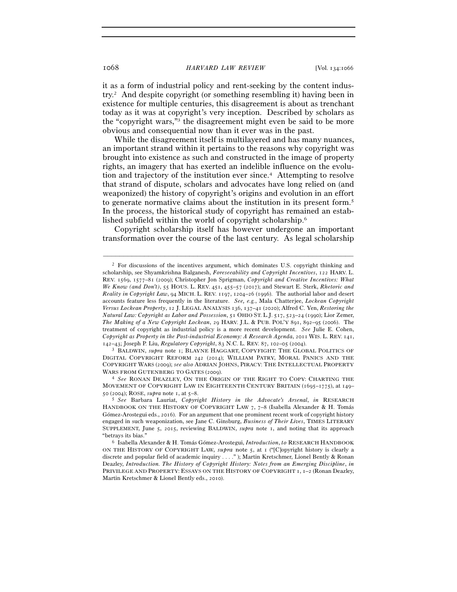it as a form of industrial policy and rent-seeking by the content industry.2 And despite copyright (or something resembling it) having been in existence for multiple centuries, this disagreement is about as trenchant today as it was at copyright's very inception. Described by scholars as the "copyright wars,"3 the disagreement might even be said to be more obvious and consequential now than it ever was in the past.

While the disagreement itself is multilayered and has many nuances, an important strand within it pertains to the reasons why copyright was brought into existence as such and constructed in the image of property rights, an imagery that has exerted an indelible influence on the evolution and trajectory of the institution ever since.4 Attempting to resolve that strand of dispute, scholars and advocates have long relied on (and weaponized) the history of copyright's origins and evolution in an effort to generate normative claims about the institution in its present form.5 In the process, the historical study of copyright has remained an established subfield within the world of copyright scholarship.6

Copyright scholarship itself has however undergone an important transformation over the course of the last century. As legal scholarship

–––––––––––––––––––––––––––––––––––––––––––––––––––––––––––––

<sup>142</sup>–43; Joseph P. Liu, *Regulatory Copyright*, 83 N.C. L. REV. 87, 102–05 (2004). 3 BALDWIN, *supra* note 1; BLAYNE HAGGART, COPYFIGHT: THE GLOBAL POLITICS OF DIGITAL COPYRIGHT REFORM 242 (2014); WILLIAM PATRY, MORAL PANICS AND THE COPYRIGHT WARS (2009); *see also* ADRIAN JOHNS, PIRACY: THE INTELLECTUAL PROPERTY WARS FROM GUTENBERG TO GATES (2009).<br><sup>4</sup> *See* RONAN DEAZLEY, ON THE ORIGIN OF THE RIGHT TO COPY: CHARTING THE

MOVEMENT OF COPYRIGHT LAW IN EIGHTEENTH CENTURY BRITAIN (1695–1775), at 149– <sup>50</sup> (2004); ROSE, *supra* note 1, at 5–<sup>8</sup>. 5 *See* Barbara Lauriat, *Copyright History in the Advocate's Arsenal*, *in* RESEARCH

<sup>2</sup> For discussions of the incentives argument, which dominates U.S. copyright thinking and scholarship, see Shyamkrishna Balganesh, *Foreseeability and Copyright Incentives*, 122 HARV. L. REV. 1569, 1577–81 (2009); Christopher Jon Sprigman, *Copyright and Creative Incentives: What We Know (and Don't)*, 55 HOUS. L. REV. 451, 455–57 (2017); and Stewart E. Sterk, *Rhetoric and Reality in Copyright Law*, 94 MICH. L. REV. 1197, 1204–26 (1996). The authorial labor and desert accounts feature less frequently in the literature. *See, e.g.*, Mala Chatterjee, *Lockean Copyright Versus Lockean Property*, 12 J. LEGAL ANALYSIS 136, 137–41 (2020); Alfred C. Yen, *Restoring the Natural Law: Copyright as Labor and Possession*, 51 OHIO ST. L.J. 517, 523–24 (1990); Lior Zemer, *The Making of a New Copyright Lockean*, 29 HARV. J.L. & PUB. POL'Y 891, 892–95 (2006). The treatment of copyright as industrial policy is a more recent development. *See* Julie E. Cohen, *Copyright as Property in the Post-industrial Economy: A Research Agenda*, 2011 WIS. L. REV. 141,

HANDBOOK ON THE HISTORY OF COPYRIGHT LAW 7, 7-8 (Isabella Alexander & H. Tomás Gómez-Arostegui eds., 2016). For an argument that one prominent recent work of copyright history engaged in such weaponization, see Jane C. Ginsburg, *Business of Their Lives*, TIMES LITERARY SUPPLEMENT, June 5, 2015, reviewing BALDWIN, *supra* note 1, and noting that its approach "betrays its bias." 6 Isabella Alexander & H. Tomás Gómez-Arostegui, *Introduction*, *to* RESEARCH HANDBOOK

ON THE HISTORY OF COPYRIGHT LAW, *supra* note 5, at 1 ("[C]opyright history is clearly a discrete and popular field of academic inquiry . . . ." ); Martin Kretschmer, Lionel Bently & Ronan Deazley, *Introduction. The History of Copyright History: Notes from an Emerging Discipline*, *in* PRIVILEGE AND PROPERTY: ESSAYS ON THE HISTORY OF COPYRIGHT 1, 1-2 (Ronan Deazley, Martin Kretschmer & Lionel Bently eds., 2010).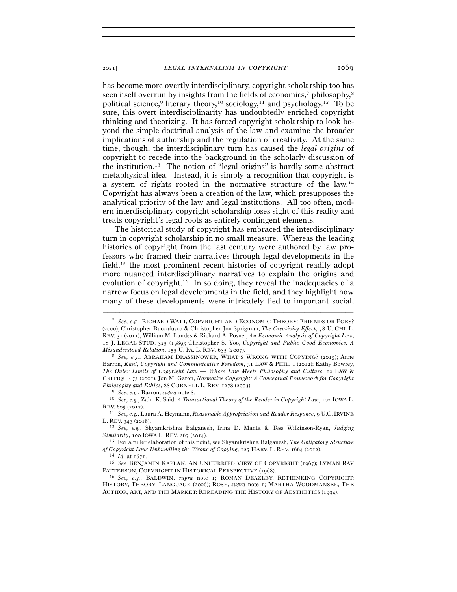has become more overtly interdisciplinary, copyright scholarship too has seen itself overrun by insights from the fields of economics,<sup>7</sup> philosophy,<sup>8</sup> political science,<sup>9</sup> literary theory,<sup>10</sup> sociology,<sup>11</sup> and psychology,<sup>12</sup> To be sure, this overt interdisciplinarity has undoubtedly enriched copyright thinking and theorizing. It has forced copyright scholarship to look beyond the simple doctrinal analysis of the law and examine the broader implications of authorship and the regulation of creativity. At the same time, though, the interdisciplinary turn has caused the *legal origins* of copyright to recede into the background in the scholarly discussion of the institution.13 The notion of "legal origins" is hardly some abstract metaphysical idea. Instead, it is simply a recognition that copyright is a system of rights rooted in the normative structure of the law.14 Copyright has always been a creation of the law, which presupposes the analytical priority of the law and legal institutions. All too often, modern interdisciplinary copyright scholarship loses sight of this reality and treats copyright's legal roots as entirely contingent elements.

The historical study of copyright has embraced the interdisciplinary turn in copyright scholarship in no small measure. Whereas the leading histories of copyright from the last century were authored by law professors who framed their narratives through legal developments in the field,15 the most prominent recent histories of copyright readily adopt more nuanced interdisciplinary narratives to explain the origins and evolution of copyright.16 In so doing, they reveal the inadequacies of a narrow focus on legal developments in the field, and they highlight how many of these developments were intricately tied to important social,

<sup>7</sup> *See, e.g.*, RICHARD WATT, COPYRIGHT AND ECONOMIC THEORY: FRIENDS OR FOES? (2000); Christopher Buccafusco & Christopher Jon Sprigman, *The Creativity Effect*, 78 U. CHI. L. REV. 31 (2011); William M. Landes & Richard A. Posner, *An Economic Analysis of Copyright Law*, 18 J. LEGAL STUD. 325 (1989); Christopher S. Yoo, *Copyright and Public Good Economics: A Misunderstood Relation*, 155 U. PA. L. REV. 635 (<sup>2007</sup>). 8 *See, e.g.*, ABRAHAM DRASSINOWER, WHAT'S WRONG WITH COPYING? (2015); Anne

Barron, *Kant, Copyright and Communicative Freedom*, 31 LAW & PHIL. 1 (2012); Kathy Bowrey, *The Outer Limits of Copyright Law — Where Law Meets Philosophy and Culture*, 12 LAW & CRITIQUE 75 (2001); Jon M. Garon, *Normative Copyright: A Conceptual Framework for Copyright Philosophy and Ethics*, <sup>88</sup> CORNELL L. REV. <sup>1278</sup> (<sup>2003</sup>). 9 *See, e.g.*, Barron, *supra* note <sup>8</sup>. 10 *See, e.g.*, Zahr K. Said, *A Transactional Theory of the Reader in Copyright Law*, 102 IOWA L.

REV. <sup>605</sup> (<sup>2017</sup>). 11 *See, e.g.*, Laura A. Heymann, *Reasonable Appropriation and Reader Response*, 9 U.C.IRVINE

L. REV. <sup>343</sup> (<sup>2018</sup>). 12 *See, e.g.*, Shyamkrishna Balganesh, Irina D. Manta & Tess Wilkinson-Ryan, *Judging* 

*Similarity*, 100 IOWA L. REV. 267 (2014).<br><sup>13</sup> For a fuller elaboration of this point, see Shyamkrishna Balganesh, *The Obligatory Structure* 

*of Copyright Law: Unbundling the Wrong of Copying*, 125 HARV. L. REV. 1664 (2012).<br><sup>14</sup> *Id.* at 1671.<br><sup>15</sup> *See* BENJAMIN KAPLAN, AN UNHURRIED VIEW OF COPYRIGHT (1967); LYMAN RAY<br>PATTERSON, COPYRIGHT IN HISTORICAL PERSPE

<sup>&</sup>lt;sup>16</sup> See, e.g., BALDWIN, *supra* note 1; RONAN DEAZLEY, RETHINKING COPYRIGHT: HISTORY, THEORY, LANGUAGE (2006); ROSE, *supra* note 1; MARTHA WOODMANSEE, THE AUTHOR, ART, AND THE MARKET: REREADING THE HISTORY OF AESTHETICS (1994).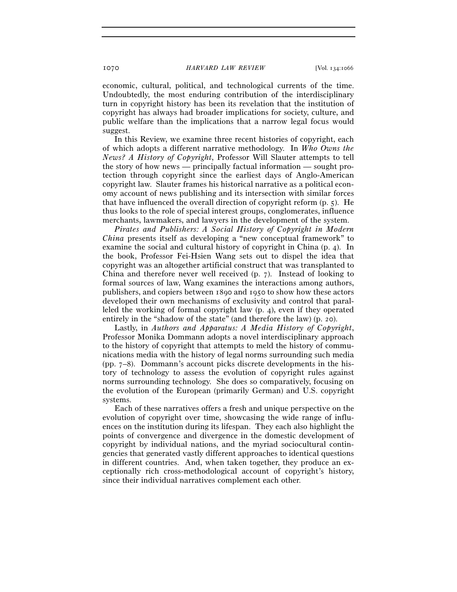economic, cultural, political, and technological currents of the time. Undoubtedly, the most enduring contribution of the interdisciplinary turn in copyright history has been its revelation that the institution of copyright has always had broader implications for society, culture, and public welfare than the implications that a narrow legal focus would suggest.

In this Review, we examine three recent histories of copyright, each of which adopts a different narrative methodology. In *Who Owns the News? A History of Copyright*, Professor Will Slauter attempts to tell the story of how news — principally factual information — sought protection through copyright since the earliest days of Anglo-American copyright law. Slauter frames his historical narrative as a political economy account of news publishing and its intersection with similar forces that have influenced the overall direction of copyright reform (p. 5). He thus looks to the role of special interest groups, conglomerates, influence merchants, lawmakers, and lawyers in the development of the system.

*Pirates and Publishers: A Social History of Copyright in Modern China* presents itself as developing a "new conceptual framework" to examine the social and cultural history of copyright in China (p. 4). In the book, Professor Fei-Hsien Wang sets out to dispel the idea that copyright was an altogether artificial construct that was transplanted to China and therefore never well received (p. 7). Instead of looking to formal sources of law, Wang examines the interactions among authors, publishers, and copiers between 1890 and 1950 to show how these actors developed their own mechanisms of exclusivity and control that paralleled the working of formal copyright law (p. 4), even if they operated entirely in the "shadow of the state" (and therefore the law) (p. 20).

Lastly, in *Authors and Apparatus: A Media History of Copyright*, Professor Monika Dommann adopts a novel interdisciplinary approach to the history of copyright that attempts to meld the history of communications media with the history of legal norms surrounding such media (pp. 7–8). Dommann's account picks discrete developments in the history of technology to assess the evolution of copyright rules against norms surrounding technology. She does so comparatively, focusing on the evolution of the European (primarily German) and U.S. copyright systems.

Each of these narratives offers a fresh and unique perspective on the evolution of copyright over time, showcasing the wide range of influences on the institution during its lifespan. They each also highlight the points of convergence and divergence in the domestic development of copyright by individual nations, and the myriad sociocultural contingencies that generated vastly different approaches to identical questions in different countries. And, when taken together, they produce an exceptionally rich cross-methodological account of copyright's history, since their individual narratives complement each other.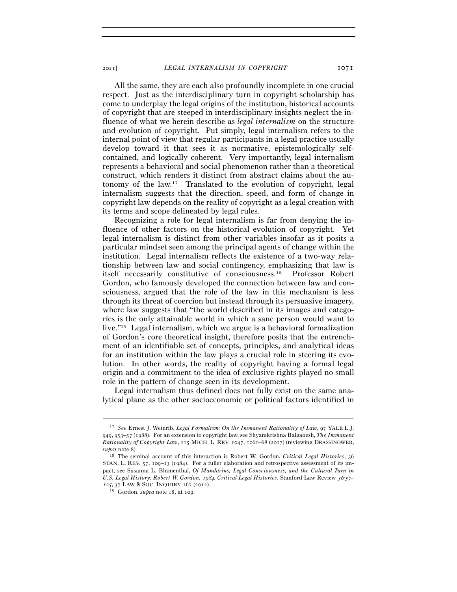All the same, they are each also profoundly incomplete in one crucial respect. Just as the interdisciplinary turn in copyright scholarship has come to underplay the legal origins of the institution, historical accounts of copyright that are steeped in interdisciplinary insights neglect the influence of what we herein describe as *legal internalism* on the structure and evolution of copyright. Put simply, legal internalism refers to the internal point of view that regular participants in a legal practice usually develop toward it that sees it as normative, epistemologically selfcontained, and logically coherent. Very importantly, legal internalism represents a behavioral and social phenomenon rather than a theoretical construct, which renders it distinct from abstract claims about the autonomy of the law.17 Translated to the evolution of copyright, legal internalism suggests that the direction, speed, and form of change in copyright law depends on the reality of copyright as a legal creation with its terms and scope delineated by legal rules.

Recognizing a role for legal internalism is far from denying the influence of other factors on the historical evolution of copyright. Yet legal internalism is distinct from other variables insofar as it posits a particular mindset seen among the principal agents of change within the institution. Legal internalism reflects the existence of a two-way relationship between law and social contingency, emphasizing that law is itself necessarily constitutive of consciousness.18 Professor Robert Gordon, who famously developed the connection between law and consciousness, argued that the role of the law in this mechanism is less through its threat of coercion but instead through its persuasive imagery, where law suggests that "the world described in its images and categories is the only attainable world in which a sane person would want to live."19 Legal internalism, which we argue is a behavioral formalization of Gordon's core theoretical insight, therefore posits that the entrenchment of an identifiable set of concepts, principles, and analytical ideas for an institution within the law plays a crucial role in steering its evolution. In other words, the reality of copyright having a formal legal origin and a commitment to the idea of exclusive rights played no small role in the pattern of change seen in its development.

Legal internalism thus defined does not fully exist on the same analytical plane as the other socioeconomic or political factors identified in

<sup>17</sup> *See* Ernest J. Weinrib, *Legal Formalism: On the Immanent Rationality of Law*, 97 YALE L.J. 949, 953–57 (1988). For an extension to copyright law, see Shyamkrishna Balganesh, *The Immanent Rationality of Copyright Law*, 115 MICH. L. REV. 1047, 1061–68 (2017) (reviewing DRASSINOWER,

*supra* note <sup>8</sup>). 18 The seminal account of this interaction is Robert W. Gordon, *Critical Legal Histories*, <sup>36</sup> STAN. L. REV. 57, 109–13 (1984). For a fuller elaboration and retrospective assessment of its impact, see Susanna L. Blumenthal, *Of Mandarins, Legal Consciousness, and the Cultural Turn in U.S. Legal History: Robert W. Gordon.* 1984*. Critical Legal Histories.* Stanford Law Review 36*:*57*–* <sup>125</sup>, 37 LAW & SOC. INQUIRY <sup>167</sup> (<sup>2012</sup>). 19 Gordon, *supra* note 18, at 109.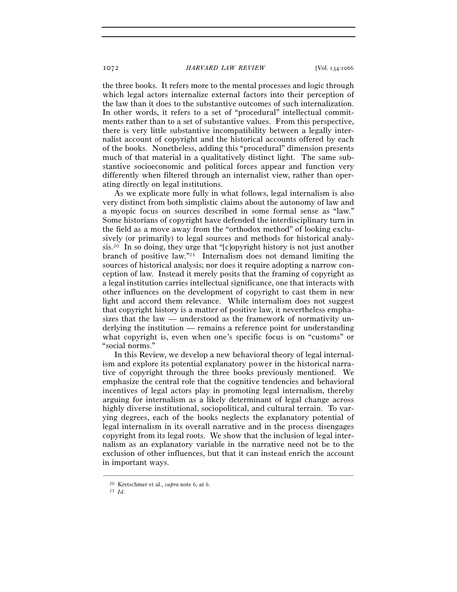the three books. It refers more to the mental processes and logic through which legal actors internalize external factors into their perception of the law than it does to the substantive outcomes of such internalization. In other words, it refers to a set of "procedural" intellectual commitments rather than to a set of substantive values. From this perspective, there is very little substantive incompatibility between a legally internalist account of copyright and the historical accounts offered by each of the books. Nonetheless, adding this "procedural" dimension presents much of that material in a qualitatively distinct light. The same substantive socioeconomic and political forces appear and function very differently when filtered through an internalist view, rather than operating directly on legal institutions.

As we explicate more fully in what follows, legal internalism is also very distinct from both simplistic claims about the autonomy of law and a myopic focus on sources described in some formal sense as "law." Some historians of copyright have defended the interdisciplinary turn in the field as a move away from the "orthodox method" of looking exclusively (or primarily) to legal sources and methods for historical analysis.20 In so doing, they urge that "[c]opyright history is not just another branch of positive law."21 Internalism does not demand limiting the sources of historical analysis; nor does it require adopting a narrow conception of law. Instead it merely posits that the framing of copyright as a legal institution carries intellectual significance, one that interacts with other influences on the development of copyright to cast them in new light and accord them relevance. While internalism does not suggest that copyright history is a matter of positive law, it nevertheless emphasizes that the law — understood as the framework of normativity underlying the institution — remains a reference point for understanding what copyright is, even when one's specific focus is on "customs" or "social norms."

In this Review, we develop a new behavioral theory of legal internalism and explore its potential explanatory power in the historical narrative of copyright through the three books previously mentioned. We emphasize the central role that the cognitive tendencies and behavioral incentives of legal actors play in promoting legal internalism, thereby arguing for internalism as a likely determinant of legal change across highly diverse institutional, sociopolitical, and cultural terrain. To varying degrees, each of the books neglects the explanatory potential of legal internalism in its overall narrative and in the process disengages copyright from its legal roots. We show that the inclusion of legal internalism as an explanatory variable in the narrative need not be to the exclusion of other influences, but that it can instead enrich the account in important ways.

<sup>20</sup> Kretschmer et al., *supra* note 6, at <sup>6</sup>. 21 *Id*.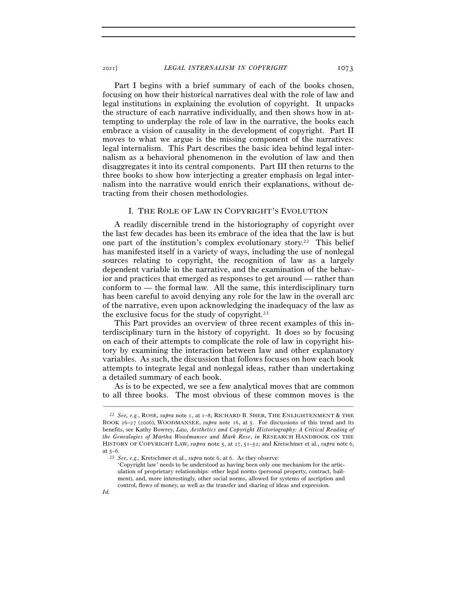Part I begins with a brief summary of each of the books chosen, focusing on how their historical narratives deal with the role of law and legal institutions in explaining the evolution of copyright. It unpacks the structure of each narrative individually, and then shows how in attempting to underplay the role of law in the narrative, the books each embrace a vision of causality in the development of copyright. Part II moves to what we argue is the missing component of the narratives: legal internalism. This Part describes the basic idea behind legal internalism as a behavioral phenomenon in the evolution of law and then disaggregates it into its central components. Part III then returns to the three books to show how interjecting a greater emphasis on legal internalism into the narrative would enrich their explanations, without detracting from their chosen methodologies.

#### I. THE ROLE OF LAW IN COPYRIGHT'S EVOLUTION

A readily discernible trend in the historiography of copyright over the last few decades has been its embrace of the idea that the law is but one part of the institution's complex evolutionary story.22 This belief has manifested itself in a variety of ways, including the use of nonlegal sources relating to copyright, the recognition of law as a largely dependent variable in the narrative, and the examination of the behavior and practices that emerged as responses to get around — rather than conform to — the formal law. All the same, this interdisciplinary turn has been careful to avoid denying any role for the law in the overall arc of the narrative, even upon acknowledging the inadequacy of the law as the exclusive focus for the study of copyright.23

This Part provides an overview of three recent examples of this interdisciplinary turn in the history of copyright. It does so by focusing on each of their attempts to complicate the role of law in copyright history by examining the interaction between law and other explanatory variables. As such, the discussion that follows focuses on how each book attempts to integrate legal and nonlegal ideas, rather than undertaking a detailed summary of each book.

As is to be expected, we see a few analytical moves that are common to all three books. The most obvious of these common moves is the

<sup>22</sup> *See, e.g.*, ROSE, *supra* note 1, at 1–8; RICHARD B. SHER, THE ENLIGHTENMENT & THE BOOK 26–27 (2006); WOODMANSEE, *supra* note 16, at 5. For discussions of this trend and its benefits, see Kathy Bowrey, *Law, Aesthetics and Copyright Historiography: A Critical Reading of the Genealogies of Martha Woodmansee and Mark Rose*, *in* RESEARCH HANDBOOK ON THE HISTORY OF COPYRIGHT LAW, *supra* note 5, at 27, 51–52; and Kretschmer et al., *supra* note 6,

at 5–<sup>6</sup>. 23 *See, e.g.*, Kretschmer et al., *supra* note 6, at 6. As they observe:

<sup>&#</sup>x27;Copyright law' needs to be understood as having been only one mechanism for the articulation of proprietary relationships: other legal norms (personal property, contract, bailment), and, more interestingly, other social norms, allowed for systems of ascription and control, flows of money, as well as the transfer and sharing of ideas and expression.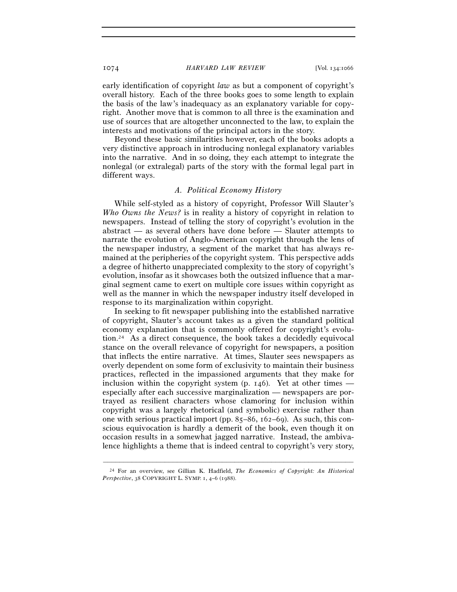early identification of copyright *law* as but a component of copyright's overall history. Each of the three books goes to some length to explain the basis of the law's inadequacy as an explanatory variable for copyright. Another move that is common to all three is the examination and use of sources that are altogether unconnected to the law, to explain the interests and motivations of the principal actors in the story.

Beyond these basic similarities however, each of the books adopts a very distinctive approach in introducing nonlegal explanatory variables into the narrative. And in so doing, they each attempt to integrate the nonlegal (or extralegal) parts of the story with the formal legal part in different ways.

## *A. Political Economy History*

While self-styled as a history of copyright, Professor Will Slauter's *Who Owns the News?* is in reality a history of copyright in relation to newspapers. Instead of telling the story of copyright's evolution in the abstract — as several others have done before — Slauter attempts to narrate the evolution of Anglo-American copyright through the lens of the newspaper industry, a segment of the market that has always remained at the peripheries of the copyright system. This perspective adds a degree of hitherto unappreciated complexity to the story of copyright's evolution, insofar as it showcases both the outsized influence that a marginal segment came to exert on multiple core issues within copyright as well as the manner in which the newspaper industry itself developed in response to its marginalization within copyright.

In seeking to fit newspaper publishing into the established narrative of copyright, Slauter's account takes as a given the standard political economy explanation that is commonly offered for copyright's evolution.24 As a direct consequence, the book takes a decidedly equivocal stance on the overall relevance of copyright for newspapers, a position that inflects the entire narrative. At times, Slauter sees newspapers as overly dependent on some form of exclusivity to maintain their business practices, reflected in the impassioned arguments that they make for inclusion within the copyright system (p. 146). Yet at other times especially after each successive marginalization — newspapers are portrayed as resilient characters whose clamoring for inclusion within copyright was a largely rhetorical (and symbolic) exercise rather than one with serious practical import (pp. 85–86, 162–69). As such, this conscious equivocation is hardly a demerit of the book, even though it on occasion results in a somewhat jagged narrative. Instead, the ambivalence highlights a theme that is indeed central to copyright's very story,

<sup>–––––––––––––––––––––––––––––––––––––––––––––––––––––––––––––</sup> 24 For an overview, see Gillian K. Hadfield, *The Economics of Copyright: An Historical Perspective*, 38 COPYRIGHT L. SYMP. 1, 4–6 (1988).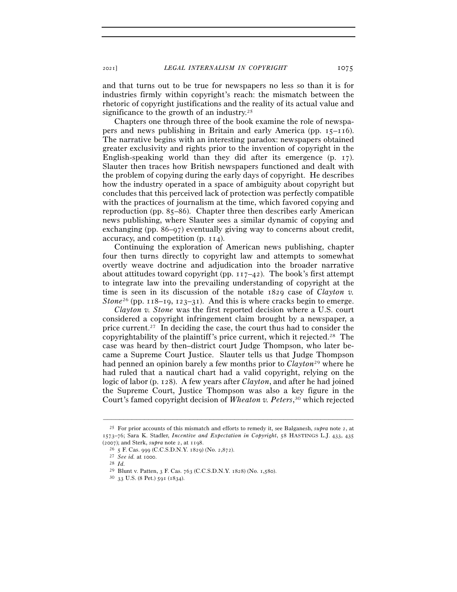<sup>2021</sup>] *LEGAL INTERNALISM IN COPYRIGHT* 1075

and that turns out to be true for newspapers no less so than it is for industries firmly within copyright's reach: the mismatch between the rhetoric of copyright justifications and the reality of its actual value and significance to the growth of an industry.<sup>25</sup>

Chapters one through three of the book examine the role of newspapers and news publishing in Britain and early America (pp. 15–116). The narrative begins with an interesting paradox: newspapers obtained greater exclusivity and rights prior to the invention of copyright in the English-speaking world than they did after its emergence (p. 17). Slauter then traces how British newspapers functioned and dealt with the problem of copying during the early days of copyright. He describes how the industry operated in a space of ambiguity about copyright but concludes that this perceived lack of protection was perfectly compatible with the practices of journalism at the time, which favored copying and reproduction (pp. 85–86). Chapter three then describes early American news publishing, where Slauter sees a similar dynamic of copying and exchanging (pp. 86–97) eventually giving way to concerns about credit, accuracy, and competition (p. 114).

Continuing the exploration of American news publishing, chapter four then turns directly to copyright law and attempts to somewhat overtly weave doctrine and adjudication into the broader narrative about attitudes toward copyright (pp.  $117-42$ ). The book's first attempt to integrate law into the prevailing understanding of copyright at the time is seen in its discussion of the notable 1829 case of *Clayton v. Stone*<sup>26</sup> (pp.  $118-19$ ,  $123-31$ ). And this is where cracks begin to emerge.

*Clayton v. Stone* was the first reported decision where a U.S. court considered a copyright infringement claim brought by a newspaper, a price current.27 In deciding the case, the court thus had to consider the copyrightability of the plaintiff's price current, which it rejected.28 The case was heard by then–district court Judge Thompson, who later became a Supreme Court Justice. Slauter tells us that Judge Thompson had penned an opinion barely a few months prior to *Clayton*29 where he had ruled that a nautical chart had a valid copyright, relying on the logic of labor (p. 128). A few years after *Clayton*, and after he had joined the Supreme Court, Justice Thompson was also a key figure in the Court's famed copyright decision of *Wheaton v. Peters*, 30 which rejected

<sup>&</sup>lt;sup>25</sup> For prior accounts of this mismatch and efforts to remedy it, see Balganesh, *supra* note 2, at 1573–76; Sara K. Stadler, *Incentive and Expectation in Copyright*, 58 HASTINGS L.J. 433, 435 (2007); and Sterk, *supra* note 2, at <sup>1198</sup>. 26 <sup>5</sup> F. Cas. 999 (C.C.S.D.N.Y. 1829) (No. 2,<sup>872</sup>). 27 *See id.* at 1000.

<sup>28</sup> *Id.*

<sup>&</sup>lt;sup>29</sup> Blunt v. Patten, 3 F. Cas. 763 (C.C.S.D.N.Y. 1828) (No. 1,580). <sup>30</sup> 33 U.S. (8 Pet.) 591 (1834).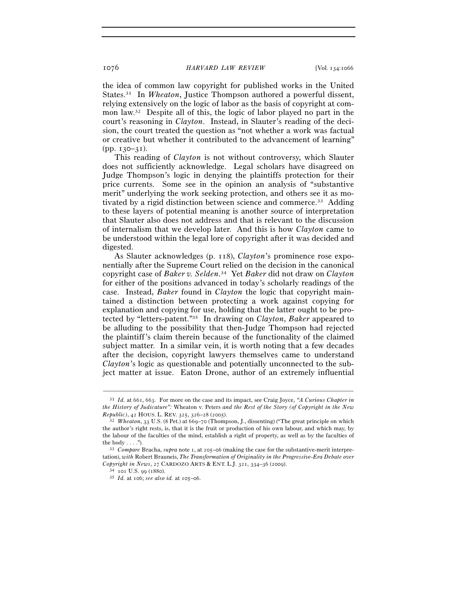the idea of common law copyright for published works in the United States.31 In *Wheaton*, Justice Thompson authored a powerful dissent, relying extensively on the logic of labor as the basis of copyright at common law.32 Despite all of this, the logic of labor played no part in the court's reasoning in *Clayton*. Instead, in Slauter's reading of the decision, the court treated the question as "not whether a work was factual or creative but whether it contributed to the advancement of learning" (pp. 130–31).

This reading of *Clayton* is not without controversy, which Slauter does not sufficiently acknowledge. Legal scholars have disagreed on Judge Thompson's logic in denying the plaintiffs protection for their price currents. Some see in the opinion an analysis of "substantive merit" underlying the work seeking protection, and others see it as motivated by a rigid distinction between science and commerce.33 Adding to these layers of potential meaning is another source of interpretation that Slauter also does not address and that is relevant to the discussion of internalism that we develop later. And this is how *Clayton* came to be understood within the legal lore of copyright after it was decided and digested.

As Slauter acknowledges (p. 118), *Clayton*'s prominence rose exponentially after the Supreme Court relied on the decision in the canonical copyright case of *Baker v. Selden*. 34 Yet *Baker* did not draw on *Clayton* for either of the positions advanced in today's scholarly readings of the case. Instead, *Baker* found in *Clayton* the logic that copyright maintained a distinction between protecting a work against copying for explanation and copying for use, holding that the latter ought to be protected by "letters-patent."35 In drawing on *Clayton*, *Baker* appeared to be alluding to the possibility that then-Judge Thompson had rejected the plaintiff's claim therein because of the functionality of the claimed subject matter. In a similar vein, it is worth noting that a few decades after the decision, copyright lawyers themselves came to understand *Clayton*'s logic as questionable and potentially unconnected to the subject matter at issue. Eaton Drone, author of an extremely influential

<sup>31</sup> *Id.* at 661, 663. For more on the case and its impact, see Craig Joyce, *"A Curious Chapter in the History of Judicature":* Wheaton v. Peters *and the Rest of the Story (of Copyright in the New Republic)*, 42 HOUS. L. REV. 325, 326–28 (<sup>2005</sup>). 32 *Wheaton*, 33 U.S. (8 Pet.) at 669–70 (Thompson, J., dissenting) ("The great principle on which

the author's right rests, is, that it is the fruit or production of his own labour, and which may, by the labour of the faculties of the mind, establish a right of property, as well as by the faculties of the body . . . ."). 33 *Compare* Bracha, *supra* note 1, at 205–06 (making the case for the substantive-merit interpre-

tation), *with* Robert Brauneis, *The Transformation of Originality in the Progressive-Era Debate over Copyright in News*, 27 CARDOZO ARTS & ENT. L.J. 321, 334–36 (<sup>2009</sup>). 34 <sup>101</sup> U.S. 99 (<sup>1880</sup>). 35 *Id.* at 106; *see also id.* at 105–06.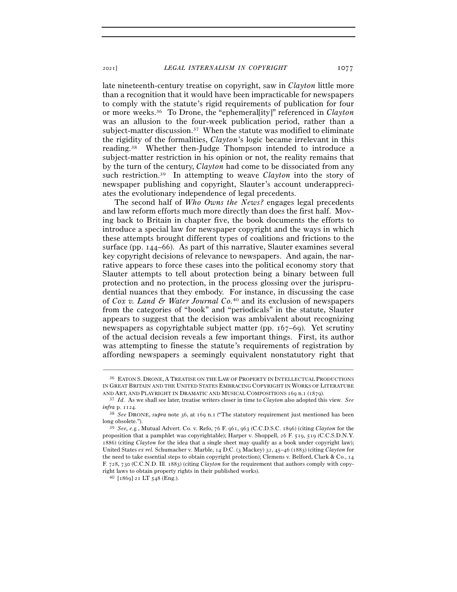late nineteenth-century treatise on copyright, saw in *Clayton* little more than a recognition that it would have been impracticable for newspapers to comply with the statute's rigid requirements of publication for four or more weeks.36 To Drone, the "ephemeral[ity]" referenced in *Clayton* was an allusion to the four-week publication period, rather than a subject-matter discussion.37 When the statute was modified to eliminate the rigidity of the formalities, *Clayton*'s logic became irrelevant in this reading.38 Whether then-Judge Thompson intended to introduce a subject-matter restriction in his opinion or not, the reality remains that by the turn of the century, *Clayton* had come to be dissociated from any such restriction.39 In attempting to weave *Clayton* into the story of newspaper publishing and copyright, Slauter's account underappreciates the evolutionary independence of legal precedents.

The second half of *Who Owns the News?* engages legal precedents and law reform efforts much more directly than does the first half. Moving back to Britain in chapter five, the book documents the efforts to introduce a special law for newspaper copyright and the ways in which these attempts brought different types of coalitions and frictions to the surface (pp. 144–66). As part of this narrative, Slauter examines several key copyright decisions of relevance to newspapers. And again, the narrative appears to force these cases into the political economy story that Slauter attempts to tell about protection being a binary between full protection and no protection, in the process glossing over the jurisprudential nuances that they embody. For instance, in discussing the case of *Cox v. Land & Water Journal Co.*40 and its exclusion of newspapers from the categories of "book" and "periodicals" in the statute, Slauter appears to suggest that the decision was ambivalent about recognizing newspapers as copyrightable subject matter (pp. 167–69). Yet scrutiny of the actual decision reveals a few important things. First, its author was attempting to finesse the statute's requirements of registration by affording newspapers a seemingly equivalent nonstatutory right that

<sup>36</sup> EATON S. DRONE, A TREATISE ON THE LAW OF PROPERTY IN INTELLECTUAL PRODUCTIONS IN GREAT BRITAIN AND THE UNITED STATES EMBRACING COPYRIGHT IN WORKS OF LITERATURE AND ART, AND PLAYRIGHT IN DRAMATIC AND MUSICAL COMPOSITIONS 169 n.1 (<sup>1879</sup>). 37 *Id.* As we shall see later, treatise writers closer in time to *Clayton* also adopted this view. *See*

*infra* p. <sup>1124</sup>. 38 *See* DRONE, *supra* note 36, at 169 n.<sup>1</sup> ("The statutory requirement just mentioned has been long obsolete."). 39 *See, e.g.*, Mutual Advert. Co. v. Refo, 76 F. 961, 963 (C.C.D.S.C. 1896) (citing *Clayton* for the

proposition that a pamphlet was copyrightable); Harper v. Shoppell, 26 F. 519, 519 (C.C.S.D.N.Y. 1886) (citing *Clayton* for the idea that a single sheet may qualify as a book under copyright law); United States *ex rel.* Schumacher v. Marble, 14 D.C. (3 Mackey) 32, 45–46 (1883) (citing *Clayton* for the need to take essential steps to obtain copyright protection); Clemens v. Belford, Clark & Co., 14 F. 728, 730 (C.C.N.D. Ill. 1883) (citing *Clayton* for the requirement that authors comply with copyright laws to obtain property rights in their published works).  $^{40}$  [1869]  $\rm{z1}$  LT 548 (Eng.).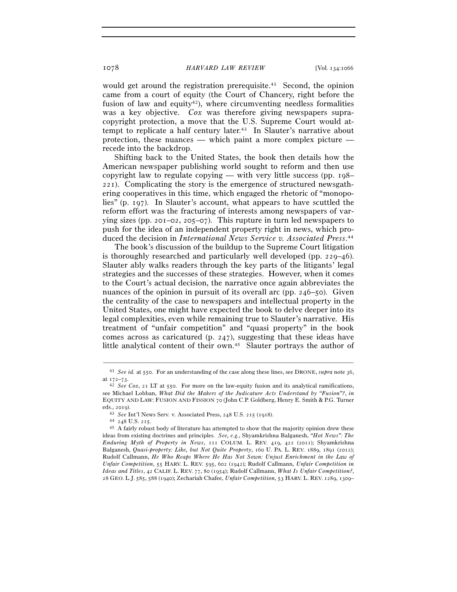would get around the registration prerequisite.<sup>41</sup> Second, the opinion came from a court of equity (the Court of Chancery, right before the fusion of law and equity<sup>42</sup>), where circumventing needless formalities was a key objective. *Cox* was therefore giving newspapers supracopyright protection, a move that the U.S. Supreme Court would attempt to replicate a half century later.<sup>43</sup> In Slauter's narrative about protection, these nuances — which paint a more complex picture recede into the backdrop.

Shifting back to the United States, the book then details how the American newspaper publishing world sought to reform and then use copyright law to regulate copying — with very little success (pp. 198– 221). Complicating the story is the emergence of structured newsgathering cooperatives in this time, which engaged the rhetoric of "monopolies" (p. 197). In Slauter's account, what appears to have scuttled the reform effort was the fracturing of interests among newspapers of varying sizes (pp. 201–02, 205–07). This rupture in turn led newspapers to push for the idea of an independent property right in news, which produced the decision in *International News Service v. Associated Press*. 44

The book's discussion of the buildup to the Supreme Court litigation is thoroughly researched and particularly well developed (pp. 229–46). Slauter ably walks readers through the key parts of the litigants' legal strategies and the successes of these strategies. However, when it comes to the Court's actual decision, the narrative once again abbreviates the nuances of the opinion in pursuit of its overall arc (pp. 246–50). Given the centrality of the case to newspapers and intellectual property in the United States, one might have expected the book to delve deeper into its legal complexities, even while remaining true to Slauter's narrative. His treatment of "unfair competition" and "quasi property" in the book comes across as caricatured (p. 247), suggesting that these ideas have little analytical content of their own.45 Slauter portrays the author of

<sup>–––––––––––––––––––––––––––––––––––––––––––––––––––––––––––––</sup> <sup>41</sup> *See id.* at 550. For an understanding of the case along these lines, see DRONE, *supra* note 36,

at  $172-73$ .<br><sup>42</sup> *See Cox*, 21 LT at 550. For more on the law-equity fusion and its analytical ramifications, see Michael Lobban, *What Did the Makers of the Judicature Acts Understand by "Fusion"?*, *in* EQUITY AND LAW: FUSION AND FISSION 70 (John C.P. Goldberg, Henry E. Smith & P.G. Turner

eds., 2019).<br><sup>43</sup> *See* Int'l News Serv. v. Associated Press, 248 U.S. 215 (1918).<br><sup>44</sup> 248 U.S. 215.<br><sup>45</sup> A fairly robust body of literature has attempted to show that the majority opinion drew these ideas from existing doctrines and principles. *See, e.g.*, Shyamkrishna Balganesh, *"Hot News": The Enduring Myth of Property in News*, 111 COLUM. L. REV. 419, 422 (2011); Shyamkrishna Balganesh, *Quasi-property: Like, but Not Quite Property*, 160 U. PA. L. REV. 1889, 1891 (2012); Rudolf Callmann, *He Who Reaps Where He Has Not Sown: Unjust Enrichment in the Law of Unfair Competition*, 55 HARV. L. REV. 595, 602 (1942); Rudolf Callmann, *Unfair Competition in Ideas and Titles*, 42 CALIF. L. REV. 77, 80 (1954); Rudolf Callmann, *What Is Unfair Competition?*, 28 GEO. L.J. 585, 588 (1940); Zechariah Chafee, *Unfair Competition*, 53 HARV. L. REV. 1289, 1309–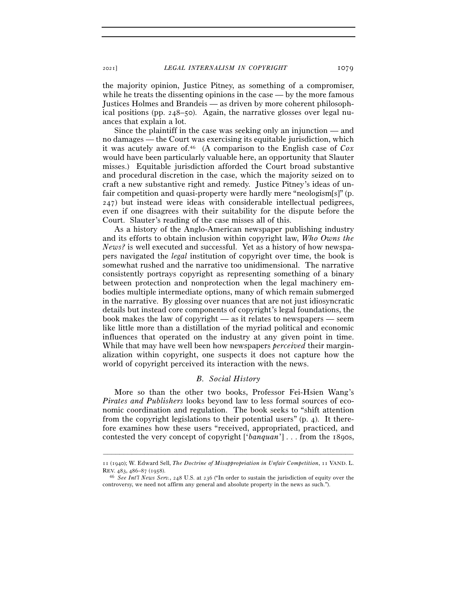the majority opinion, Justice Pitney, as something of a compromiser, while he treats the dissenting opinions in the case — by the more famous Justices Holmes and Brandeis — as driven by more coherent philosophical positions (pp. 248–50). Again, the narrative glosses over legal nuances that explain a lot.

Since the plaintiff in the case was seeking only an injunction — and no damages — the Court was exercising its equitable jurisdiction, which it was acutely aware of.46 (A comparison to the English case of *Cox*  would have been particularly valuable here, an opportunity that Slauter misses.) Equitable jurisdiction afforded the Court broad substantive and procedural discretion in the case, which the majority seized on to craft a new substantive right and remedy. Justice Pitney's ideas of unfair competition and quasi-property were hardly mere "neologism[s]" (p. 247) but instead were ideas with considerable intellectual pedigrees, even if one disagrees with their suitability for the dispute before the Court. Slauter's reading of the case misses all of this.

As a history of the Anglo-American newspaper publishing industry and its efforts to obtain inclusion within copyright law, *Who Owns the News?* is well executed and successful. Yet as a history of how newspapers navigated the *legal* institution of copyright over time, the book is somewhat rushed and the narrative too unidimensional. The narrative consistently portrays copyright as representing something of a binary between protection and nonprotection when the legal machinery embodies multiple intermediate options, many of which remain submerged in the narrative. By glossing over nuances that are not just idiosyncratic details but instead core components of copyright's legal foundations, the book makes the law of copyright — as it relates to newspapers — seem like little more than a distillation of the myriad political and economic influences that operated on the industry at any given point in time. While that may have well been how newspapers *perceived* their marginalization within copyright, one suspects it does not capture how the world of copyright perceived its interaction with the news.

## *B. Social History*

More so than the other two books, Professor Fei-Hsien Wang's *Pirates and Publishers* looks beyond law to less formal sources of economic coordination and regulation. The book seeks to "shift attention from the copyright legislations to their potential users" (p. 4). It therefore examines how these users "received, appropriated, practiced, and contested the very concept of copyright ['*banquan*'] . . . from the 1890s,

<sup>–––––––––––––––––––––––––––––––––––––––––––––––––––––––––––––</sup> 11 (1940); W. Edward Sell, *The Doctrine of Misappropriation in Unfair Competition*, 11 VAND. L. REV. 483, 486–87 (<sup>1958</sup>). 46 *See Int'l News Serv.*, 248 U.S. at 236 ("In order to sustain the jurisdiction of equity over the

controversy, we need not affirm any general and absolute property in the news as such.").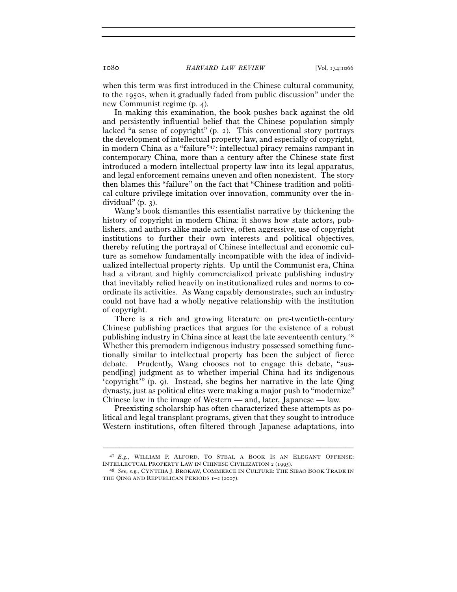when this term was first introduced in the Chinese cultural community, to the 1950s, when it gradually faded from public discussion" under the new Communist regime (p. 4).

In making this examination, the book pushes back against the old and persistently influential belief that the Chinese population simply lacked "a sense of copyright" (p. 2). This conventional story portrays the development of intellectual property law, and especially of copyright, in modern China as a "failure"47: intellectual piracy remains rampant in contemporary China, more than a century after the Chinese state first introduced a modern intellectual property law into its legal apparatus, and legal enforcement remains uneven and often nonexistent. The story then blames this "failure" on the fact that "Chinese tradition and political culture privilege imitation over innovation, community over the individual" (p. 3).

Wang's book dismantles this essentialist narrative by thickening the history of copyright in modern China: it shows how state actors, publishers, and authors alike made active, often aggressive, use of copyright institutions to further their own interests and political objectives, thereby refuting the portrayal of Chinese intellectual and economic culture as somehow fundamentally incompatible with the idea of individualized intellectual property rights. Up until the Communist era, China had a vibrant and highly commercialized private publishing industry that inevitably relied heavily on institutionalized rules and norms to coordinate its activities. As Wang capably demonstrates, such an industry could not have had a wholly negative relationship with the institution of copyright.

There is a rich and growing literature on pre-twentieth-century Chinese publishing practices that argues for the existence of a robust publishing industry in China since at least the late seventeenth century.48 Whether this premodern indigenous industry possessed something functionally similar to intellectual property has been the subject of fierce debate. Prudently, Wang chooses not to engage this debate, "suspend[ing] judgment as to whether imperial China had its indigenous 'copyright'" (p. 9). Instead, she begins her narrative in the late Qing dynasty, just as political elites were making a major push to "modernize" Chinese law in the image of Western — and, later, Japanese — law.

Preexisting scholarship has often characterized these attempts as political and legal transplant programs, given that they sought to introduce Western institutions, often filtered through Japanese adaptations, into

<sup>–––––––––––––––––––––––––––––––––––––––––––––––––––––––––––––</sup> 47 *E.g.*, WILLIAM P. ALFORD, TO STEAL A BOOK IS AN ELEGANT OFFENSE: INTELLECTUAL PROPERTY LAW IN CHINESE CIVILIZATION <sup>2</sup> (<sup>1995</sup>). 48 *See, e.g.*, CYNTHIA J. BROKAW, COMMERCE IN CULTURE: THE SIBAO BOOK TRADE IN

THE QING AND REPUBLICAN PERIODS 1–2 (2007).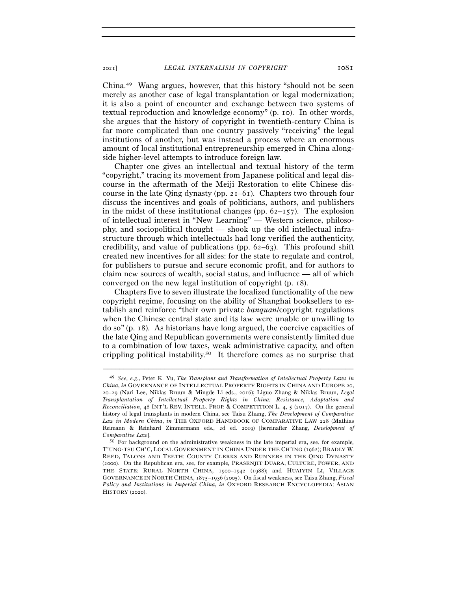China.49 Wang argues, however, that this history "should not be seen merely as another case of legal transplantation or legal modernization; it is also a point of encounter and exchange between two systems of textual reproduction and knowledge economy" (p. 10). In other words, she argues that the history of copyright in twentieth-century China is far more complicated than one country passively "receiving" the legal institutions of another, but was instead a process where an enormous amount of local institutional entrepreneurship emerged in China alongside higher-level attempts to introduce foreign law.

Chapter one gives an intellectual and textual history of the term "copyright," tracing its movement from Japanese political and legal discourse in the aftermath of the Meiji Restoration to elite Chinese discourse in the late Oing dynasty (pp.  $2I-6I$ ). Chapters two through four discuss the incentives and goals of politicians, authors, and publishers in the midst of these institutional changes (pp.  $62-157$ ). The explosion of intellectual interest in "New Learning" — Western science, philosophy, and sociopolitical thought — shook up the old intellectual infrastructure through which intellectuals had long verified the authenticity, credibility, and value of publications (pp.  $62-63$ ). This profound shift created new incentives for all sides: for the state to regulate and control, for publishers to pursue and secure economic profit, and for authors to claim new sources of wealth, social status, and influence — all of which converged on the new legal institution of copyright (p. 18).

Chapters five to seven illustrate the localized functionality of the new copyright regime, focusing on the ability of Shanghai booksellers to establish and reinforce "their own private *banquan*/copyright regulations when the Chinese central state and its law were unable or unwilling to do so" (p. 18). As historians have long argued, the coercive capacities of the late Qing and Republican governments were consistently limited due to a combination of low taxes, weak administrative capacity, and often crippling political instability.50 It therefore comes as no surprise that

<sup>49</sup> *See, e.g.*, Peter K. Yu, *The Transplant and Transformation of Intellectual Property Laws in China*, *in* GOVERNANCE OF INTELLECTUAL PROPERTY RIGHTS IN CHINA AND EUROPE 20, 20–29 (Nari Lee, Niklas Bruun & Mingde Li eds., 2016); Liguo Zhang & Niklas Bruun, *Legal Transplantation of Intellectual Property Rights in China: Resistance, Adaptation and Reconciliation*, 48 INT'L REV. INTELL. PROP. & COMPETITION L. 4, 5 (2017). On the general history of legal transplants in modern China, see Taisu Zhang, *The Development of Comparative Law in Modern China*, *in* THE OXFORD HANDBOOK OF COMPARATIVE LAW 228 (Mathias Reimann & Reinhard Zimmermann eds., 2d ed. 2019) [hereinafter Zhang, *Development of Comparative Law*]. *50* For background on the administrative weakness in the late imperial era, see, for example,

T'UNG-TSU CH'Ü, LOCAL GOVERNMENT IN CHINA UNDER THE CH'ING (1962); BRADLY W. REED, TALONS AND TEETH: COUNTY CLERKS AND RUNNERS IN THE QING DYNASTY (2000). On the Republican era*,* see, for example*,* PRASENJIT DUARA, CULTURE, POWER, AND THE STATE: RURAL NORTH CHINA, 1900–1942 (1988); and HUAIYIN LI, VILLAGE GOVERNANCE IN NORTH CHINA, 1875–1936 (2005). On fiscal weakness, see Taisu Zhang, *Fiscal Policy and Institutions in Imperial China*, *in* OXFORD RESEARCH ENCYCLOPEDIA: ASIAN HISTORY (2020).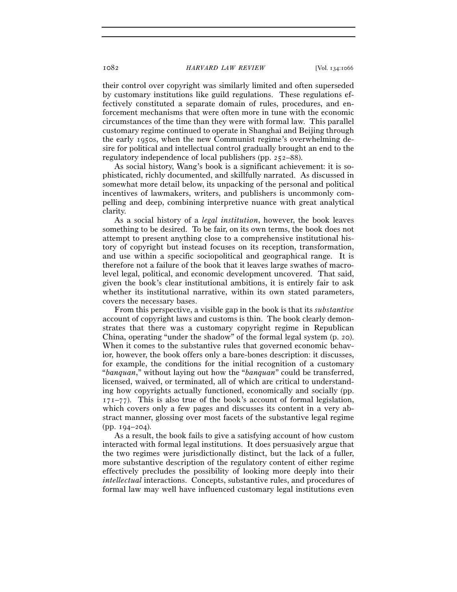their control over copyright was similarly limited and often superseded by customary institutions like guild regulations. These regulations effectively constituted a separate domain of rules, procedures, and enforcement mechanisms that were often more in tune with the economic circumstances of the time than they were with formal law. This parallel customary regime continued to operate in Shanghai and Beijing through the early 1950s, when the new Communist regime's overwhelming desire for political and intellectual control gradually brought an end to the regulatory independence of local publishers (pp. 252–88).

As social history, Wang's book is a significant achievement: it is sophisticated, richly documented, and skillfully narrated. As discussed in somewhat more detail below, its unpacking of the personal and political incentives of lawmakers, writers, and publishers is uncommonly compelling and deep, combining interpretive nuance with great analytical clarity.

As a social history of a *legal institution*, however, the book leaves something to be desired. To be fair, on its own terms, the book does not attempt to present anything close to a comprehensive institutional history of copyright but instead focuses on its reception, transformation, and use within a specific sociopolitical and geographical range. It is therefore not a failure of the book that it leaves large swathes of macrolevel legal, political, and economic development uncovered. That said, given the book's clear institutional ambitions, it is entirely fair to ask whether its institutional narrative, within its own stated parameters, covers the necessary bases.

From this perspective, a visible gap in the book is that its *substantive* account of copyright laws and customs is thin. The book clearly demonstrates that there was a customary copyright regime in Republican China, operating "under the shadow" of the formal legal system (p. 20). When it comes to the substantive rules that governed economic behavior, however, the book offers only a bare-bones description: it discusses, for example, the conditions for the initial recognition of a customary "*banquan*," without laying out how the "*banquan*" could be transferred, licensed, waived, or terminated, all of which are critical to understanding how copyrights actually functioned, economically and socially (pp.  $171-77$ ). This is also true of the book's account of formal legislation, which covers only a few pages and discusses its content in a very abstract manner, glossing over most facets of the substantive legal regime (pp. 194–204).

As a result, the book fails to give a satisfying account of how custom interacted with formal legal institutions. It does persuasively argue that the two regimes were jurisdictionally distinct, but the lack of a fuller, more substantive description of the regulatory content of either regime effectively precludes the possibility of looking more deeply into their *intellectual* interactions. Concepts, substantive rules, and procedures of formal law may well have influenced customary legal institutions even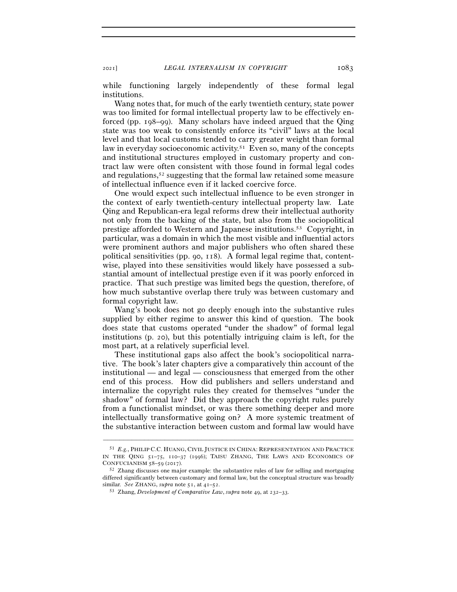<sup>2021</sup>] *LEGAL INTERNALISM IN COPYRIGHT* 1083

while functioning largely independently of these formal legal institutions.

Wang notes that, for much of the early twentieth century, state power was too limited for formal intellectual property law to be effectively enforced (pp. 198–99). Many scholars have indeed argued that the Qing state was too weak to consistently enforce its "civil" laws at the local level and that local customs tended to carry greater weight than formal law in everyday socioeconomic activity.<sup>51</sup> Even so, many of the concepts and institutional structures employed in customary property and contract law were often consistent with those found in formal legal codes and regulations,<sup>52</sup> suggesting that the formal law retained some measure of intellectual influence even if it lacked coercive force.

One would expect such intellectual influence to be even stronger in the context of early twentieth-century intellectual property law. Late Qing and Republican-era legal reforms drew their intellectual authority not only from the backing of the state, but also from the sociopolitical prestige afforded to Western and Japanese institutions.53 Copyright, in particular, was a domain in which the most visible and influential actors were prominent authors and major publishers who often shared these political sensitivities (pp. 90, 118). A formal legal regime that, contentwise, played into these sensitivities would likely have possessed a substantial amount of intellectual prestige even if it was poorly enforced in practice. That such prestige was limited begs the question, therefore, of how much substantive overlap there truly was between customary and formal copyright law.

Wang's book does not go deeply enough into the substantive rules supplied by either regime to answer this kind of question. The book does state that customs operated "under the shadow" of formal legal institutions (p. 20), but this potentially intriguing claim is left, for the most part, at a relatively superficial level.

These institutional gaps also affect the book's sociopolitical narrative. The book's later chapters give a comparatively thin account of the institutional — and legal — consciousness that emerged from the other end of this process. How did publishers and sellers understand and internalize the copyright rules they created for themselves "under the shadow" of formal law? Did they approach the copyright rules purely from a functionalist mindset, or was there something deeper and more intellectually transformative going on? A more systemic treatment of the substantive interaction between custom and formal law would have

<sup>51</sup> *E.g.*, PHILIP C.C. HUANG, CIVIL JUSTICE IN CHINA: REPRESENTATION AND PRACTICE IN THE QING 51–75, 110–37 (1996); TAISU ZHANG, THE LAWS AND ECONOMICS OF CONFUCIANISM  $58-59$  (2017).<br><sup>52</sup> Zhang discusses one major example: the substantive rules of law for selling and mortgaging

differed significantly between customary and formal law, but the conceptual structure was broadly similar. *See* ZHANG, *supra* note 51, at 41–52.

<sup>53</sup> Zhang, *Development of Comparative Law*, *supra* note 49, at 232–33.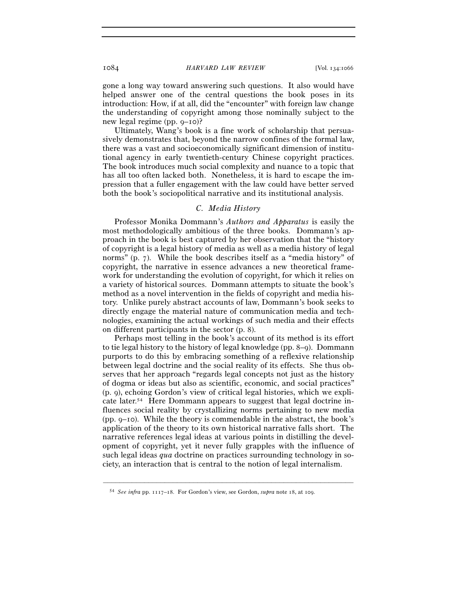gone a long way toward answering such questions. It also would have helped answer one of the central questions the book poses in its introduction: How, if at all, did the "encounter" with foreign law change the understanding of copyright among those nominally subject to the new legal regime (pp. 9–10)?

Ultimately, Wang's book is a fine work of scholarship that persuasively demonstrates that, beyond the narrow confines of the formal law, there was a vast and socioeconomically significant dimension of institutional agency in early twentieth-century Chinese copyright practices. The book introduces much social complexity and nuance to a topic that has all too often lacked both. Nonetheless, it is hard to escape the impression that a fuller engagement with the law could have better served both the book's sociopolitical narrative and its institutional analysis.

## *C. Media History*

Professor Monika Dommann's *Authors and Apparatus* is easily the most methodologically ambitious of the three books. Dommann's approach in the book is best captured by her observation that the "history of copyright is a legal history of media as well as a media history of legal norms" (p. 7). While the book describes itself as a "media history" of copyright, the narrative in essence advances a new theoretical framework for understanding the evolution of copyright, for which it relies on a variety of historical sources. Dommann attempts to situate the book's method as a novel intervention in the fields of copyright and media history. Unlike purely abstract accounts of law, Dommann's book seeks to directly engage the material nature of communication media and technologies, examining the actual workings of such media and their effects on different participants in the sector (p. 8).

Perhaps most telling in the book's account of its method is its effort to tie legal history to the history of legal knowledge (pp. 8–9). Dommann purports to do this by embracing something of a reflexive relationship between legal doctrine and the social reality of its effects. She thus observes that her approach "regards legal concepts not just as the history of dogma or ideas but also as scientific, economic, and social practices" (p. 9), echoing Gordon's view of critical legal histories, which we explicate later.54 Here Dommann appears to suggest that legal doctrine influences social reality by crystallizing norms pertaining to new media (pp. 9–10). While the theory is commendable in the abstract, the book's application of the theory to its own historical narrative falls short. The narrative references legal ideas at various points in distilling the development of copyright, yet it never fully grapples with the influence of such legal ideas *qua* doctrine on practices surrounding technology in society, an interaction that is central to the notion of legal internalism.

<sup>54</sup> *See infra* pp. 1117–18. For Gordon's view, see Gordon, *supra* note 18, at 109.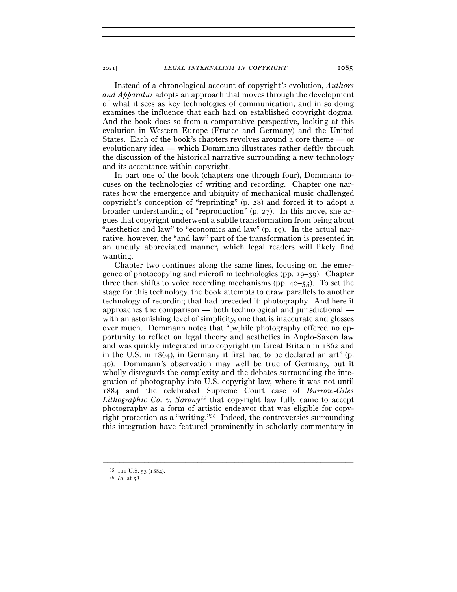Instead of a chronological account of copyright's evolution, *Authors and Apparatus* adopts an approach that moves through the development of what it sees as key technologies of communication, and in so doing examines the influence that each had on established copyright dogma. And the book does so from a comparative perspective, looking at this evolution in Western Europe (France and Germany) and the United States. Each of the book's chapters revolves around a core theme — or evolutionary idea — which Dommann illustrates rather deftly through the discussion of the historical narrative surrounding a new technology and its acceptance within copyright.

In part one of the book (chapters one through four), Dommann focuses on the technologies of writing and recording. Chapter one narrates how the emergence and ubiquity of mechanical music challenged copyright's conception of "reprinting" (p. 28) and forced it to adopt a broader understanding of "reproduction" (p. 27). In this move, she argues that copyright underwent a subtle transformation from being about "aesthetics and law" to "economics and law" (p. 19). In the actual narrative, however, the "and law" part of the transformation is presented in an unduly abbreviated manner, which legal readers will likely find wanting.

Chapter two continues along the same lines, focusing on the emergence of photocopying and microfilm technologies (pp. 29–39). Chapter three then shifts to voice recording mechanisms (pp. 40–53). To set the stage for this technology, the book attempts to draw parallels to another technology of recording that had preceded it: photography. And here it approaches the comparison — both technological and jurisdictional with an astonishing level of simplicity, one that is inaccurate and glosses over much. Dommann notes that "[w]hile photography offered no opportunity to reflect on legal theory and aesthetics in Anglo-Saxon law and was quickly integrated into copyright (in Great Britain in 1862 and in the U.S. in 1864), in Germany it first had to be declared an art" (p. 40). Dommann's observation may well be true of Germany, but it wholly disregards the complexity and the debates surrounding the integration of photography into U.S. copyright law, where it was not until 1884 and the celebrated Supreme Court case of *Burrow-Giles Lithographic Co. v. Sarony*<sup>55</sup> that copyright law fully came to accept photography as a form of artistic endeavor that was eligible for copyright protection as a "writing."56 Indeed, the controversies surrounding this integration have featured prominently in scholarly commentary in

<sup>55</sup> <sup>111</sup> U.S. 53 (<sup>1884</sup>). 56 *Id.* at 58.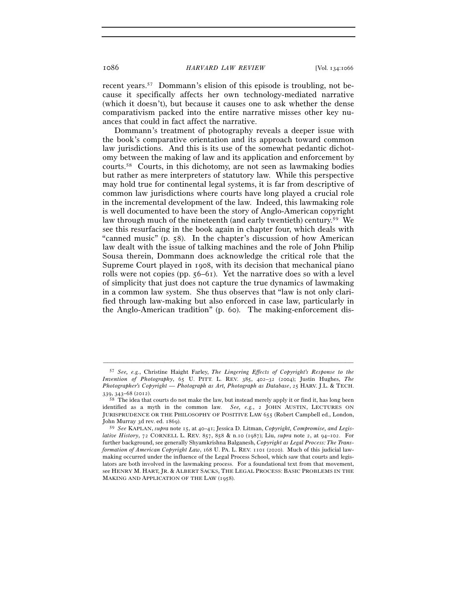recent years.57 Dommann's elision of this episode is troubling, not because it specifically affects her own technology-mediated narrative (which it doesn't), but because it causes one to ask whether the dense comparativism packed into the entire narrative misses other key nuances that could in fact affect the narrative.

Dommann's treatment of photography reveals a deeper issue with the book's comparative orientation and its approach toward common law jurisdictions. And this is its use of the somewhat pedantic dichotomy between the making of law and its application and enforcement by courts.58 Courts, in this dichotomy, are not seen as lawmaking bodies but rather as mere interpreters of statutory law. While this perspective may hold true for continental legal systems, it is far from descriptive of common law jurisdictions where courts have long played a crucial role in the incremental development of the law. Indeed, this lawmaking role is well documented to have been the story of Anglo-American copyright law through much of the nineteenth (and early twentieth) century.59 We see this resurfacing in the book again in chapter four, which deals with "canned music" (p. 58). In the chapter's discussion of how American law dealt with the issue of talking machines and the role of John Philip Sousa therein, Dommann does acknowledge the critical role that the Supreme Court played in 1908, with its decision that mechanical piano rolls were not copies (pp.  $56-61$ ). Yet the narrative does so with a level of simplicity that just does not capture the true dynamics of lawmaking in a common law system. She thus observes that "law is not only clarified through law-making but also enforced in case law, particularly in the Anglo-American tradition" (p. 60). The making-enforcement dis-

<sup>57</sup> *See, e.g.*, Christine Haight Farley, *The Lingering Effects of Copyright's Response to the Invention of Photography*, 65 U. PITT. L. REV. 385, 402–32 (2004); Justin Hughes, *The Photographer's Copyright — Photograph as Art, Photograph as Database*, 25 HARV. J.L. & TECH.

<sup>&</sup>lt;sup>58</sup> The idea that courts do not make the law, but instead merely apply it or find it, has long been identified as a myth in the common law. *See, e.g.*, 2 JOHN AUSTIN, LECTURES ON JURISPRUDENCE OR THE PHILOSOPHY OF POSITIVE LAW 655 (Robert Campbell ed., London, John Murray 3d rev. ed. 1869).

<sup>59</sup> *See* KAPLAN, *supra* note 15, at 40–41; Jessica D. Litman, *Copyright, Compromise, and Legislative History*, 72 CORNELL L. REV. 857, 858 & n.10 (1987); Liu, *supra* note 2, at 94–102. For further background, see generally Shyamkrishna Balganesh, *Copyright as Legal Process: The Transformation of American Copyright Law*, 168 U. PA. L. REV. 1101 (2020). Much of this judicial lawmaking occurred under the influence of the Legal Process School, which saw that courts and legislators are both involved in the lawmaking process. For a foundational text from that movement, see HENRY M. HART, JR. & ALBERT SACKS, THE LEGAL PROCESS: BASIC PROBLEMS IN THE MAKING AND APPLICATION OF THE LAW (1958).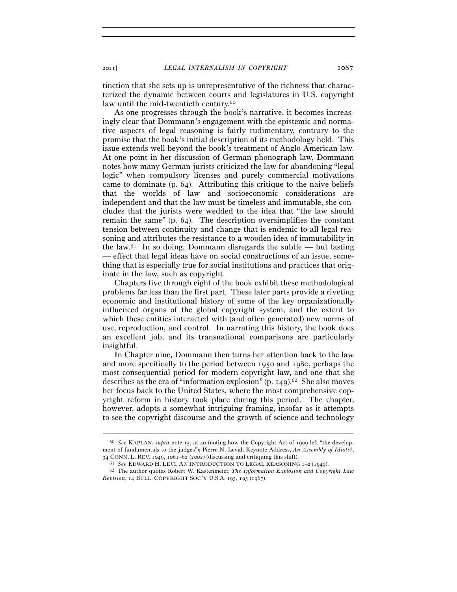tinction that she sets up is unrepresentative of the richness that characterized the dynamic between courts and legislatures in U.S. copyright law until the mid-twentieth century.<sup>60</sup>

As one progresses through the book's narrative, it becomes increasingly clear that Dommann's engagement with the epistemic and normative aspects of legal reasoning is fairly rudimentary, contrary to the promise that the book's initial description of its methodology held. This issue extends well beyond the book's treatment of Anglo-American law. At one point in her discussion of German phonograph law, Dommann notes how many German jurists criticized the law for abandoning "legal logic" when compulsory licenses and purely commercial motivations came to dominate (p. 64). Attributing this critique to the naive beliefs that the worlds of law and socioeconomic considerations are independent and that the law must be timeless and immutable, she concludes that the jurists were wedded to the idea that "the law should remain the same" (p. 64). The description oversimplifies the constant tension between continuity and change that is endemic to all legal reasoning and attributes the resistance to a wooden idea of immutability in the law.<sup>61</sup> In so doing, Dommann disregards the subtle — but lasting — effect that legal ideas have on social constructions of an issue, something that is especially true for social institutions and practices that originate in the law, such as copyright.

Chapters five through eight of the book exhibit these methodological problems far less than the first part. These later parts provide a riveting economic and institutional history of some of the key organizationally influenced organs of the global copyright system, and the extent to which these entities interacted with (and often generated) new norms of use, reproduction, and control. In narrating this history, the book does an excellent job, and its transnational comparisons are particularly insightful.

In Chapter nine, Dommann then turns her attention back to the law and more specifically to the period between 1950 and 1980, perhaps the most consequential period for modern copyright law, and one that she describes as the era of "information explosion" (p. 149).62 She also moves her focus back to the United States, where the most comprehensive copyright reform in history took place during this period. The chapter, however, adopts a somewhat intriguing framing, insofar as it attempts to see the copyright discourse and the growth of science and technology

<sup>60</sup> *See* KAPLAN, *supra* note 15, at 40 (noting how the Copyright Act of 1909 left "the development of fundamentals to the judges"); Pierre N. Leval, Keynote Address, *An Assembly of Idiots?*, 34 CONN. L. REV. 1049, 1061–62 (2002) (discussing and critiquing this shift).<br><sup>61</sup> See EDWARD H. LEVI, AN INTRODUCTION TO LEGAL REASONING 1–2 (1949).<br><sup>62</sup> The author quotes Robert W. Kastenmeier, *The Information Explosio* 

*Revision*, 14 BULL. COPYRIGHT SOC'Y U.S.A. 195, 195 (1967).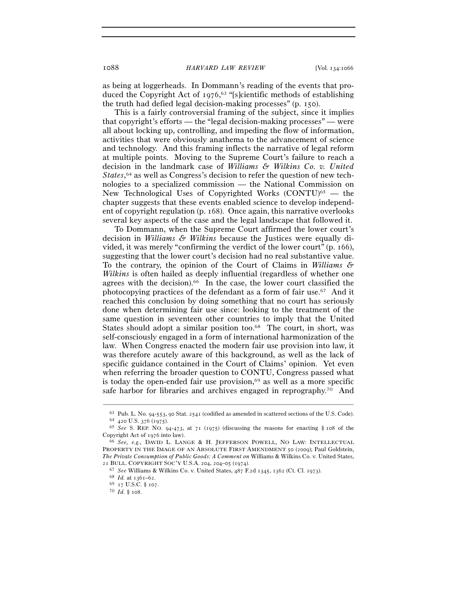as being at loggerheads. In Dommann's reading of the events that produced the Copyright Act of 1976, 63 "[s]cientific methods of establishing the truth had defied legal decision-making processes" (p. 150).

This is a fairly controversial framing of the subject, since it implies that copyright's efforts — the "legal decision-making processes" — were all about locking up, controlling, and impeding the flow of information, activities that were obviously anathema to the advancement of science and technology. And this framing inflects the narrative of legal reform at multiple points. Moving to the Supreme Court's failure to reach a decision in the landmark case of *Williams & Wilkins Co. v. United*  States,<sup>64</sup> as well as Congress's decision to refer the question of new technologies to a specialized commission — the National Commission on New Technological Uses of Copyrighted Works  $\text{(CONTU)}^{65}$  — the chapter suggests that these events enabled science to develop independent of copyright regulation (p. 168). Once again, this narrative overlooks several key aspects of the case and the legal landscape that followed it.

To Dommann, when the Supreme Court affirmed the lower court's decision in *Williams & Wilkins* because the Justices were equally divided, it was merely "confirming the verdict of the lower court" (p. 166), suggesting that the lower court's decision had no real substantive value. To the contrary, the opinion of the Court of Claims in *Williams & Wilkins* is often hailed as deeply influential (regardless of whether one agrees with the decision).66 In the case, the lower court classified the photocopying practices of the defendant as a form of fair use.67 And it reached this conclusion by doing something that no court has seriously done when determining fair use since: looking to the treatment of the same question in seventeen other countries to imply that the United States should adopt a similar position too.<sup>68</sup> The court, in short, was self-consciously engaged in a form of international harmonization of the law. When Congress enacted the modern fair use provision into law, it was therefore acutely aware of this background, as well as the lack of specific guidance contained in the Court of Claims' opinion. Yet even when referring the broader question to CONTU, Congress passed what is today the open-ended fair use provision, $69$  as well as a more specific safe harbor for libraries and archives engaged in reprography.<sup>70</sup> And

<sup>63</sup> Pub. L. No. 94-553, 90 Stat. <sup>2541</sup> (codified as amended in scattered sections of the U.S. Code). 64 <sup>420</sup> U.S. 376 (<sup>1975</sup>). 65 *See* S. REP. NO. 94-473, at 71 (1975) (discussing the reasons for enacting § 108 of the

Copyright Act of <sup>1976</sup> into law). 66 *See, e.g.*, DAVID L. LANGE & H. JEFFERSON POWELL, NO LAW: INTELLECTUAL

PROPERTY IN THE IMAGE OF AN ABSOLUTE FIRST AMENDMENT 50 (2009); Paul Goldstein, *The Private Consumption of Public Goods: A Comment on* Williams & Wilkins Co. v. United States, <sup>21</sup> BULL. COPYRIGHT SOC'Y U.S.A. <sup>204</sup>, 204–05 (<sup>1974</sup>). 67 *See* Williams & Wilkins Co. v. United States, 487 F.2d 1345, 1362 (Ct. Cl. <sup>1973</sup>). 68 *Id.* at 1361–62.

<sup>69</sup> <sup>17</sup> U.S.C. § <sup>107</sup>. 70 *Id.* § 108.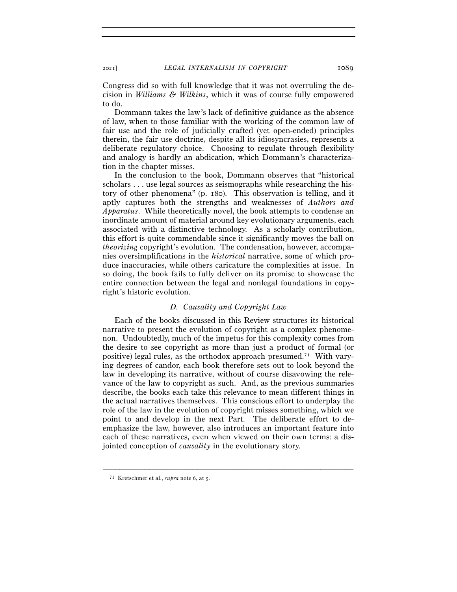Congress did so with full knowledge that it was not overruling the decision in *Williams & Wilkins*, which it was of course fully empowered to do.

Dommann takes the law's lack of definitive guidance as the absence of law, when to those familiar with the working of the common law of fair use and the role of judicially crafted (yet open-ended) principles therein, the fair use doctrine, despite all its idiosyncrasies, represents a deliberate regulatory choice. Choosing to regulate through flexibility and analogy is hardly an abdication, which Dommann's characterization in the chapter misses.

In the conclusion to the book, Dommann observes that "historical scholars . . . use legal sources as seismographs while researching the history of other phenomena" (p. 180). This observation is telling, and it aptly captures both the strengths and weaknesses of *Authors and Apparatus*. While theoretically novel, the book attempts to condense an inordinate amount of material around key evolutionary arguments, each associated with a distinctive technology. As a scholarly contribution, this effort is quite commendable since it significantly moves the ball on *theorizing* copyright's evolution. The condensation, however, accompanies oversimplifications in the *historical* narrative, some of which produce inaccuracies, while others caricature the complexities at issue. In so doing, the book fails to fully deliver on its promise to showcase the entire connection between the legal and nonlegal foundations in copyright's historic evolution.

## *D. Causality and Copyright Law*

Each of the books discussed in this Review structures its historical narrative to present the evolution of copyright as a complex phenomenon. Undoubtedly, much of the impetus for this complexity comes from the desire to see copyright as more than just a product of formal (or positive) legal rules, as the orthodox approach presumed.71 With varying degrees of candor, each book therefore sets out to look beyond the law in developing its narrative, without of course disavowing the relevance of the law to copyright as such. And, as the previous summaries describe, the books each take this relevance to mean different things in the actual narratives themselves. This conscious effort to underplay the role of the law in the evolution of copyright misses something, which we point to and develop in the next Part. The deliberate effort to deemphasize the law, however, also introduces an important feature into each of these narratives, even when viewed on their own terms: a disjointed conception of *causality* in the evolutionary story.

<sup>71</sup> Kretschmer et al., *supra* note 6, at 5.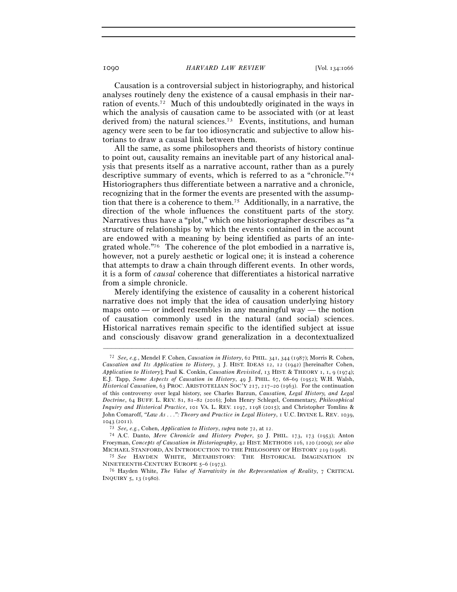Causation is a controversial subject in historiography, and historical analyses routinely deny the existence of a causal emphasis in their narration of events.72 Much of this undoubtedly originated in the ways in which the analysis of causation came to be associated with (or at least derived from) the natural sciences.<sup>73</sup> Events, institutions, and human agency were seen to be far too idiosyncratic and subjective to allow historians to draw a causal link between them.

All the same, as some philosophers and theorists of history continue to point out, causality remains an inevitable part of any historical analysis that presents itself as a narrative account, rather than as a purely descriptive summary of events, which is referred to as a "chronicle."74 Historiographers thus differentiate between a narrative and a chronicle, recognizing that in the former the events are presented with the assumption that there is a coherence to them.75 Additionally, in a narrative, the direction of the whole influences the constituent parts of the story. Narratives thus have a "plot," which one historiographer describes as "a structure of relationships by which the events contained in the account are endowed with a meaning by being identified as parts of an integrated whole."76 The coherence of the plot embodied in a narrative is, however, not a purely aesthetic or logical one; it is instead a coherence that attempts to draw a chain through different events. In other words, it is a form of *causal* coherence that differentiates a historical narrative from a simple chronicle.

Merely identifying the existence of causality in a coherent historical narrative does not imply that the idea of causation underlying history maps onto — or indeed resembles in any meaningful way — the notion of causation commonly used in the natural (and social) sciences. Historical narratives remain specific to the identified subject at issue and consciously disavow grand generalization in a decontextualized

<sup>72</sup> *See, e.g.*, Mendel F. Cohen, *Causation in History*, 62 PHIL. 341, 344 (1987); Morris R. Cohen, *Causation and Its Application to History*, 3 J. HIST. IDEAS 12, 12 (1942) [hereinafter Cohen, *Application to History*]; Paul K. Conkin, *Causation Revisited*, 13 HIST. & THEORY 1, 1, 9 (1974); E.J. Tapp, *Some Aspects of Causation in History*, 49 J. PHIL. 67, 68–69 (1952); W.H. Walsh, *Historical Causation*, 63 PROC. ARISTOTELIAN SOC'Y 217, 217–20 (1963). For the continuation of this controversy over legal history, see Charles Barzun, *Causation, Legal History, and Legal Doctrine*, 64 BUFF. L. REV. 81, 81–82 (2016); John Henry Schlegel, Commentary, *Philosophical Inquiry and Historical Practice*, 101 VA. L. REV. 1197, 1198 (2015); and Christopher Tomlins & John Comaroff, *"Law As . . .": Theory and Practice in Legal History*, 1 U.C. IRVINE L. REV. 1039, <sup>1043</sup> (<sup>2011</sup>). 73 *See, e.g.*, Cohen, *Application to History*, *supra* note 72, at <sup>12</sup>. 74 A.C. Danto, *Mere Chronicle and History Proper*, <sup>50</sup> J. PHIL. <sup>173</sup>, 173 (1953); Anton

Froeyman, *Concepts of Causation in Historiography*, 42 HIST. METHODS 116, 120 (2009); *see also*  MICHAEL STANFORD, AN INTRODUCTION TO THE PHILOSOPHY OF HISTORY <sup>219</sup>(<sup>1998</sup>). 75 *See* HAYDEN WHITE, METAHISTORY: THE HISTORICAL IMAGINATION IN

NINETEENTH-CENTURY EUROPE <sup>5</sup>–6 (<sup>1973</sup>). 76 Hayden White, *The Value of Narrativity in the Representation of Reality*, 7 CRITICAL

INQUIRY 5, 13 (1980).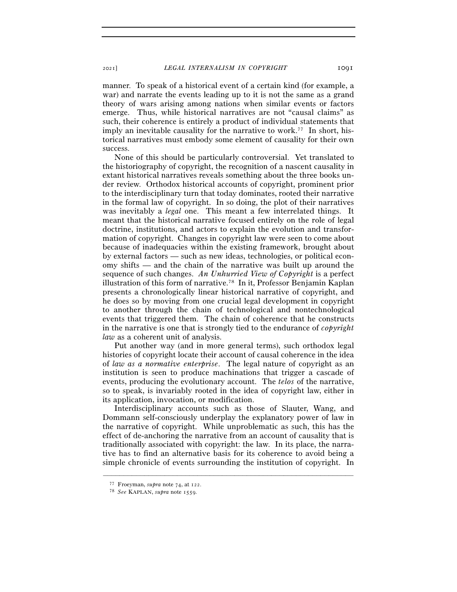manner. To speak of a historical event of a certain kind (for example, a war) and narrate the events leading up to it is not the same as a grand theory of wars arising among nations when similar events or factors emerge. Thus, while historical narratives are not "causal claims" as such, their coherence is entirely a product of individual statements that imply an inevitable causality for the narrative to work.<sup>77</sup> In short, historical narratives must embody some element of causality for their own success.

None of this should be particularly controversial. Yet translated to the historiography of copyright, the recognition of a nascent causality in extant historical narratives reveals something about the three books under review. Orthodox historical accounts of copyright, prominent prior to the interdisciplinary turn that today dominates, rooted their narrative in the formal law of copyright. In so doing, the plot of their narratives was inevitably a *legal* one. This meant a few interrelated things. It meant that the historical narrative focused entirely on the role of legal doctrine, institutions, and actors to explain the evolution and transformation of copyright. Changes in copyright law were seen to come about because of inadequacies within the existing framework, brought about by external factors — such as new ideas, technologies, or political economy shifts — and the chain of the narrative was built up around the sequence of such changes. *An Unhurried View of Copyright* is a perfect illustration of this form of narrative.78 In it, Professor Benjamin Kaplan presents a chronologically linear historical narrative of copyright, and he does so by moving from one crucial legal development in copyright to another through the chain of technological and nontechnological events that triggered them. The chain of coherence that he constructs in the narrative is one that is strongly tied to the endurance of *copyright law* as a coherent unit of analysis.

Put another way (and in more general terms), such orthodox legal histories of copyright locate their account of causal coherence in the idea of *law as a normative enterprise*. The legal nature of copyright as an institution is seen to produce machinations that trigger a cascade of events, producing the evolutionary account. The *telos* of the narrative, so to speak, is invariably rooted in the idea of copyright law, either in its application, invocation, or modification.

Interdisciplinary accounts such as those of Slauter, Wang, and Dommann self-consciously underplay the explanatory power of law in the narrative of copyright. While unproblematic as such, this has the effect of de-anchoring the narrative from an account of causality that is traditionally associated with copyright: the law. In its place, the narrative has to find an alternative basis for its coherence to avoid being a simple chronicle of events surrounding the institution of copyright. In

<sup>77</sup> Froeyman, *supra* note 74, at <sup>122</sup>. 78 *See* KAPLAN, *supra* note 1559.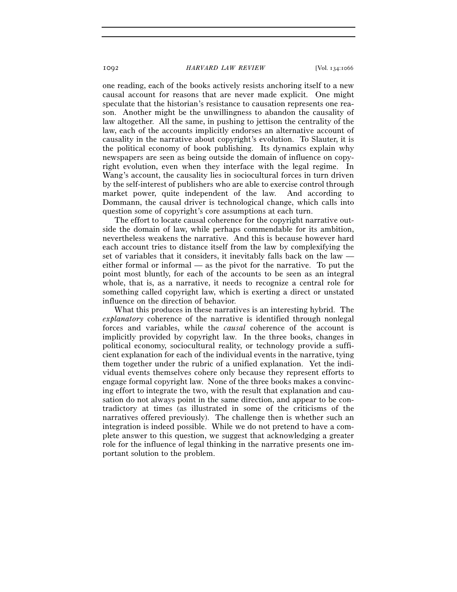one reading, each of the books actively resists anchoring itself to a new causal account for reasons that are never made explicit. One might speculate that the historian's resistance to causation represents one reason. Another might be the unwillingness to abandon the causality of law altogether. All the same, in pushing to jettison the centrality of the law, each of the accounts implicitly endorses an alternative account of causality in the narrative about copyright's evolution. To Slauter, it is the political economy of book publishing. Its dynamics explain why newspapers are seen as being outside the domain of influence on copyright evolution, even when they interface with the legal regime. In Wang's account, the causality lies in sociocultural forces in turn driven by the self-interest of publishers who are able to exercise control through market power, quite independent of the law. And according to Dommann, the causal driver is technological change, which calls into question some of copyright's core assumptions at each turn.

The effort to locate causal coherence for the copyright narrative outside the domain of law, while perhaps commendable for its ambition, nevertheless weakens the narrative. And this is because however hard each account tries to distance itself from the law by complexifying the set of variables that it considers, it inevitably falls back on the law either formal or informal — as the pivot for the narrative. To put the point most bluntly, for each of the accounts to be seen as an integral whole, that is, as a narrative, it needs to recognize a central role for something called copyright law, which is exerting a direct or unstated influence on the direction of behavior.

What this produces in these narratives is an interesting hybrid. The *explanatory* coherence of the narrative is identified through nonlegal forces and variables, while the *causal* coherence of the account is implicitly provided by copyright law. In the three books, changes in political economy, sociocultural reality, or technology provide a sufficient explanation for each of the individual events in the narrative, tying them together under the rubric of a unified explanation. Yet the individual events themselves cohere only because they represent efforts to engage formal copyright law. None of the three books makes a convincing effort to integrate the two, with the result that explanation and causation do not always point in the same direction, and appear to be contradictory at times (as illustrated in some of the criticisms of the narratives offered previously). The challenge then is whether such an integration is indeed possible. While we do not pretend to have a complete answer to this question, we suggest that acknowledging a greater role for the influence of legal thinking in the narrative presents one important solution to the problem.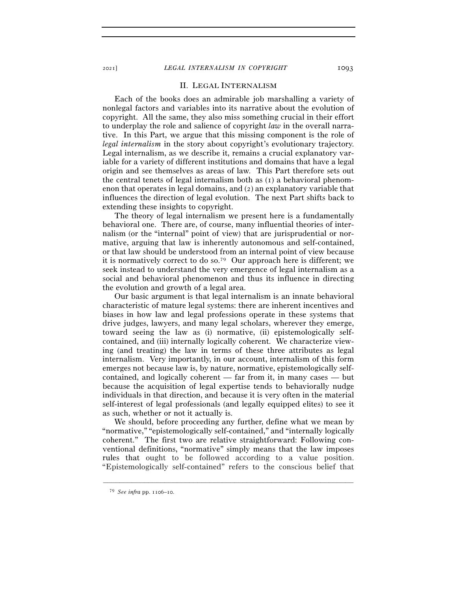## II. LEGAL INTERNALISM

Each of the books does an admirable job marshalling a variety of nonlegal factors and variables into its narrative about the evolution of copyright. All the same, they also miss something crucial in their effort to underplay the role and salience of copyright *law* in the overall narrative. In this Part, we argue that this missing component is the role of *legal internalism* in the story about copyright's evolutionary trajectory. Legal internalism, as we describe it, remains a crucial explanatory variable for a variety of different institutions and domains that have a legal origin and see themselves as areas of law. This Part therefore sets out the central tenets of legal internalism both as  $(1)$  a behavioral phenomenon that operates in legal domains, and (2) an explanatory variable that influences the direction of legal evolution. The next Part shifts back to extending these insights to copyright.

The theory of legal internalism we present here is a fundamentally behavioral one. There are, of course, many influential theories of internalism (or the "internal" point of view) that are jurisprudential or normative, arguing that law is inherently autonomous and self-contained, or that law should be understood from an internal point of view because it is normatively correct to do so.79 Our approach here is different; we seek instead to understand the very emergence of legal internalism as a social and behavioral phenomenon and thus its influence in directing the evolution and growth of a legal area.

Our basic argument is that legal internalism is an innate behavioral characteristic of mature legal systems: there are inherent incentives and biases in how law and legal professions operate in these systems that drive judges, lawyers, and many legal scholars, wherever they emerge, toward seeing the law as (i) normative, (ii) epistemologically selfcontained, and (iii) internally logically coherent. We characterize viewing (and treating) the law in terms of these three attributes as legal internalism. Very importantly, in our account, internalism of this form emerges not because law is, by nature, normative, epistemologically selfcontained, and logically coherent — far from it, in many cases — but because the acquisition of legal expertise tends to behaviorally nudge individuals in that direction, and because it is very often in the material self-interest of legal professionals (and legally equipped elites) to see it as such, whether or not it actually is.

We should, before proceeding any further, define what we mean by "normative," "epistemologically self-contained," and "internally logically coherent." The first two are relative straightforward: Following conventional definitions, "normative" simply means that the law imposes rules that ought to be followed according to a value position. "Epistemologically self-contained" refers to the conscious belief that

<sup>79</sup> *See infra* pp. 1106–10.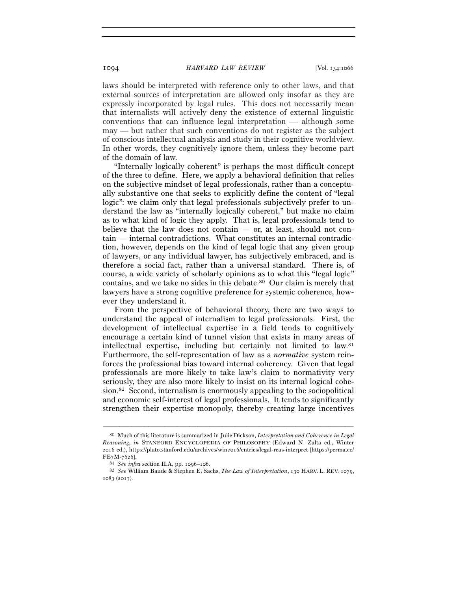laws should be interpreted with reference only to other laws, and that external sources of interpretation are allowed only insofar as they are expressly incorporated by legal rules. This does not necessarily mean that internalists will actively deny the existence of external linguistic conventions that can influence legal interpretation — although some may — but rather that such conventions do not register as the subject of conscious intellectual analysis and study in their cognitive worldview. In other words, they cognitively ignore them, unless they become part of the domain of law.

"Internally logically coherent" is perhaps the most difficult concept of the three to define. Here, we apply a behavioral definition that relies on the subjective mindset of legal professionals, rather than a conceptually substantive one that seeks to explicitly define the content of "legal logic": we claim only that legal professionals subjectively prefer to understand the law as "internally logically coherent," but make no claim as to what kind of logic they apply. That is, legal professionals tend to believe that the law does not contain — or, at least, should not contain — internal contradictions. What constitutes an internal contradiction, however, depends on the kind of legal logic that any given group of lawyers, or any individual lawyer, has subjectively embraced, and is therefore a social fact, rather than a universal standard. There is, of course, a wide variety of scholarly opinions as to what this "legal logic" contains, and we take no sides in this debate.80 Our claim is merely that lawyers have a strong cognitive preference for systemic coherence, however they understand it.

From the perspective of behavioral theory, there are two ways to understand the appeal of internalism to legal professionals. First, the development of intellectual expertise in a field tends to cognitively encourage a certain kind of tunnel vision that exists in many areas of intellectual expertise, including but certainly not limited to law.81 Furthermore, the self-representation of law as a *normative* system reinforces the professional bias toward internal coherency. Given that legal professionals are more likely to take law's claim to normativity very seriously, they are also more likely to insist on its internal logical cohesion.82 Second, internalism is enormously appealing to the sociopolitical and economic self-interest of legal professionals. It tends to significantly strengthen their expertise monopoly, thereby creating large incentives

<sup>80</sup> Much of this literature is summarized in Julie Dickson, *Interpretation and Coherence in Legal Reasoning*, *in* STANFORD ENCYCLOPEDIA OF PHILOSOPHY (Edward N. Zalta ed., Winter 2016 ed.), https://plato.stanford.edu/archives/win2016/entries/legal-reas-interpret [https://perma.cc/

FE7M-<sup>7626</sup>]. 81 *See infra* section II.A, pp. 1096–<sup>106</sup>. 82 *See* William Baude & Stephen E. Sachs, *The Law of Interpretation*, 130 HARV. L. REV. 1079, 1083 (2017).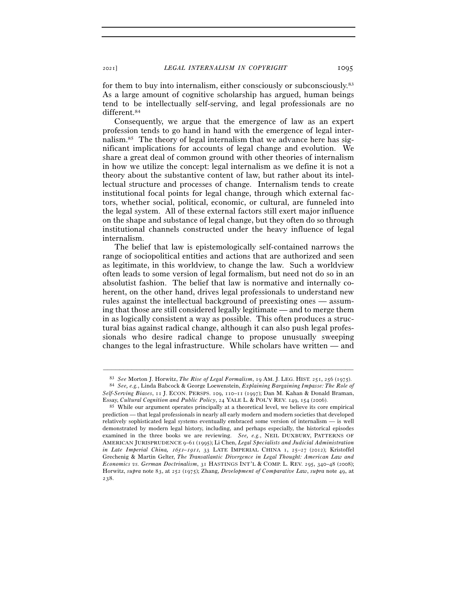for them to buy into internalism, either consciously or subconsciously.83 As a large amount of cognitive scholarship has argued, human beings tend to be intellectually self-serving, and legal professionals are no different.84

Consequently, we argue that the emergence of law as an expert profession tends to go hand in hand with the emergence of legal internalism.85 The theory of legal internalism that we advance here has significant implications for accounts of legal change and evolution. We share a great deal of common ground with other theories of internalism in how we utilize the concept: legal internalism as we define it is not a theory about the substantive content of law, but rather about its intellectual structure and processes of change. Internalism tends to create institutional focal points for legal change, through which external factors, whether social, political, economic, or cultural, are funneled into the legal system. All of these external factors still exert major influence on the shape and substance of legal change, but they often do so through institutional channels constructed under the heavy influence of legal internalism.

The belief that law is epistemologically self-contained narrows the range of sociopolitical entities and actions that are authorized and seen as legitimate, in this worldview, to change the law. Such a worldview often leads to some version of legal formalism, but need not do so in an absolutist fashion. The belief that law is normative and internally coherent, on the other hand, drives legal professionals to understand new rules against the intellectual background of preexisting ones — assuming that those are still considered legally legitimate — and to merge them in as logically consistent a way as possible. This often produces a structural bias against radical change, although it can also push legal professionals who desire radical change to propose unusually sweeping changes to the legal infrastructure. While scholars have written — and

<sup>–––––––––––––––––––––––––––––––––––––––––––––––––––––––––––––</sup> <sup>83</sup> *See* Morton J. Horwitz, *The Rise of Legal Formalism*, 19 AM. J. LEG. HIST. 251, 256 (<sup>1975</sup>). 84 *See, e.g.*, Linda Babcock & George Loewenstein, *Explaining Bargaining Impasse: The Role of* 

*Self-Serving Biases*, 11 J. ECON. PERSPS. 109, 110–11 (1997); Dan M. Kahan & Donald Braman, Essay, *Cultural Cognition and Public Policy*, 24 YALE L. & POL'Y REV. 149, 154 (<sup>2006</sup>). 85 While our argument operates principally at a theoretical level, we believe its core empirical

prediction — that legal professionals in nearly all early modern and modern societies that developed relatively sophisticated legal systems eventually embraced some version of internalism — is well demonstrated by modern legal history, including, and perhaps especially, the historical episodes examined in the three books we are reviewing. *See, e.g.*, NEIL DUXBURY, PATTERNS OF AMERICAN JURISPRUDENCE 9–61 (1995); Li Chen, *Legal Specialists and Judicial Administration in Late Imperial China, 1651–1911*, 33 LATE IMPERIAL CHINA 1, 25–27 (2012); Kristoffel Grechenig & Martin Gelter, *The Transatlantic Divergence in Legal Thought: American Law and Economics vs. German Doctrinalism*, 31 HASTINGS INT'L & COMP. L. REV. 295, 340–48 (2008); Horwitz, *supra* note 83, at 252 (1975); Zhang, *Development of Comparative Law*, *supra* note 49, at 238.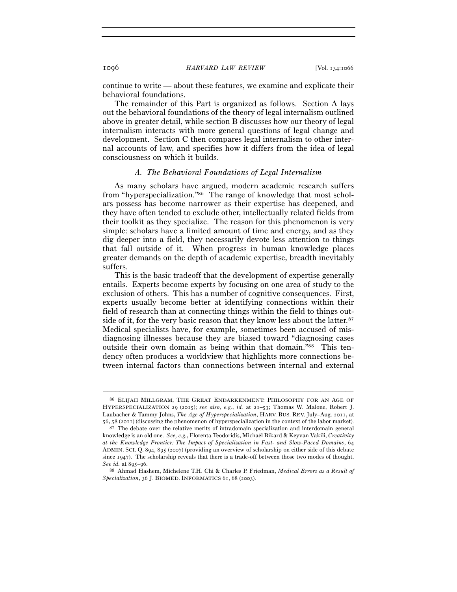continue to write — about these features, we examine and explicate their behavioral foundations.

The remainder of this Part is organized as follows. Section A lays out the behavioral foundations of the theory of legal internalism outlined above in greater detail, while section B discusses how our theory of legal internalism interacts with more general questions of legal change and development. Section C then compares legal internalism to other internal accounts of law, and specifies how it differs from the idea of legal consciousness on which it builds.

## *A. The Behavioral Foundations of Legal Internalism*

As many scholars have argued, modern academic research suffers from "hyperspecialization."86 The range of knowledge that most scholars possess has become narrower as their expertise has deepened, and they have often tended to exclude other, intellectually related fields from their toolkit as they specialize. The reason for this phenomenon is very simple: scholars have a limited amount of time and energy, and as they dig deeper into a field, they necessarily devote less attention to things that fall outside of it. When progress in human knowledge places greater demands on the depth of academic expertise, breadth inevitably suffers.

This is the basic tradeoff that the development of expertise generally entails. Experts become experts by focusing on one area of study to the exclusion of others. This has a number of cognitive consequences. First, experts usually become better at identifying connections within their field of research than at connecting things within the field to things outside of it, for the very basic reason that they know less about the latter.<sup>87</sup> Medical specialists have, for example, sometimes been accused of misdiagnosing illnesses because they are biased toward "diagnosing cases outside their own domain as being within that domain."88 This tendency often produces a worldview that highlights more connections between internal factors than connections between internal and external

<sup>86</sup> ELIJAH MILLGRAM, THE GREAT ENDARKENMENT: PHILOSOPHY FOR AN AGE OF HYPERSPECIALIZATION 29 (2015); *see also, e.g.*, *id.* at 21–53; Thomas W. Malone, Robert J. Laubacher & Tammy Johns, *The Age of Hyperspecialization*, HARV. BUS. REV. July–Aug. 2011, at

<sup>56</sup>, 58 (<sup>2011</sup>) (discussing the phenomenon of hyperspecialization in the context of the labor market). 87 The debate over the relative merits of intradomain specialization and interdomain general knowledge is an old one. *See, e.g.*, Florenta Teodoridis, Michaël Bikard & Keyvan Vakili, *Creativity at the Knowledge Frontier: The Impact of Specialization in Fast- and Slow-Paced Domains*, 64 ADMIN. SCI. Q. 894, 895 (2007) (providing an overview of scholarship on either side of this debate since 1947). The scholarship reveals that there is a trade-off between those two modes of thought. *See id.* at 895–<sup>96</sup>. 88 Ahmad Hashem, Michelene T.H. Chi & Charles P. Friedman, *Medical Errors as a Result of* 

*Specialization*, 36 J. BIOMED. INFORMATICS 61, 68 (2003).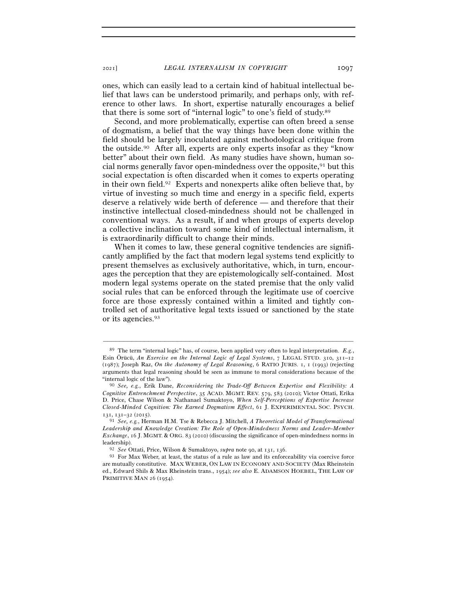<sup>2021</sup>] *LEGAL INTERNALISM IN COPYRIGHT* 1097

ones, which can easily lead to a certain kind of habitual intellectual belief that laws can be understood primarily, and perhaps only, with reference to other laws. In short, expertise naturally encourages a belief that there is some sort of "internal logic" to one's field of study.89

Second, and more problematically, expertise can often breed a sense of dogmatism, a belief that the way things have been done within the field should be largely inoculated against methodological critique from the outside.90 After all, experts are only experts insofar as they "know better" about their own field. As many studies have shown, human social norms generally favor open-mindedness over the opposite,  $91$  but this social expectation is often discarded when it comes to experts operating in their own field.92 Experts and nonexperts alike often believe that, by virtue of investing so much time and energy in a specific field, experts deserve a relatively wide berth of deference — and therefore that their instinctive intellectual closed-mindedness should not be challenged in conventional ways. As a result, if and when groups of experts develop a collective inclination toward some kind of intellectual internalism, it is extraordinarily difficult to change their minds.

When it comes to law, these general cognitive tendencies are significantly amplified by the fact that modern legal systems tend explicitly to present themselves as exclusively authoritative, which, in turn, encourages the perception that they are epistemologically self-contained. Most modern legal systems operate on the stated premise that the only valid social rules that can be enforced through the legitimate use of coercive force are those expressly contained within a limited and tightly controlled set of authoritative legal texts issued or sanctioned by the state or its agencies.93

<sup>89</sup> The term "internal logic" has, of course, been applied very often to legal interpretation. *E.g.*, Esin Örücü, *An Exercise on the Internal Logic of Legal Systems*, 7 LEGAL STUD. 310, 311–12 (1987); Joseph Raz, *On the Autonomy of Legal Reasoning*, 6 RATIO JURIS. 1, 1 (1993) (rejecting arguments that legal reasoning should be seen as immune to moral considerations because of the "internal logic of the law"). 90 *See, e.g.*, Erik Dane, *Reconsidering the Trade-Off Between Expertise and Flexibility: A* 

*Cognitive Entrenchment Perspective*, 35 ACAD. MGMT. REV. 579, 583 (2010); Victor Ottati, Erika D. Price, Chase Wilson & Nathanael Sumaktoyo, *When Self-Perceptions of Expertise Increase Closed-Minded Cognition: The Earned Dogmatism Effect*, 61 J. EXPERIMENTAL SOC. PSYCH. <sup>131</sup>, 131–32 (<sup>2015</sup>). 91 *See, e.g.*, Herman H.M. Tse & Rebecca J. Mitchell, *A Theoretical Model of Transformational* 

*Leadership and Knowledge Creation: The Role of Open-Mindedness Norms and Leader–Member Exchange*, 16 J. MGMT. & ORG. 83 (2010) (discussing the significance of open-mindedness norms in leadership). 92 *See* Ottati, Price, Wilson & Sumaktoyo, *supra* note 90, at 131, <sup>136</sup>. 93 For Max Weber, at least, the status of a rule as law and its enforceability via coercive force

are mutually constitutive. MAX WEBER, ON LAW IN ECONOMY AND SOCIETY (Max Rheinstein ed., Edward Shils & Max Rheinstein trans., 1954); *see also* E. ADAMSON HOEBEL, THE LAW OF PRIMITIVE MAN 26 (1954).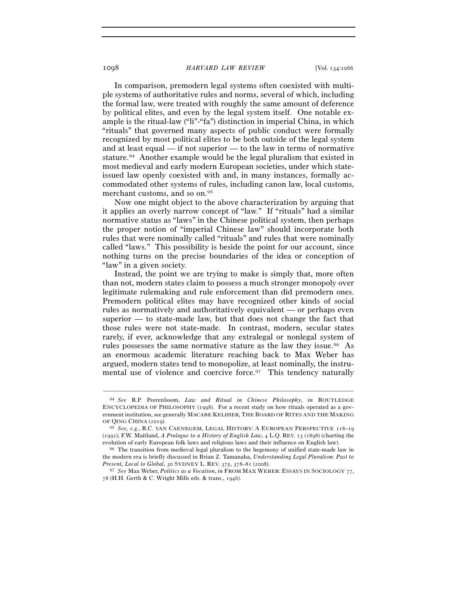In comparison, premodern legal systems often coexisted with multiple systems of authoritative rules and norms, several of which, including the formal law, were treated with roughly the same amount of deference by political elites, and even by the legal system itself. One notable example is the ritual-law ("li"-"fa") distinction in imperial China, in which "rituals" that governed many aspects of public conduct were formally recognized by most political elites to be both outside of the legal system and at least equal — if not superior — to the law in terms of normative stature.94 Another example would be the legal pluralism that existed in most medieval and early modern European societies, under which stateissued law openly coexisted with and, in many instances, formally accommodated other systems of rules, including canon law, local customs, merchant customs, and so on.95

Now one might object to the above characterization by arguing that it applies an overly narrow concept of "law." If "rituals" had a similar normative status as "laws" in the Chinese political system, then perhaps the proper notion of "imperial Chinese law" should incorporate both rules that were nominally called "rituals" and rules that were nominally called "laws." This possibility is beside the point for our account, since nothing turns on the precise boundaries of the idea or conception of "law" in a given society.

Instead, the point we are trying to make is simply that, more often than not, modern states claim to possess a much stronger monopoly over legitimate rulemaking and rule enforcement than did premodern ones. Premodern political elites may have recognized other kinds of social rules as normatively and authoritatively equivalent — or perhaps even superior — to state-made law, but that does not change the fact that those rules were not state-made. In contrast, modern, secular states rarely, if ever, acknowledge that any extralegal or nonlegal system of rules possesses the same normative stature as the law they issue.96 As an enormous academic literature reaching back to Max Weber has argued, modern states tend to monopolize, at least nominally, the instrumental use of violence and coercive force.<sup>97</sup> This tendency naturally

<sup>94</sup> *See* R.P. Peerenboom, *Law and Ritual in Chinese Philosophy*, *in* ROUTLEDGE ENCYCLOPEDIA OF PHILOSOPHY (1998). For a recent study on how rituals operated as a government institution, see generally MACABE KELIHER, THE BOARD OF RITES AND THE MAKING OF QING CHINA (2019).

<sup>95</sup> *See, e.g.*, R.C. VAN CAENEGEM, LEGAL HISTORY: A EUROPEAN PERSPECTIVE 118–19 (1991); F.W. Maitland, *A Prologue to a History of English Law*, 4 L.Q. REV. 13 (1898) (charting the evolution of early European folk laws and religious laws and their influence on English law). 96 The transition from medieval legal pluralism to the hegemony of unified state-made law in

the modern era is briefly discussed in Brian Z. Tamanaha, *Understanding Legal Pluralism: Past to Present, Local to Global*, 30 SYDNEY L. REV. 375, 378–81 (2008).

<sup>97</sup> *See* Max Weber, *Politics as a Vocation*, *in* FROM MAX WEBER: ESSAYS IN SOCIOLOGY 77, 78 (H.H. Gerth & C. Wright Mills eds. & trans., 1946).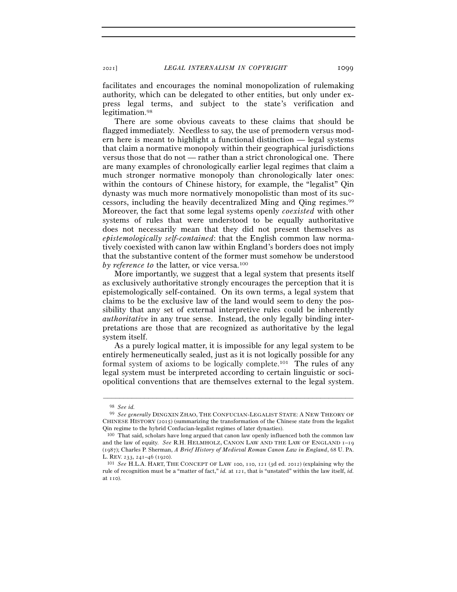facilitates and encourages the nominal monopolization of rulemaking authority, which can be delegated to other entities, but only under express legal terms, and subject to the state's verification and legitimation.98

There are some obvious caveats to these claims that should be flagged immediately. Needless to say, the use of premodern versus modern here is meant to highlight a functional distinction — legal systems that claim a normative monopoly within their geographical jurisdictions versus those that do not — rather than a strict chronological one. There are many examples of chronologically earlier legal regimes that claim a much stronger normative monopoly than chronologically later ones: within the contours of Chinese history, for example, the "legalist" Qin dynasty was much more normatively monopolistic than most of its successors, including the heavily decentralized Ming and Qing regimes.99 Moreover, the fact that some legal systems openly *coexisted* with other systems of rules that were understood to be equally authoritative does not necessarily mean that they did not present themselves as *epistemologically self-contained*: that the English common law normatively coexisted with canon law within England's borders does not imply that the substantive content of the former must somehow be understood *by reference to the latter, or vice versa.*<sup>100</sup>

More importantly, we suggest that a legal system that presents itself as exclusively authoritative strongly encourages the perception that it is epistemologically self-contained. On its own terms, a legal system that claims to be the exclusive law of the land would seem to deny the possibility that any set of external interpretive rules could be inherently *authoritative* in any true sense. Instead, the only legally binding interpretations are those that are recognized as authoritative by the legal system itself.

As a purely logical matter, it is impossible for any legal system to be entirely hermeneutically sealed, just as it is not logically possible for any formal system of axioms to be logically complete. 101 The rules of any legal system must be interpreted according to certain linguistic or sociopolitical conventions that are themselves external to the legal system.

<sup>98</sup> *See id.*

<sup>99</sup> *See generally* DINGXIN ZHAO, THE CONFUCIAN-LEGALIST STATE: A NEW THEORY OF CHINESE HISTORY (2015) (summarizing the transformation of the Chinese state from the legalist Qin regime to the hybrid Confucian-legalist regimes of later dynasties). 100 That said, scholars have long argued that canon law openly influenced both the common law

and the law of equity. *See* R.H. HELMHOLZ, CANON LAW AND THE LAW OF ENGLAND 1–19 (1987); Charles P. Sherman, *A Brief History of Medieval Roman Canon Law in England*, 68 U. PA. L. REV. <sup>233</sup>, 241–46 (<sup>1920</sup>). 101 *See* H.L.A. HART, THE CONCEPT OF LAW <sup>100</sup>, 110, 121 (3d ed. 2012) (explaining why the

rule of recognition must be a "matter of fact," *id.* at 121, that is "unstated" within the law itself, *id.* at 110).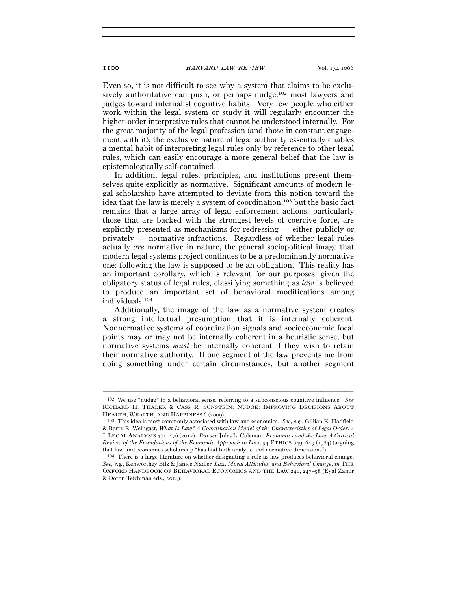Even so, it is not difficult to see why a system that claims to be exclusively authoritative can push, or perhaps nudge,<sup>102</sup> most lawyers and judges toward internalist cognitive habits. Very few people who either work within the legal system or study it will regularly encounter the higher-order interpretive rules that cannot be understood internally. For the great majority of the legal profession (and those in constant engagement with it), the exclusive nature of legal authority essentially enables a mental habit of interpreting legal rules only by reference to other legal rules, which can easily encourage a more general belief that the law is epistemologically self-contained.

In addition, legal rules, principles, and institutions present themselves quite explicitly as normative. Significant amounts of modern legal scholarship have attempted to deviate from this notion toward the idea that the law is merely a system of coordination,103 but the basic fact remains that a large array of legal enforcement actions, particularly those that are backed with the strongest levels of coercive force, are explicitly presented as mechanisms for redressing — either publicly or privately — normative infractions. Regardless of whether legal rules actually *are* normative in nature, the general sociopolitical image that modern legal systems project continues to be a predominantly normative one: following the law is supposed to be an obligation. This reality has an important corollary, which is relevant for our purposes: given the obligatory status of legal rules, classifying something as *law* is believed to produce an important set of behavioral modifications among individuals.104

Additionally, the image of the law as a normative system creates a strong intellectual presumption that it is internally coherent. Nonnormative systems of coordination signals and socioeconomic focal points may or may not be internally coherent in a heuristic sense, but normative systems *must* be internally coherent if they wish to retain their normative authority. If one segment of the law prevents me from doing something under certain circumstances, but another segment

<sup>102</sup> We use "nudge" in a behavioral sense, referring to a subconscious cognitive influence. *See* RICHARD H. THALER & CASS R. SUNSTEIN, NUDGE: IMPROVING DECISIONS ABOUT HEALTH, WEALTH, AND HAPPINESS <sup>6</sup> (<sup>2009</sup>). 103 This idea is most commonly associated with law and economics. *See, e.g.*, Gillian K. Hadfield

<sup>&</sup>amp; Barry R. Weingast, *What Is Law? A Coordination Model of the Characteristics of Legal Order*, 4 J. LEGAL ANALYSIS 471, 476 (2012). *But see* Jules L. Coleman, *Economics and the Law: A Critical Review of the Foundations of the Economic Approach to Law*, 94 ETHICS 649, 649 (1984) (arguing that law and economics scholarship "has had both analytic and normative dimensions").

<sup>104</sup> There is a large literature on whether designating a rule as law produces behavioral change. *See, e.g.*, Kenworthey Bilz & Janice Nadler, *Law, Moral Attitudes, and Behavioral Change*, *in* THE OXFORD HANDBOOK OF BEHAVIORAL ECONOMICS AND THE LAW 241, 247–58 (Eyal Zamir & Doron Teichman eds., 2014).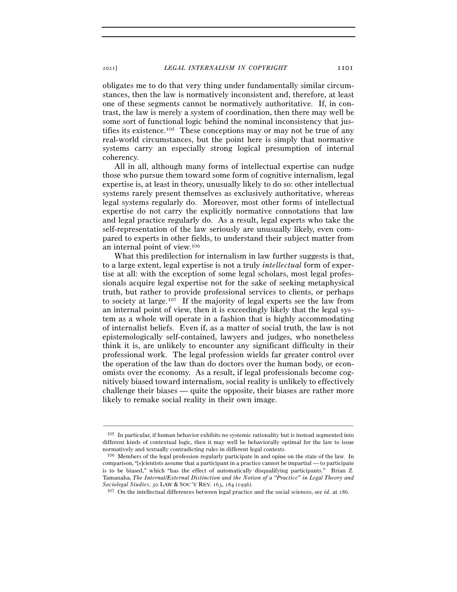obligates me to do that very thing under fundamentally similar circumstances, then the law is normatively inconsistent and, therefore, at least one of these segments cannot be normatively authoritative. If, in contrast, the law is merely a system of coordination, then there may well be some sort of functional logic behind the nominal inconsistency that justifies its existence.<sup>105</sup> These conceptions may or may not be true of any real-world circumstances, but the point here is simply that normative systems carry an especially strong logical presumption of internal coherency.

All in all, although many forms of intellectual expertise can nudge those who pursue them toward some form of cognitive internalism, legal expertise is, at least in theory, unusually likely to do so: other intellectual systems rarely present themselves as exclusively authoritative, whereas legal systems regularly do. Moreover, most other forms of intellectual expertise do not carry the explicitly normative connotations that law and legal practice regularly do. As a result, legal experts who take the self-representation of the law seriously are unusually likely, even compared to experts in other fields, to understand their subject matter from an internal point of view.106

What this predilection for internalism in law further suggests is that, to a large extent, legal expertise is not a truly *intellectual* form of expertise at all: with the exception of some legal scholars, most legal professionals acquire legal expertise not for the sake of seeking metaphysical truth, but rather to provide professional services to clients, or perhaps to society at large.107 If the majority of legal experts see the law from an internal point of view, then it is exceedingly likely that the legal system as a whole will operate in a fashion that is highly accommodating of internalist beliefs. Even if, as a matter of social truth, the law is not epistemologically self-contained, lawyers and judges, who nonetheless think it is, are unlikely to encounter any significant difficulty in their professional work. The legal profession wields far greater control over the operation of the law than do doctors over the human body, or economists over the economy. As a result, if legal professionals become cognitively biased toward internalism, social reality is unlikely to effectively challenge their biases — quite the opposite, their biases are rather more likely to remake social reality in their own image.

<sup>105</sup> In particular, if human behavior exhibits no systemic rationality but is instead segmented into different kinds of contextual logic, then it may well be behaviorally optimal for the law to issue normatively and textually contradicting rules in different legal contexts.

<sup>106</sup> Members of the legal profession regularly participate in and opine on the state of the law. In comparison, "[s]cientists assume that a participant in a practice cannot be impartial — to participate is to be biased," which "has the effect of automatically disqualifying participants." Brian Z. Tamanaha, *The Internal/External Distinction and the Notion of a "Practice" in Legal Theory and Sociolegal Studies*, 30 LAW & SOC'Y REV. 163, 184 (<sup>1996</sup>). 107 On the intellectual differences between legal practice and the social sciences, see *id.* at 186.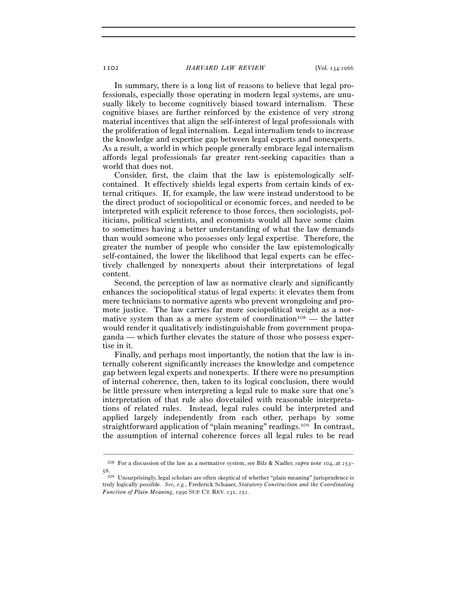In summary, there is a long list of reasons to believe that legal professionals, especially those operating in modern legal systems, are unusually likely to become cognitively biased toward internalism. These cognitive biases are further reinforced by the existence of very strong material incentives that align the self-interest of legal professionals with the proliferation of legal internalism. Legal internalism tends to increase the knowledge and expertise gap between legal experts and nonexperts. As a result, a world in which people generally embrace legal internalism affords legal professionals far greater rent-seeking capacities than a world that does not.

Consider, first, the claim that the law is epistemologically selfcontained. It effectively shields legal experts from certain kinds of external critiques. If, for example, the law were instead understood to be the direct product of sociopolitical or economic forces, and needed to be interpreted with explicit reference to those forces, then sociologists, politicians, political scientists, and economists would all have some claim to sometimes having a better understanding of what the law demands than would someone who possesses only legal expertise. Therefore, the greater the number of people who consider the law epistemologically self-contained, the lower the likelihood that legal experts can be effectively challenged by nonexperts about their interpretations of legal content.

Second, the perception of law as normative clearly and significantly enhances the sociopolitical status of legal experts: it elevates them from mere technicians to normative agents who prevent wrongdoing and promote justice. The law carries far more sociopolitical weight as a normative system than as a mere system of coordination<sup>108</sup> — the latter would render it qualitatively indistinguishable from government propaganda — which further elevates the stature of those who possess expertise in it.

Finally, and perhaps most importantly, the notion that the law is internally coherent significantly increases the knowledge and competence gap between legal experts and nonexperts. If there were no presumption of internal coherence, then, taken to its logical conclusion, there would be little pressure when interpreting a legal rule to make sure that one's interpretation of that rule also dovetailed with reasonable interpretations of related rules. Instead, legal rules could be interpreted and applied largely independently from each other, perhaps by some straightforward application of "plain meaning" readings.109 In contrast, the assumption of internal coherence forces all legal rules to be read

<sup>–––––––––––––––––––––––––––––––––––––––––––––––––––––––––––––</sup> <sup>108</sup> For a discussion of the law as a normative system, see Bilz & Nadler, *supra* note 104, at 253– 58.

<sup>109</sup> Unsurprisingly, legal scholars are often skeptical of whether "plain meaning" jurisprudence is truly logically possible. *See, e.g.*, Frederick Schauer, *Statutory Construction and the Coordinating Function of Plain Meaning*, 1990 SUP. CT. REV. 231, 252.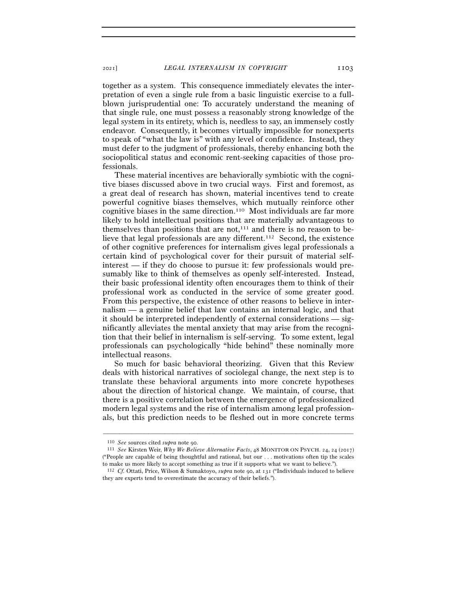together as a system. This consequence immediately elevates the interpretation of even a single rule from a basic linguistic exercise to a fullblown jurisprudential one: To accurately understand the meaning of that single rule, one must possess a reasonably strong knowledge of the legal system in its entirety, which is, needless to say, an immensely costly endeavor. Consequently, it becomes virtually impossible for nonexperts to speak of "what the law is" with any level of confidence. Instead, they must defer to the judgment of professionals, thereby enhancing both the sociopolitical status and economic rent-seeking capacities of those professionals.

These material incentives are behaviorally symbiotic with the cognitive biases discussed above in two crucial ways. First and foremost, as a great deal of research has shown, material incentives tend to create powerful cognitive biases themselves, which mutually reinforce other cognitive biases in the same direction.110 Most individuals are far more likely to hold intellectual positions that are materially advantageous to themselves than positions that are not, $111$  and there is no reason to believe that legal professionals are any different.<sup>112</sup> Second, the existence of other cognitive preferences for internalism gives legal professionals a certain kind of psychological cover for their pursuit of material selfinterest — if they do choose to pursue it: few professionals would presumably like to think of themselves as openly self-interested. Instead, their basic professional identity often encourages them to think of their professional work as conducted in the service of some greater good. From this perspective, the existence of other reasons to believe in internalism — a genuine belief that law contains an internal logic, and that it should be interpreted independently of external considerations — significantly alleviates the mental anxiety that may arise from the recognition that their belief in internalism is self-serving. To some extent, legal professionals can psychologically "hide behind" these nominally more intellectual reasons.

So much for basic behavioral theorizing. Given that this Review deals with historical narratives of sociolegal change, the next step is to translate these behavioral arguments into more concrete hypotheses about the direction of historical change. We maintain, of course, that there is a positive correlation between the emergence of professionalized modern legal systems and the rise of internalism among legal professionals, but this prediction needs to be fleshed out in more concrete terms

<sup>110</sup> *See* sources cited *supra* note <sup>90</sup>. 111 *See* Kirsten Weir, *Why We Believe Alternative Facts*, 48 MONITOR ON PSYCH. 24, 24 (2017) ("People are capable of being thoughtful and rational, but our  $\dots$  motivations often tip the scales to make us more likely to accept something as true if it supports what we want to believe.").

<sup>&</sup>lt;sup>112</sup> *Cf.* Ottati, Price, Wilson & Sumaktoyo, *supra* note 90, at 131 ("Individuals induced to believe they are experts tend to overestimate the accuracy of their beliefs.").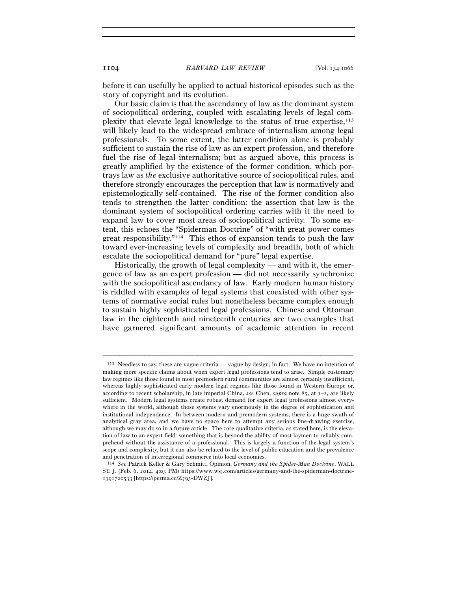before it can usefully be applied to actual historical episodes such as the story of copyright and its evolution.

Our basic claim is that the ascendancy of law as the dominant system of sociopolitical ordering, coupled with escalating levels of legal complexity that elevate legal knowledge to the status of true expertise,113 will likely lead to the widespread embrace of internalism among legal professionals. To some extent, the latter condition alone is probably sufficient to sustain the rise of law as an expert profession, and therefore fuel the rise of legal internalism; but as argued above, this process is greatly amplified by the existence of the former condition, which portrays law as *the* exclusive authoritative source of sociopolitical rules, and therefore strongly encourages the perception that law is normatively and epistemologically self-contained. The rise of the former condition also tends to strengthen the latter condition: the assertion that law is the dominant system of sociopolitical ordering carries with it the need to expand law to cover most areas of sociopolitical activity. To some extent, this echoes the "Spiderman Doctrine" of "with great power comes great responsibility."114 This ethos of expansion tends to push the law toward ever-increasing levels of complexity and breadth, both of which escalate the sociopolitical demand for "pure" legal expertise.

Historically, the growth of legal complexity — and with it, the emergence of law as an expert profession — did not necessarily synchronize with the sociopolitical ascendancy of law. Early modern human history is riddled with examples of legal systems that coexisted with other systems of normative social rules but nonetheless became complex enough to sustain highly sophisticated legal professions. Chinese and Ottoman law in the eighteenth and nineteenth centuries are two examples that have garnered significant amounts of academic attention in recent

<sup>113</sup> Needless to say, these are vague criteria — vague by design, in fact. We have no intention of making more specific claims about when expert legal professions tend to arise. Simple customary law regimes like those found in most premodern rural communities are almost certainly insufficient, whereas highly sophisticated early modern legal regimes like those found in Western Europe or, according to recent scholarship, in late imperial China, *see* Chen, *supra* note 85, at 1–2, are likely sufficient. Modern legal systems create robust demand for expert legal professions almost everywhere in the world, although those systems vary enormously in the degree of sophistication and institutional independence. In between modern and premodern systems, there is a huge swath of analytical gray area, and we have no space here to attempt any serious line-drawing exercise, although we may do so in a future article. The core qualitative criteria, as stated here, is the elevation of law to an expert field: something that is beyond the ability of most laymen to reliably comprehend without the assistance of a professional. This is largely a function of the legal system's scope and complexity, but it can also be related to the level of public education and the prevalence and penetration of interregional commerce into local economies.

<sup>114</sup> *See* Patrick Keller & Gary Schmitt, Opinion, *Germany and the Spider-Man Doctrine*, WALL ST. J. (Feb. 6, 2014, 4:03 PM) https://www.wsj.com/articles/germany-and-the-spiderman-doctrine-1391720533 [https://perma.cc/Z795-DWZJ].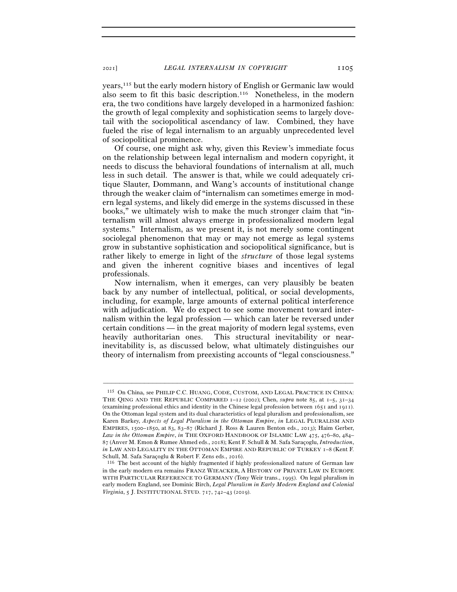years,115 but the early modern history of English or Germanic law would also seem to fit this basic description.116 Nonetheless, in the modern era, the two conditions have largely developed in a harmonized fashion: the growth of legal complexity and sophistication seems to largely dovetail with the sociopolitical ascendancy of law. Combined, they have fueled the rise of legal internalism to an arguably unprecedented level of sociopolitical prominence.

Of course, one might ask why, given this Review's immediate focus on the relationship between legal internalism and modern copyright, it needs to discuss the behavioral foundations of internalism at all, much less in such detail. The answer is that, while we could adequately critique Slauter, Dommann, and Wang's accounts of institutional change through the weaker claim of "internalism can sometimes emerge in modern legal systems, and likely did emerge in the systems discussed in these books," we ultimately wish to make the much stronger claim that "internalism will almost always emerge in professionalized modern legal systems." Internalism, as we present it, is not merely some contingent sociolegal phenomenon that may or may not emerge as legal systems grow in substantive sophistication and sociopolitical significance, but is rather likely to emerge in light of the *structure* of those legal systems and given the inherent cognitive biases and incentives of legal professionals.

Now internalism, when it emerges, can very plausibly be beaten back by any number of intellectual, political, or social developments, including, for example, large amounts of external political interference with adjudication. We do expect to see some movement toward internalism within the legal profession — which can later be reversed under certain conditions — in the great majority of modern legal systems, even heavily authoritarian ones. This structural inevitability or nearinevitability is, as discussed below, what ultimately distinguishes our theory of internalism from preexisting accounts of "legal consciousness."

<sup>115</sup> On China, see PHILIP C.C. HUANG, CODE, CUSTOM, AND LEGAL PRACTICE IN CHINA: THE QING AND THE REPUBLIC COMPARED 1–12 (2002); Chen, *supra* note 85, at 1–5, 31–34 (examining professional ethics and identity in the Chinese legal profession between 1651 and 1911). On the Ottoman legal system and its dual characteristics of legal pluralism and professionalism, see Karen Barkey, *Aspects of Legal Pluralism in the Ottoman Empire*, *in* LEGAL PLURALISM AND EMPIRES, 1500–1850, at 83, 83–87 (Richard J. Ross & Lauren Benton eds., 2013); Haim Gerber, Law in the Ottoman Empire, in THE OXFORD HANDBOOK OF ISLAMIC LAW 475, 476-80, 484-87 (Anver M. Emon & Rumee Ahmed eds., 2018); Kent F. Schull & M. Safa Saraçoglu, *Introduction*, *in* LAW AND LEGALITY IN THE OTTOMAN EMPIRE AND REPUBLIC OF TURKEY 1-8 (Kent F. Schull, M. Safa Saraçoglu & Robert F. Zens eds., <sup>2016</sup>). 116 The best account of the highly fragmented if highly professionalized nature of German law

in the early modern era remains FRANZ WIEACKER, A HISTORY OF PRIVATE LAW IN EUROPE WITH PARTICULAR REFERENCE TO GERMANY (Tony Weir trans., 1995). On legal pluralism in early modern England, see Dominic Birch, *Legal Pluralism in Early Modern England and Colonial Virginia*, 5 J. INSTITUTIONAL STUD. 717, 742–43 (2019).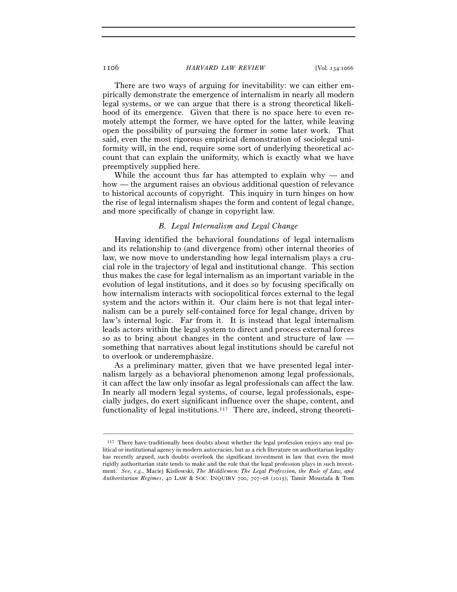There are two ways of arguing for inevitability: we can either empirically demonstrate the emergence of internalism in nearly all modern legal systems, or we can argue that there is a strong theoretical likelihood of its emergence. Given that there is no space here to even remotely attempt the former, we have opted for the latter, while leaving open the possibility of pursuing the former in some later work. That said, even the most rigorous empirical demonstration of sociolegal uniformity will, in the end, require some sort of underlying theoretical account that can explain the uniformity, which is exactly what we have preemptively supplied here.

While the account thus far has attempted to explain why — and how — the argument raises an obvious additional question of relevance to historical accounts of copyright. This inquiry in turn hinges on how the rise of legal internalism shapes the form and content of legal change, and more specifically of change in copyright law.

## *B. Legal Internalism and Legal Change*

Having identified the behavioral foundations of legal internalism and its relationship to (and divergence from) other internal theories of law, we now move to understanding how legal internalism plays a crucial role in the trajectory of legal and institutional change. This section thus makes the case for legal internalism as an important variable in the evolution of legal institutions, and it does so by focusing specifically on how internalism interacts with sociopolitical forces external to the legal system and the actors within it. Our claim here is not that legal internalism can be a purely self-contained force for legal change, driven by law's internal logic. Far from it. It is instead that legal internalism leads actors within the legal system to direct and process external forces so as to bring about changes in the content and structure of law something that narratives about legal institutions should be careful not to overlook or underemphasize.

As a preliminary matter, given that we have presented legal internalism largely as a behavioral phenomenon among legal professionals, it can affect the law only insofar as legal professionals can affect the law. In nearly all modern legal systems, of course, legal professionals, especially judges, do exert significant influence over the shape, content, and functionality of legal institutions.<sup>117</sup> There are, indeed, strong theoreti-

<sup>&</sup>lt;sup>117</sup> There have traditionally been doubts about whether the legal profession enjoys any real political or institutional agency in modern autocracies, but as a rich literature on authoritarian legality has recently argued, such doubts overlook the significant investment in law that even the most rigidly authoritarian state tends to make and the role that the legal profession plays in such investment. *See, e.g.*, Maciej Kisilowski, *The Middlemen: The Legal Profession, the Rule of Law, and Authoritarian Regimes*, 40 LAW & SOC. INQUIRY 700, 707–08 (2015); Tamir Moustafa & Tom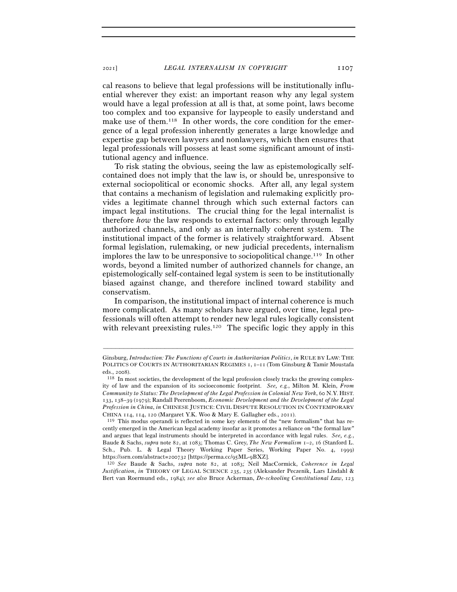cal reasons to believe that legal professions will be institutionally influential wherever they exist: an important reason why any legal system would have a legal profession at all is that, at some point, laws become too complex and too expansive for laypeople to easily understand and make use of them.<sup>118</sup> In other words, the core condition for the emergence of a legal profession inherently generates a large knowledge and expertise gap between lawyers and nonlawyers, which then ensures that legal professionals will possess at least some significant amount of institutional agency and influence.

To risk stating the obvious, seeing the law as epistemologically selfcontained does not imply that the law is, or should be, unresponsive to external sociopolitical or economic shocks. After all, any legal system that contains a mechanism of legislation and rulemaking explicitly provides a legitimate channel through which such external factors can impact legal institutions. The crucial thing for the legal internalist is therefore *how* the law responds to external factors: only through legally authorized channels, and only as an internally coherent system. The institutional impact of the former is relatively straightforward. Absent formal legislation, rulemaking, or new judicial precedents, internalism implores the law to be unresponsive to sociopolitical change.119 In other words, beyond a limited number of authorized channels for change, an epistemologically self-contained legal system is seen to be institutionally biased against change, and therefore inclined toward stability and conservatism.

In comparison, the institutional impact of internal coherence is much more complicated. As many scholars have argued, over time, legal professionals will often attempt to render new legal rules logically consistent with relevant preexisting rules.<sup>120</sup> The specific logic they apply in this

–––––––––––––––––––––––––––––––––––––––––––––––––––––––––––––

https://ssrn.com/abstract=200732 [https://perma.cc/95ML-9BXZ]. 120 *See* Baude & Sachs, *supra* note 82, at 1083; Neil MacCormick, *Coherence in Legal Justification*, *in* THEORY OF LEGAL SCIENCE 235, 235 (Aleksander Peczenik, Lars Lindahl & Bert van Roermund eds., 1984); *see also* Bruce Ackerman, *De-schooling Constitutional Law*, 123

Ginsburg, *Introduction: The Functions of Courts in Authoritarian Politics*, *in* RULE BY LAW: THE POLITICS OF COURTS IN AUTHORITARIAN REGIMES 1, 1–11 (Tom Ginsburg & Tamir Moustafa eds., <sup>2008</sup>). 118 In most societies, the development of the legal profession closely tracks the growing complex-

ity of law and the expansion of its socioeconomic footprint. *See, e.g.*, Milton M. Klein, *From Community to Status: The Development of the Legal Profession in Colonial New York*, 60 N.Y. HIST. 133, 138–39 (1979); Randall Peerenboom, *Economic Development and the Development of the Legal Profession in China*, *in* CHINESE JUSTICE: CIVIL DISPUTE RESOLUTION IN CONTEMPORARY CHINA 114, 114, 120 (Margaret Y.K. Woo & Mary E. Gallagher eds., 2011).

<sup>119</sup> This modus operandi is reflected in some key elements of the "new formalism" that has recently emerged in the American legal academy insofar as it promotes a reliance on "the formal law" and argues that legal instruments should be interpreted in accordance with legal rules. *See, e.g.*, Baude & Sachs, *supra* note 82, at 1083; Thomas C. Grey, *The New Formalism* 1–2, 16 (Stanford L. Sch., Pub. L. & Legal Theory Working Paper Series, Working Paper No. 4, 1999)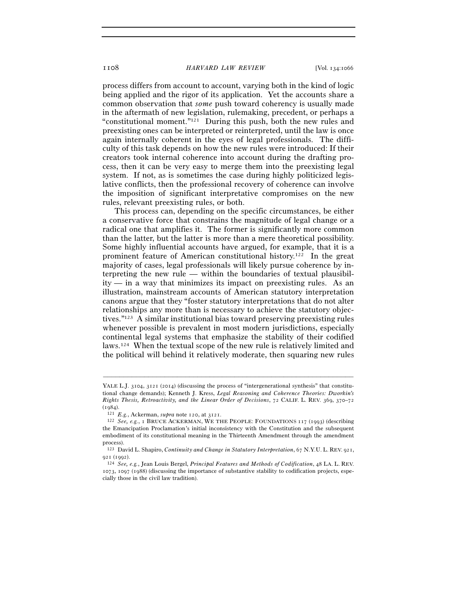process differs from account to account, varying both in the kind of logic being applied and the rigor of its application. Yet the accounts share a common observation that *some* push toward coherency is usually made in the aftermath of new legislation, rulemaking, precedent, or perhaps a "constitutional moment."121 During this push, both the new rules and preexisting ones can be interpreted or reinterpreted, until the law is once again internally coherent in the eyes of legal professionals. The difficulty of this task depends on how the new rules were introduced: If their creators took internal coherence into account during the drafting process, then it can be very easy to merge them into the preexisting legal system. If not, as is sometimes the case during highly politicized legislative conflicts, then the professional recovery of coherence can involve the imposition of significant interpretative compromises on the new rules, relevant preexisting rules, or both.

This process can, depending on the specific circumstances, be either a conservative force that constrains the magnitude of legal change or a radical one that amplifies it. The former is significantly more common than the latter, but the latter is more than a mere theoretical possibility. Some highly influential accounts have argued, for example, that it is a prominent feature of American constitutional history.122 In the great majority of cases, legal professionals will likely pursue coherence by interpreting the new rule — within the boundaries of textual plausibility — in a way that minimizes its impact on preexisting rules. As an illustration, mainstream accounts of American statutory interpretation canons argue that they "foster statutory interpretations that do not alter relationships any more than is necessary to achieve the statutory objectives."123 A similar institutional bias toward preserving preexisting rules whenever possible is prevalent in most modern jurisdictions, especially continental legal systems that emphasize the stability of their codified laws.124 When the textual scope of the new rule is relatively limited and the political will behind it relatively moderate, then squaring new rules

YALE L.J. 3104, 3121 (2014) (discussing the process of "intergenerational synthesis" that constitutional change demands); Kenneth J. Kress, *Legal Reasoning and Coherence Theories: Dworkin's Rights Thesis, Retroactivity, and the Linear Order of Decisions*, 72 CALIF. L. REV. 369, 370–72 (1984).<br><sup>121</sup> E.g., Ackerman, *supra* note 120, at 3121.

<sup>&</sup>lt;sup>122</sup> *See, e.g.*, I BRUCE ACKERMAN, WE THE PEOPLE: FOUNDATIONS 117 (1993) (describing the Emancipation Proclamation's initial inconsistency with the Constitution and the subsequent embodiment of its constitutional meaning in the Thirteenth Amendment through the amendment process).

<sup>123</sup> David L. Shapiro, *Continuity and Change in Statutory Interpretation*, 67 N.Y.U. L. REV. 921, 921 (1992).

<sup>124</sup> *See, e.g.*, Jean Louis Bergel, *Principal Features and Methods of Codification*, 48 LA. L. REV. 1073, 1097 (1988) (discussing the importance of substantive stability to codification projects, especially those in the civil law tradition).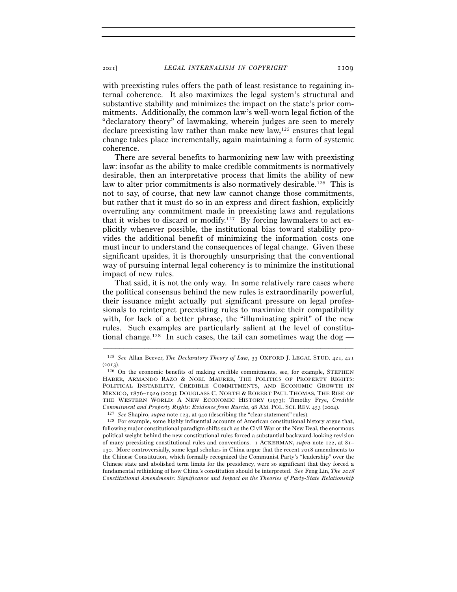with preexisting rules offers the path of least resistance to regaining internal coherence. It also maximizes the legal system's structural and substantive stability and minimizes the impact on the state's prior commitments. Additionally, the common law's well-worn legal fiction of the "declaratory theory" of lawmaking, wherein judges are seen to merely declare preexisting law rather than make new law,125 ensures that legal change takes place incrementally, again maintaining a form of systemic coherence.

There are several benefits to harmonizing new law with preexisting law: insofar as the ability to make credible commitments is normatively desirable, then an interpretative process that limits the ability of new law to alter prior commitments is also normatively desirable.126 This is not to say, of course, that new law cannot change those commitments, but rather that it must do so in an express and direct fashion, explicitly overruling any commitment made in preexisting laws and regulations that it wishes to discard or modify.<sup>127</sup> By forcing lawmakers to act explicitly whenever possible, the institutional bias toward stability provides the additional benefit of minimizing the information costs one must incur to understand the consequences of legal change. Given these significant upsides, it is thoroughly unsurprising that the conventional way of pursuing internal legal coherency is to minimize the institutional impact of new rules.

That said, it is not the only way. In some relatively rare cases where the political consensus behind the new rules is extraordinarily powerful, their issuance might actually put significant pressure on legal professionals to reinterpret preexisting rules to maximize their compatibility with, for lack of a better phrase, the "illuminating spirit" of the new rules. Such examples are particularly salient at the level of constitutional change.<sup>128</sup> In such cases, the tail can sometimes wag the dog —

<sup>–––––––––––––––––––––––––––––––––––––––––––––––––––––––––––––</sup> <sup>125</sup> *See* Allan Beever, *The Declaratory Theory of Law*, 33 OXFORD J. LEGAL STUD. 421, 421

<sup>(</sup> $2013$ ).  $126$  On the economic benefits of making credible commitments, see, for example, STEPHEN HABER, ARMANDO RAZO & NOEL MAURER, THE POLITICS OF PROPERTY RIGHTS: POLITICAL INSTABILITY, CREDIBLE COMMITMENTS, AND ECONOMIC GROWTH IN MEXICO, 1876–1929 (2003); DOUGLASS C. NORTH & ROBERT PAUL THOMAS, THE RISE OF THE WESTERN WORLD: A NEW ECONOMIC HISTORY (1973); Timothy Frye, *Credible Commitment and Property Rights: Evidence from Russia*, 98 AM. POL. SCI. REV. 453 (2004).

<sup>127</sup> *See* Shapiro, *supra* note 123, at <sup>940</sup> (describing the "clear statement" rules). 128 For example, some highly influential accounts of American constitutional history argue that, following major constitutional paradigm shifts such as the Civil War or the New Deal, the enormous political weight behind the new constitutional rules forced a substantial backward-looking revision of many preexisting constitutional rules and conventions. 1 ACKERMAN, *supra* note 122, at 81– 130. More controversially, some legal scholars in China argue that the recent 2018 amendments to the Chinese Constitution, which formally recognized the Communist Party's "leadership" over the Chinese state and abolished term limits for the presidency, were so significant that they forced a fundamental rethinking of how China's constitution should be interpreted. *See* Feng Lin, *The* <sup>2018</sup> *Constitutional Amendments: Significance and Impact on the Theories of Party-State Relationship*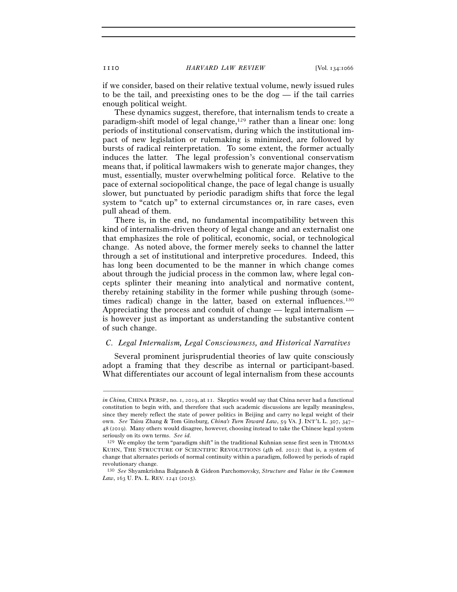if we consider, based on their relative textual volume, newly issued rules to be the tail, and preexisting ones to be the dog — if the tail carries enough political weight.

These dynamics suggest, therefore, that internalism tends to create a paradigm-shift model of legal change,129 rather than a linear one: long periods of institutional conservatism, during which the institutional impact of new legislation or rulemaking is minimized, are followed by bursts of radical reinterpretation. To some extent, the former actually induces the latter. The legal profession's conventional conservatism means that, if political lawmakers wish to generate major changes, they must, essentially, muster overwhelming political force. Relative to the pace of external sociopolitical change, the pace of legal change is usually slower, but punctuated by periodic paradigm shifts that force the legal system to "catch up" to external circumstances or, in rare cases, even pull ahead of them.

There is, in the end, no fundamental incompatibility between this kind of internalism-driven theory of legal change and an externalist one that emphasizes the role of political, economic, social, or technological change. As noted above, the former merely seeks to channel the latter through a set of institutional and interpretive procedures. Indeed, this has long been documented to be the manner in which change comes about through the judicial process in the common law, where legal concepts splinter their meaning into analytical and normative content, thereby retaining stability in the former while pushing through (sometimes radical) change in the latter, based on external influences.<sup>130</sup> Appreciating the process and conduit of change — legal internalism is however just as important as understanding the substantive content of such change.

#### *C. Legal Internalism, Legal Consciousness, and Historical Narratives*

Several prominent jurisprudential theories of law quite consciously adopt a framing that they describe as internal or participant-based. What differentiates our account of legal internalism from these accounts

*in China*, CHINA PERSP., no. 1, 2019, at 11. Skeptics would say that China never had a functional constitution to begin with, and therefore that such academic discussions are legally meaningless, since they merely reflect the state of power politics in Beijing and carry no legal weight of their own. *See* Taisu Zhang & Tom Ginsburg, *China's Turn Toward Law*, 59 VA. J. INT'L L. 307, 347– 48 (2019). Many others would disagree, however, choosing instead to take the Chinese legal system seriously on its own terms. *See id.*

<sup>129</sup> We employ the term "paradigm shift" in the traditional Kuhnian sense first seen in THOMAS KUHN, THE STRUCTURE OF SCIENTIFIC REVOLUTIONS (4th ed. 2012): that is, a system of change that alternates periods of normal continuity within a paradigm, followed by periods of rapid revolutionary change.

<sup>130</sup> *See* Shyamkrishna Balganesh & Gideon Parchomovsky, *Structure and Value in the Common Law*, 163 U. PA. L. REV. 1241 (2015).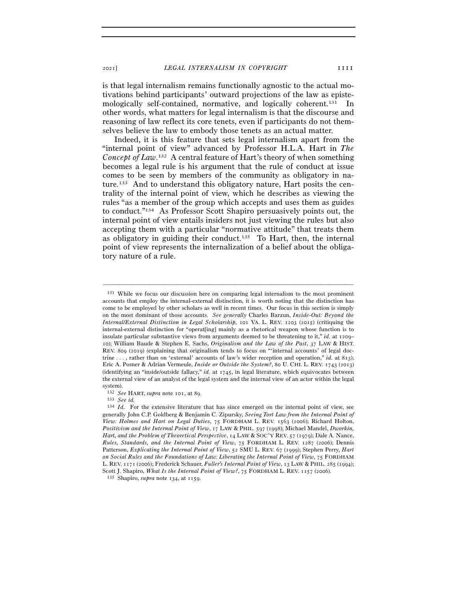<sup>2021</sup>] *LEGAL INTERNALISM IN COPYRIGHT* 1111

is that legal internalism remains functionally agnostic to the actual motivations behind participants' outward projections of the law as epistemologically self-contained, normative, and logically coherent.131 In other words, what matters for legal internalism is that the discourse and reasoning of law reflect its core tenets, even if participants do not themselves believe the law to embody those tenets as an actual matter.

Indeed, it is this feature that sets legal internalism apart from the "internal point of view" advanced by Professor H.L.A. Hart in *The Concept of Law*. 132 A central feature of Hart's theory of when something becomes a legal rule is his argument that the rule of conduct at issue comes to be seen by members of the community as obligatory in nature.133 And to understand this obligatory nature, Hart posits the centrality of the internal point of view, which he describes as viewing the rules "as a member of the group which accepts and uses them as guides to conduct."134 As Professor Scott Shapiro persuasively points out, the internal point of view entails insiders not just viewing the rules but also accepting them with a particular "normative attitude" that treats them as obligatory in guiding their conduct.<sup>135</sup> To Hart, then, the internal point of view represents the internalization of a belief about the obligatory nature of a rule.

<sup>131</sup> While we focus our discussion here on comparing legal internalism to the most prominent accounts that employ the internal-external distinction, it is worth noting that the distinction has come to be employed by other scholars as well in recent times. Our focus in this section is simply on the most dominant of those accounts. *See generally* Charles Barzun, *Inside-Out: Beyond the Internal/External Distinction in Legal Scholarship*, 101 VA. L. REV. 1203 (2015) (critiquing the internal-external distinction for "operat[ing] mainly as a rhetorical weapon whose function is to insulate particular substantive views from arguments deemed to be threatening to it," *id.* at 1209– 10); William Baude & Stephen E. Sachs, *Originalism and the Law of the Past*, 37 LAW & HIST. REV. 809 (2019) (explaining that originalism tends to focus on "'internal accounts' of legal doctrine . . . , rather than on 'external' accounts of law's wider reception and operation," *id.* at 813); Eric A. Posner & Adrian Vermeule, *Inside or Outside the System?*, 80 U. CHI. L. REV. 1743 (2013) (identifying an "inside/outside fallacy," *id.* at 1745, in legal literature, which equivocates between the external view of an analyst of the legal system and the internal view of an actor within the legal system).

<sup>132</sup> *See* HART, *supra* note 101, at <sup>89</sup>. 133 *See id.*

<sup>134</sup> *Id.* For the extensive literature that has since emerged on the internal point of view, see generally John C.P. Goldberg & Benjamin C. Zipursky, *Seeing Tort Law from the Internal Point of View: Holmes and Hart on Legal Duties*, 75 FORDHAM L. REV. 1563 (2006); Richard Holton, *Positivism and the Internal Point of View*, 17 LAW & PHIL. 597 (1998); Michael Mandel, *Dworkin, Hart, and the Problem of Theoretical Perspective*, 14 LAW & SOC'Y REV. 57 (1979); Dale A. Nance, *Rules, Standards, and the Internal Point of View*, 75 FORDHAM L. REV. 1287 (2006); Dennis Patterson, *Explicating the Internal Point of View*, 52 SMU L. REV. 67 (1999); Stephen Perry, *Hart on Social Rules and the Foundations of Law: Liberating the Internal Point of View*, 75 FORDHAM L. REV. 1171 (2006); Frederick Schauer, *Fuller's Internal Point of View*, 13 LAW & PHIL. 285 (1994); Scott J. Shapiro, *What Is the Internal Point of View?*, 75 FORDHAM L. REV. 1157 (<sup>2006</sup>). 135 Shapiro, *supra* note 134, at 1159.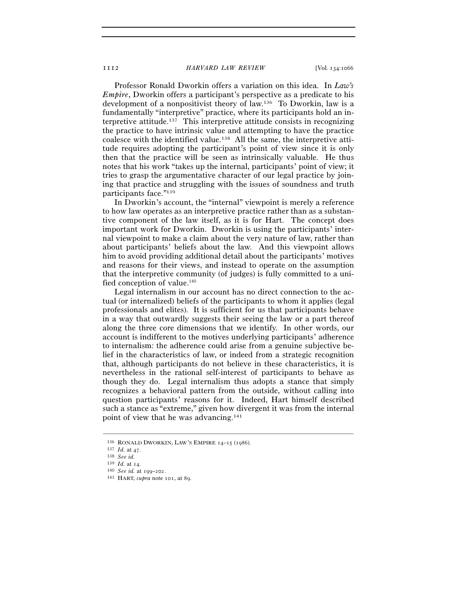Professor Ronald Dworkin offers a variation on this idea. In *Law's Empire*, Dworkin offers a participant's perspective as a predicate to his development of a nonpositivist theory of law.136 To Dworkin, law is a fundamentally "interpretive" practice, where its participants hold an interpretive attitude.137 This interpretive attitude consists in recognizing the practice to have intrinsic value and attempting to have the practice coalesce with the identified value.138 All the same, the interpretive attitude requires adopting the participant's point of view since it is only then that the practice will be seen as intrinsically valuable. He thus notes that his work "takes up the internal, participants' point of view; it tries to grasp the argumentative character of our legal practice by joining that practice and struggling with the issues of soundness and truth participants face."139

In Dworkin's account, the "internal" viewpoint is merely a reference to how law operates as an interpretive practice rather than as a substantive component of the law itself, as it is for Hart. The concept does important work for Dworkin. Dworkin is using the participants' internal viewpoint to make a claim about the very nature of law, rather than about participants' beliefs about the law. And this viewpoint allows him to avoid providing additional detail about the participants' motives and reasons for their views, and instead to operate on the assumption that the interpretive community (of judges) is fully committed to a unified conception of value.<sup>140</sup>

Legal internalism in our account has no direct connection to the actual (or internalized) beliefs of the participants to whom it applies (legal professionals and elites). It is sufficient for us that participants behave in a way that outwardly suggests their seeing the law or a part thereof along the three core dimensions that we identify. In other words, our account is indifferent to the motives underlying participants' adherence to internalism: the adherence could arise from a genuine subjective belief in the characteristics of law, or indeed from a strategic recognition that, although participants do not believe in these characteristics, it is nevertheless in the rational self-interest of participants to behave as though they do. Legal internalism thus adopts a stance that simply recognizes a behavioral pattern from the outside, without calling into question participants' reasons for it. Indeed, Hart himself described such a stance as "extreme," given how divergent it was from the internal point of view that he was advancing.141

<sup>136</sup> RONALD DWORKIN, LAW'S EMPIRE <sup>14</sup>–15 (<sup>1986</sup>). 137 *Id.* at 47.

<sup>138</sup> *See id.*

<sup>139</sup> *Id.* at <sup>14</sup>. 140 *See id.* at 199–202.

<sup>141</sup> HART, *supra* note 101, at 89.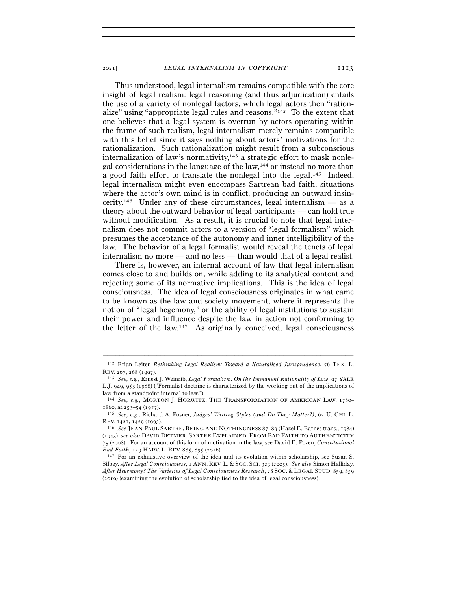Thus understood, legal internalism remains compatible with the core insight of legal realism: legal reasoning (and thus adjudication) entails the use of a variety of nonlegal factors, which legal actors then "rationalize" using "appropriate legal rules and reasons."142 To the extent that one believes that a legal system is overrun by actors operating within the frame of such realism, legal internalism merely remains compatible with this belief since it says nothing about actors' motivations for the rationalization. Such rationalization might result from a subconscious internalization of law's normativity,<sup>143</sup> a strategic effort to mask nonlegal considerations in the language of the law,144 or instead no more than a good faith effort to translate the nonlegal into the legal.145 Indeed, legal internalism might even encompass Sartrean bad faith, situations where the actor's own mind is in conflict, producing an outward insincerity.<sup>146</sup> Under any of these circumstances, legal internalism — as a theory about the outward behavior of legal participants — can hold true without modification. As a result, it is crucial to note that legal internalism does not commit actors to a version of "legal formalism" which presumes the acceptance of the autonomy and inner intelligibility of the law. The behavior of a legal formalist would reveal the tenets of legal internalism no more — and no less — than would that of a legal realist.

There is, however, an internal account of law that legal internalism comes close to and builds on, while adding to its analytical content and rejecting some of its normative implications. This is the idea of legal consciousness. The idea of legal consciousness originates in what came to be known as the law and society movement, where it represents the notion of "legal hegemony," or the ability of legal institutions to sustain their power and influence despite the law in action not conforming to the letter of the law.<sup>147</sup> As originally conceived, legal consciousness

<sup>–––––––––––––––––––––––––––––––––––––––––––––––––––––––––––––</sup> <sup>142</sup> Brian Leiter, *Rethinking Legal Realism: Toward a Naturalized Jurisprudence*, 76 TEX. L. REV. <sup>267</sup>, 268 (<sup>1997</sup>). 143 *See, e.g.*, Ernest J. Weinrib, *Legal Formalism: On the Immanent Rationality of Law*, 97 YALE

L.J. 949, 953 (1988) ("Formalist doctrine is characterized by the working out of the implications of law from a standpoint internal to law.").

<sup>144</sup> *See, e.g.*, MORTON J. HORWITZ, THE TRANSFORMATION OF AMERICAN LAW, 1780– 1860, at 253–54 (1977).

<sup>145</sup> *See, e.g.*, Richard A. Posner, *Judges' Writing Styles (and Do They Matter?)*, 62 U. CHI. L. REV. <sup>1421</sup>, 1429 (<sup>1995</sup>). 146 *See* JEAN-PAUL SARTRE, BEING AND NOTHINGNESS <sup>87</sup>–89 (Hazel E. Barnes trans., 1984)

<sup>(</sup>1943); *see also* DAVID DETMER, SARTRE EXPLAINED: FROM BAD FAITH TO AUTHENTICITY 75 (2008). For an account of this form of motivation in the law, see David E. Pozen, *Constitutional Bad Faith*, 129 HARV. L. REV. 885, 895 (2016).

<sup>147</sup> For an exhaustive overview of the idea and its evolution within scholarship, see Susan S. Silbey, *After Legal Consciousness*, 1 ANN. REV. L. & SOC. SCI. 323 (2005). *See also* Simon Halliday, *After Hegemony? The Varieties of Legal Consciousness Research*, 28 SOC. & LEGAL STUD. 859, 859 (2019) (examining the evolution of scholarship tied to the idea of legal consciousness).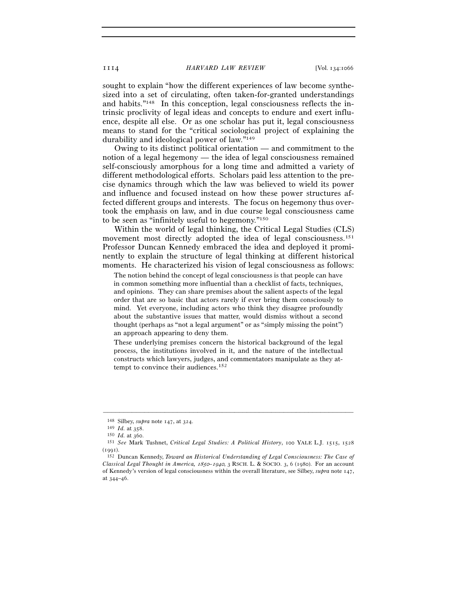sought to explain "how the different experiences of law become synthesized into a set of circulating, often taken-for-granted understandings and habits."148 In this conception, legal consciousness reflects the intrinsic proclivity of legal ideas and concepts to endure and exert influence, despite all else. Or as one scholar has put it, legal consciousness means to stand for the "critical sociological project of explaining the durability and ideological power of law."149

Owing to its distinct political orientation — and commitment to the notion of a legal hegemony — the idea of legal consciousness remained self-consciously amorphous for a long time and admitted a variety of different methodological efforts. Scholars paid less attention to the precise dynamics through which the law was believed to wield its power and influence and focused instead on how these power structures affected different groups and interests. The focus on hegemony thus overtook the emphasis on law, and in due course legal consciousness came to be seen as "infinitely useful to hegemony."150

Within the world of legal thinking, the Critical Legal Studies (CLS) movement most directly adopted the idea of legal consciousness.<sup>151</sup> Professor Duncan Kennedy embraced the idea and deployed it prominently to explain the structure of legal thinking at different historical moments. He characterized his vision of legal consciousness as follows:

The notion behind the concept of legal consciousness is that people can have in common something more influential than a checklist of facts, techniques, and opinions. They can share premises about the salient aspects of the legal order that are so basic that actors rarely if ever bring them consciously to mind. Yet everyone, including actors who think they disagree profoundly about the substantive issues that matter, would dismiss without a second thought (perhaps as "not a legal argument" or as "simply missing the point") an approach appearing to deny them.

These underlying premises concern the historical background of the legal process, the institutions involved in it, and the nature of the intellectual constructs which lawyers, judges, and commentators manipulate as they attempt to convince their audiences.<sup>152</sup>

<sup>148</sup> Silbey, *supra* note 147, at <sup>324</sup>. 149 *Id.* at <sup>358</sup>. 150 *Id.* at <sup>360</sup>. 151 *See* Mark Tushnet, *Critical Legal Studies: A Political History*, 100 YALE L.J. 1515, <sup>1528</sup>  $(1001)$ .

<sup>152</sup> Duncan Kennedy, *Toward an Historical Understanding of Legal Consciousness: The Case of Classical Legal Thought in America,* 1850*–*1940, 3 RSCH. L. & SOCIO. 3, 6 (1980). For an account of Kennedy's version of legal consciousness within the overall literature, see Silbey, *supra* note 147, at 344–46.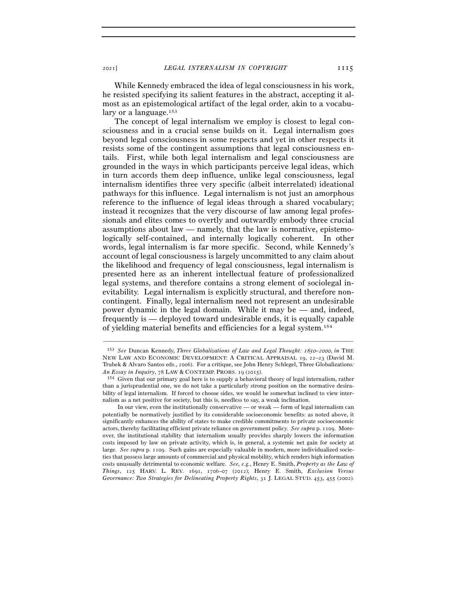While Kennedy embraced the idea of legal consciousness in his work,

he resisted specifying its salient features in the abstract, accepting it almost as an epistemological artifact of the legal order, akin to a vocabulary or a language.<sup>153</sup>

The concept of legal internalism we employ is closest to legal consciousness and in a crucial sense builds on it. Legal internalism goes beyond legal consciousness in some respects and yet in other respects it resists some of the contingent assumptions that legal consciousness entails. First, while both legal internalism and legal consciousness are grounded in the ways in which participants perceive legal ideas, which in turn accords them deep influence, unlike legal consciousness, legal internalism identifies three very specific (albeit interrelated) ideational pathways for this influence. Legal internalism is not just an amorphous reference to the influence of legal ideas through a shared vocabulary; instead it recognizes that the very discourse of law among legal professionals and elites comes to overtly and outwardly embody three crucial assumptions about law — namely, that the law is normative, epistemologically self-contained, and internally logically coherent. In other words, legal internalism is far more specific. Second, while Kennedy's account of legal consciousness is largely uncommitted to any claim about the likelihood and frequency of legal consciousness, legal internalism is presented here as an inherent intellectual feature of professionalized legal systems, and therefore contains a strong element of sociolegal inevitability. Legal internalism is explicitly structural, and therefore noncontingent. Finally, legal internalism need not represent an undesirable power dynamic in the legal domain. While it may be — and, indeed, frequently is — deployed toward undesirable ends, it is equally capable of yielding material benefits and efficiencies for a legal system.154

<sup>153</sup> *See* Duncan Kennedy, *Three Globalizations of Law and Legal Thought:* 1850*–*2000, *in* THE NEW LAW AND ECONOMIC DEVELOPMENT: A CRITICAL APPRAISAL 19, 22–23 (David M. Trubek & Alvaro Santos eds., 2006). For a critique, see John Henry Schlegel, Three Globalizations*: An Essay in Inquiry*, 78 LAW & CONTEMP. PROBS. 19 (2015).

<sup>154</sup> Given that our primary goal here is to supply a behavioral theory of legal internalism, rather than a jurisprudential one, we do not take a particularly strong position on the normative desirability of legal internalism. If forced to choose sides, we would be somewhat inclined to view internalism as a net positive for society, but this is, needless to say, a weak inclination.

In our view, even the institutionally conservative — or weak — form of legal internalism can potentially be normatively justified by its considerable socioeconomic benefits: as noted above, it significantly enhances the ability of states to make credible commitments to private socioeconomic actors, thereby facilitating efficient private reliance on government policy. *See supra* p. 1109. Moreover, the institutional stability that internalism usually provides sharply lowers the information costs imposed by law on private activity, which is, in general, a systemic net gain for society at large. *See supra* p. 1109. Such gains are especially valuable in modern, more individualized societies that possess large amounts of commercial and physical mobility, which renders high information costs unusually detrimental to economic welfare. *See, e.g.*, Henry E. Smith, *Property as the Law of Things*, 125 HARV. L. REV. 1691, 1706–07 (2012); Henry E. Smith, *Exclusion Versus Governance: Two Strategies for Delineating Property Rights*, 31 J. LEGAL STUD. 453, 455 (2002).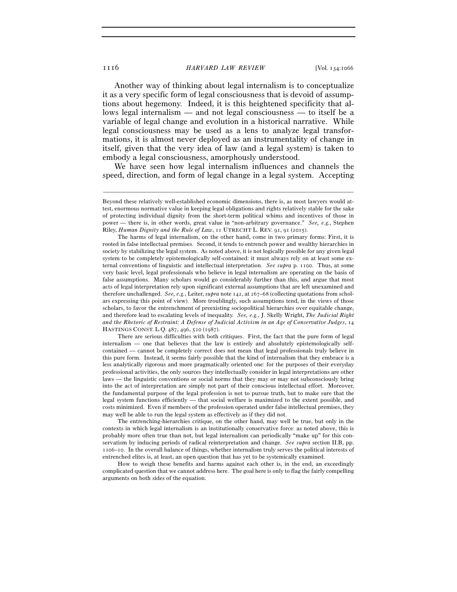Another way of thinking about legal internalism is to conceptualize it as a very specific form of legal consciousness that is devoid of assumptions about hegemony. Indeed, it is this heightened specificity that allows legal internalism — and not legal consciousness — to itself be a variable of legal change and evolution in a historical narrative. While legal consciousness may be used as a lens to analyze legal transformations, it is almost never deployed as an instrumentality of change in itself, given that the very idea of law (and a legal system) is taken to embody a legal consciousness, amorphously understood.

We have seen how legal internalism influences and channels the speed, direction, and form of legal change in a legal system. Accepting

–––––––––––––––––––––––––––––––––––––––––––––––––––––––––––––

 There are serious difficulties with both critiques. First, the fact that the pure form of legal internalism — one that believes that the law is entirely and absolutely epistemologically selfcontained — cannot be completely correct does not mean that legal professionals truly believe in this pure form. Instead, it seems fairly possible that the kind of internalism that they embrace is a less analytically rigorous and more pragmatically oriented one: for the purposes of their everyday professional activities, the only sources they intellectually consider in legal interpretations are other laws — the linguistic conventions or social norms that they may or may not subconsciously bring into the act of interpretation are simply not part of their conscious intellectual effort. Moreover, the fundamental purpose of the legal profession is not to pursue truth, but to make sure that the legal system functions efficiently — that social welfare is maximized to the extent possible, and costs minimized. Even if members of the profession operated under false intellectual premises, they may well be able to run the legal system as effectively as if they did not.

 The entrenching-hierarchies critique, on the other hand, may well be true, but only in the contexts in which legal internalism is an institutionally conservative force: as noted above, this is probably more often true than not, but legal internalism can periodically "make up" for this conservatism by inducing periods of radical reinterpretation and change. *See supra* section II.B, pp. 1106–10. In the overall balance of things, whether internalism truly serves the political interests of entrenched elites is, at least, an open question that has yet to be systemically examined.

 How to weigh these benefits and harms against each other is, in the end, an exceedingly complicated question that we cannot address here. The goal here is only to flag the fairly compelling arguments on both sides of the equation.

Beyond these relatively well-established economic dimensions, there is, as most lawyers would attest, enormous normative value in keeping legal obligations and rights relatively stable for the sake of protecting individual dignity from the short-term political whims and incentives of those in power — there is, in other words, great value in "non-arbitrary governance." *See, e.g.*, Stephen Riley, *Human Dignity and the Rule of Law*, 11 UTRECHT L. REV. 91, 91 (2015).

The harms of legal internalism, on the other hand, come in two primary forms: First, it is rooted in false intellectual premises. Second, it tends to entrench power and wealthy hierarchies in society by stabilizing the legal system. As noted above, it is not logically possible for any given legal system to be completely epistemologically self-contained: it must always rely on at least some external conventions of linguistic and intellectual interpretation. *See supra* p. 1100. Thus, at some very basic level, legal professionals who believe in legal internalism are operating on the basis of false assumptions. Many scholars would go considerably further than this, and argue that most acts of legal interpretation rely upon significant external assumptions that are left unexamined and therefore unchallenged. *See, e.g.*, Leiter, *supra* note 142, at 267–68 (collecting quotations from scholars expressing this point of view). More troublingly, such assumptions tend, in the views of those scholars, to favor the entrenchment of preexisting sociopolitical hierarchies over equitable change, and therefore lead to escalating levels of inequality. *See, e.g.*, J. Skelly Wright, *The Judicial Right and the Rhetoric of Restraint: A Defense of Judicial Activism in an Age of Conservative Judges*, 14 HASTINGS CONST. L.Q. 487, 496, 520 (1987).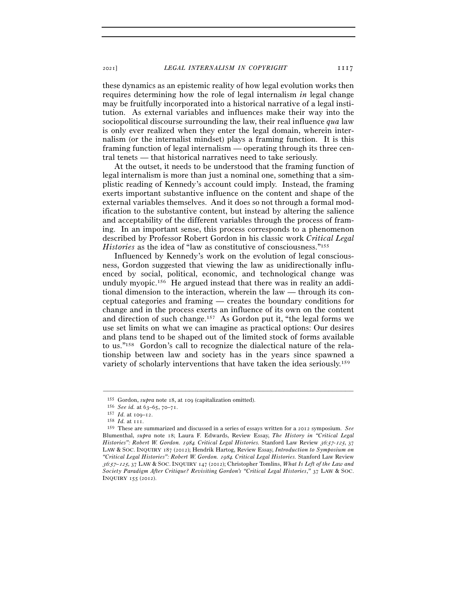these dynamics as an epistemic reality of how legal evolution works then requires determining how the role of legal internalism *in* legal change may be fruitfully incorporated into a historical narrative of a legal institution. As external variables and influences make their way into the sociopolitical discourse surrounding the law, their real influence *qua* law is only ever realized when they enter the legal domain, wherein internalism (or the internalist mindset) plays a framing function. It is this framing function of legal internalism — operating through its three central tenets — that historical narratives need to take seriously.

At the outset, it needs to be understood that the framing function of legal internalism is more than just a nominal one, something that a simplistic reading of Kennedy's account could imply. Instead, the framing exerts important substantive influence on the content and shape of the external variables themselves. And it does so not through a formal modification to the substantive content, but instead by altering the salience and acceptability of the different variables through the process of framing. In an important sense, this process corresponds to a phenomenon described by Professor Robert Gordon in his classic work *Critical Legal Histories* as the idea of "law as constitutive of consciousness."155

Influenced by Kennedy's work on the evolution of legal consciousness, Gordon suggested that viewing the law as unidirectionally influenced by social, political, economic, and technological change was unduly myopic.156 He argued instead that there was in reality an additional dimension to the interaction, wherein the law — through its conceptual categories and framing — creates the boundary conditions for change and in the process exerts an influence of its own on the content and direction of such change.157 As Gordon put it, "the legal forms we use set limits on what we can imagine as practical options: Our desires and plans tend to be shaped out of the limited stock of forms available to us."158 Gordon's call to recognize the dialectical nature of the relationship between law and society has in the years since spawned a variety of scholarly interventions that have taken the idea seriously.159

<sup>&</sup>lt;sup>155</sup> Gordon, *supra* note 18, at 109 (capitalization omitted).<br><sup>156</sup> See id. at 63–65, 70–71.

<sup>156</sup> *See id.* at 63–65, 70–<sup>71</sup>. 157 *Id.* at 109–<sup>12</sup>. 158 *Id.* at <sup>111</sup>. 159 These are summarized and discussed in a series of essays written for a 2012 symposium. *See*  Blumenthal, *supra* note 18; Laura F. Edwards, Review Essay, *The History in "Critical Legal Histories": Robert W. Gordon.* 1984*. Critical Legal Histories.* Stanford Law Review 36*:*57*-*125, 37 LAW & SOC. INQUIRY 187 (2012); Hendrik Hartog, Review Essay, *Introduction to Symposium on "Critical Legal Histories": Robert W. Gordon.* 1984*. Critical Legal Histories.* Stanford Law Review <sup>36</sup>*:*57*–*125, 37 LAW & SOC. INQUIRY 147 (2012); Christopher Tomlins, *What Is Left of the Law and Society Paradigm After Critique? Revisiting Gordon's "Critical Legal Histories*,*"* 37 LAW & SOC. INQUIRY 155 (2012).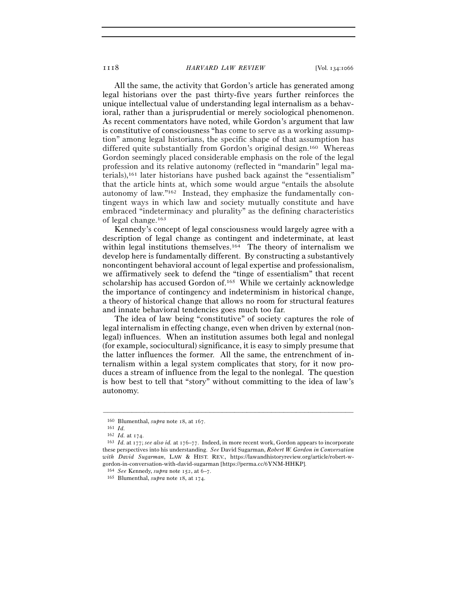All the same, the activity that Gordon's article has generated among legal historians over the past thirty-five years further reinforces the unique intellectual value of understanding legal internalism as a behavioral, rather than a jurisprudential or merely sociological phenomenon. As recent commentators have noted, while Gordon's argument that law is constitutive of consciousness "has come to serve as a working assumption" among legal historians, the specific shape of that assumption has differed quite substantially from Gordon's original design.160 Whereas Gordon seemingly placed considerable emphasis on the role of the legal profession and its relative autonomy (reflected in "mandarin" legal materials),161 later historians have pushed back against the "essentialism" that the article hints at, which some would argue "entails the absolute autonomy of law."162 Instead, they emphasize the fundamentally contingent ways in which law and society mutually constitute and have embraced "indeterminacy and plurality" as the defining characteristics of legal change.163

Kennedy's concept of legal consciousness would largely agree with a description of legal change as contingent and indeterminate, at least within legal institutions themselves.<sup>164</sup> The theory of internalism we develop here is fundamentally different. By constructing a substantively noncontingent behavioral account of legal expertise and professionalism, we affirmatively seek to defend the "tinge of essentialism" that recent scholarship has accused Gordon of.165 While we certainly acknowledge the importance of contingency and indeterminism in historical change, a theory of historical change that allows no room for structural features and innate behavioral tendencies goes much too far.

The idea of law being "constitutive" of society captures the role of legal internalism in effecting change, even when driven by external (nonlegal) influences. When an institution assumes both legal and nonlegal (for example, sociocultural) significance, it is easy to simply presume that the latter influences the former. All the same, the entrenchment of internalism within a legal system complicates that story, for it now produces a stream of influence from the legal to the nonlegal. The question is how best to tell that "story" without committing to the idea of law's autonomy.

<sup>160</sup> Blumenthal, *supra* note 18, at 167.<br>161 *Id.* 162 *Id.* at 174.

<sup>162</sup> *Id.* at <sup>174</sup>. 163 *Id.* at 177; *see also id.* at 176–77. Indeed, in more recent work, Gordon appears to incorporate these perspectives into his understanding. *See* David Sugarman, *Robert W. Gordon in Conversation with David Sugarman*, LAW & HIST. REV., https://lawandhistoryreview.org/article/robert-wgordon-in-conversation-with-david-sugarman [https://perma.cc/6YNM-HHKP].

<sup>164</sup> *See* Kennedy, *supra* note 152, at 6–<sup>7</sup>. 165 Blumenthal, *supra* note 18, at 174.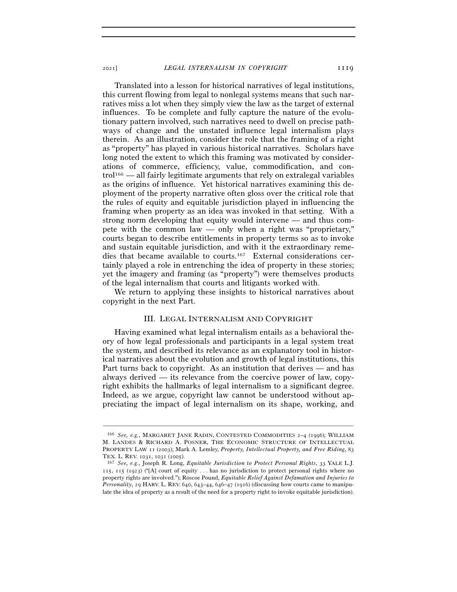Translated into a lesson for historical narratives of legal institutions, this current flowing from legal to nonlegal systems means that such narratives miss a lot when they simply view the law as the target of external influences. To be complete and fully capture the nature of the evolutionary pattern involved, such narratives need to dwell on precise pathways of change and the unstated influence legal internalism plays therein. As an illustration, consider the role that the framing of a right as "property" has played in various historical narratives. Scholars have long noted the extent to which this framing was motivated by considerations of commerce, efficiency, value, commodification, and control166 — all fairly legitimate arguments that rely on extralegal variables as the origins of influence. Yet historical narratives examining this deployment of the property narrative often gloss over the critical role that the rules of equity and equitable jurisdiction played in influencing the framing when property as an idea was invoked in that setting. With a strong norm developing that equity would intervene — and thus compete with the common law — only when a right was "proprietary," courts began to describe entitlements in property terms so as to invoke and sustain equitable jurisdiction, and with it the extraordinary remedies that became available to courts.167 External considerations certainly played a role in entrenching the idea of property in these stories; yet the imagery and framing (as "property") were themselves products of the legal internalism that courts and litigants worked with.

We return to applying these insights to historical narratives about copyright in the next Part.

## III. LEGAL INTERNALISM AND COPYRIGHT

Having examined what legal internalism entails as a behavioral theory of how legal professionals and participants in a legal system treat the system, and described its relevance as an explanatory tool in historical narratives about the evolution and growth of legal institutions, this Part turns back to copyright. As an institution that derives — and has always derived — its relevance from the coercive power of law, copyright exhibits the hallmarks of legal internalism to a significant degree. Indeed, as we argue, copyright law cannot be understood without appreciating the impact of legal internalism on its shape, working, and

<sup>166</sup> *See, e.g.*, MARGARET JANE RADIN, CONTESTED COMMODITIES 2–4 (1996); WILLIAM M. LANDES & RICHARD A. POSNER, THE ECONOMIC STRUCTURE OF INTELLECTUAL PROPERTY LAW 11 (2003); Mark A. Lemley, *Property, Intellectual Property, and Free Riding*, 83 TEX. L. REV. 1031, 1031 (<sup>2005</sup>). 167 *See, e.g.*, Joseph R. Long, *Equitable Jurisdiction to Protect Personal Rights*, <sup>33</sup> YALE L.J.

<sup>115</sup>, 115 (1923) ("[A] court of equity . . . has no jurisdiction to protect personal rights where no property rights are involved."); Roscoe Pound, *Equitable Relief Against Defamation and Injuries to Personality*, 29 HARV. L. REV. 640, 643–44, 646–47 (1916) (discussing how courts came to manipulate the idea of property as a result of the need for a property right to invoke equitable jurisdiction).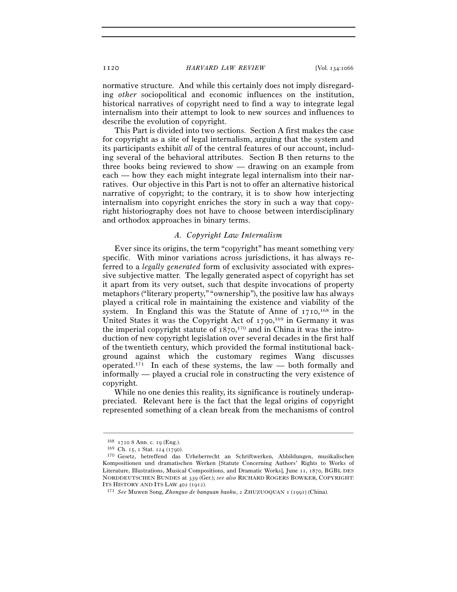normative structure. And while this certainly does not imply disregarding *other* sociopolitical and economic influences on the institution, historical narratives of copyright need to find a way to integrate legal internalism into their attempt to look to new sources and influences to describe the evolution of copyright.

This Part is divided into two sections. Section A first makes the case for copyright as a site of legal internalism, arguing that the system and its participants exhibit *all* of the central features of our account, including several of the behavioral attributes. Section B then returns to the three books being reviewed to show — drawing on an example from each — how they each might integrate legal internalism into their narratives. Our objective in this Part is not to offer an alternative historical narrative of copyright; to the contrary, it is to show how interjecting internalism into copyright enriches the story in such a way that copyright historiography does not have to choose between interdisciplinary and orthodox approaches in binary terms.

## *A. Copyright Law Internalism*

Ever since its origins, the term "copyright" has meant something very specific. With minor variations across jurisdictions, it has always referred to a *legally generated* form of exclusivity associated with expressive subjective matter. The legally generated aspect of copyright has set it apart from its very outset, such that despite invocations of property metaphors ("literary property," "ownership"), the positive law has always played a critical role in maintaining the existence and viability of the system. In England this was the Statute of Anne of  $1710$ ,  $168$  in the United States it was the Copyright Act of 1790,<sup>169</sup> in Germany it was the imperial copyright statute of  $1870$ ,<sup>170</sup> and in China it was the introduction of new copyright legislation over several decades in the first half of the twentieth century, which provided the formal institutional background against which the customary regimes Wang discusses operated.171 In each of these systems, the law — both formally and informally — played a crucial role in constructing the very existence of copyright.

While no one denies this reality, its significance is routinely underappreciated. Relevant here is the fact that the legal origins of copyright represented something of a clean break from the mechanisms of control

<sup>&</sup>lt;sup>168</sup> 1710 8 Ann. c. 19 (Eng.).<br><sup>169</sup> Ch. 15, 1 Stat. 124 (1790).<br><sup>170</sup> Gesetz, betreffend das Urheberrecht an Schriftwerken, Abbildungen, musikalischen Kompositionen und dramatischen Werken [Statute Concerning Authors' Rights to Works of Literature, Illustrations, Musical Compositions, and Dramatic Works], June 11, 1870, BGBL DES NORDDEUTSCHEN BUNDES at 339 (Ger.); *see also* RICHARD ROGERS BOWKER, COPYRIGHT: ITS HISTORY AND ITS LAW <sup>402</sup> (<sup>1912</sup>). 171 *See* Muwen Song, *Zhonguo de banquan baohu*, 2 ZHUZUOQUAN <sup>1</sup> (1991) (China).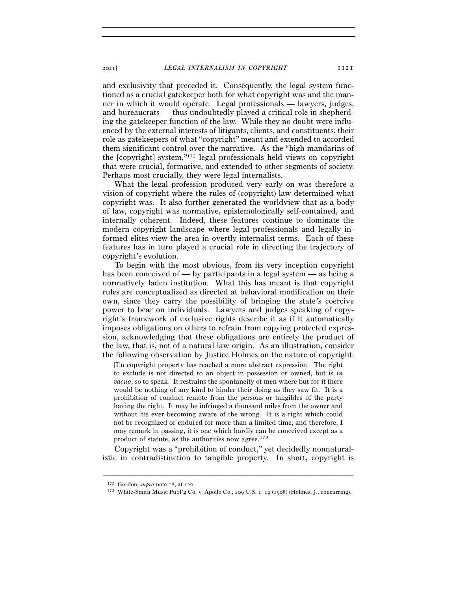and exclusivity that preceded it. Consequently, the legal system functioned as a crucial gatekeeper both for what copyright was and the manner in which it would operate. Legal professionals — lawyers, judges, and bureaucrats — thus undoubtedly played a critical role in shepherding the gatekeeper function of the law. While they no doubt were influenced by the external interests of litigants, clients, and constituents, their role as gatekeepers of what "copyright" meant and extended to accorded them significant control over the narrative. As the "high mandarins of the [copyright] system,"172 legal professionals held views on copyright that were crucial, formative, and extended to other segments of society. Perhaps most crucially, they were legal internalists.

What the legal profession produced very early on was therefore a vision of copyright where the rules of (copyright) law determined what copyright was. It also further generated the worldview that as a body of law, copyright was normative, epistemologically self-contained, and internally coherent. Indeed, these features continue to dominate the modern copyright landscape where legal professionals and legally informed elites view the area in overtly internalist terms. Each of these features has in turn played a crucial role in directing the trajectory of copyright's evolution.

To begin with the most obvious, from its very inception copyright has been conceived of — by participants in a legal system — as being a normatively laden institution. What this has meant is that copyright rules are conceptualized as directed at behavioral modification on their own, since they carry the possibility of bringing the state's coercive power to bear on individuals. Lawyers and judges speaking of copyright's framework of exclusive rights describe it as if it automatically imposes obligations on others to refrain from copying protected expression, acknowledging that these obligations are entirely the product of the law, that is, not of a natural law origin. As an illustration, consider the following observation by Justice Holmes on the nature of copyright:

[I]n copyright property has reached a more abstract expression. The right to exclude is not directed to an object in possession or owned, but is *in vacuo*, so to speak. It restrains the spontaneity of men where but for it there would be nothing of any kind to hinder their doing as they saw fit. It is a prohibition of conduct remote from the persons or tangibles of the party having the right. It may be infringed a thousand miles from the owner and without his ever becoming aware of the wrong. It is a right which could not be recognized or endured for more than a limited time, and therefore, I may remark in passing, it is one which hardly can be conceived except as a product of statute, as the authorities now agree.173

Copyright was a "prohibition of conduct," yet decidedly nonnaturalistic in contradistinction to tangible property. In short, copyright is

<sup>172</sup> Gordon, *supra* note 18, at <sup>120</sup>. 173 White-Smith Music Publ'g Co. v. Apollo Co., 209 U.S. 1, 19 (1908) (Holmes, J., concurring).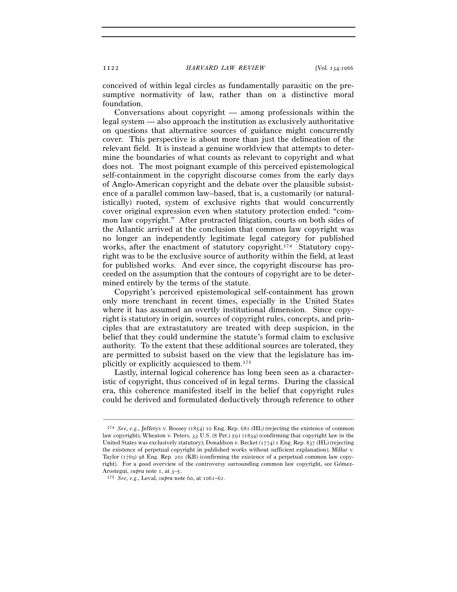conceived of within legal circles as fundamentally parasitic on the presumptive normativity of law, rather than on a distinctive moral foundation.

Conversations about copyright — among professionals within the legal system — also approach the institution as exclusively authoritative on questions that alternative sources of guidance might concurrently cover. This perspective is about more than just the delineation of the relevant field. It is instead a genuine worldview that attempts to determine the boundaries of what counts as relevant to copyright and what does not. The most poignant example of this perceived epistemological self-containment in the copyright discourse comes from the early days of Anglo-American copyright and the debate over the plausible subsistence of a parallel common law–based, that is, a customarily (or naturalistically) rooted, system of exclusive rights that would concurrently cover original expression even when statutory protection ended: "common law copyright." After protracted litigation, courts on both sides of the Atlantic arrived at the conclusion that common law copyright was no longer an independently legitimate legal category for published works, after the enactment of statutory copyright.<sup>174</sup> Statutory copyright was to be the exclusive source of authority within the field, at least for published works. And ever since, the copyright discourse has proceeded on the assumption that the contours of copyright are to be determined entirely by the terms of the statute.

Copyright's perceived epistemological self-containment has grown only more trenchant in recent times, especially in the United States where it has assumed an overtly institutional dimension. Since copyright is statutory in origin, sources of copyright rules, concepts, and principles that are extrastatutory are treated with deep suspicion, in the belief that they could undermine the statute's formal claim to exclusive authority. To the extent that these additional sources are tolerated, they are permitted to subsist based on the view that the legislature has implicitly or explicitly acquiesced to them.175

Lastly, internal logical coherence has long been seen as a characteristic of copyright, thus conceived of in legal terms. During the classical era, this coherence manifested itself in the belief that copyright rules could be derived and formulated deductively through reference to other

<sup>174</sup> *See, e.g.*, Jefferys v. Boosey (1854) 10 Eng. Rep. 681 (HL) (rejecting the existence of common law copyright); Wheaton v. Peters, 33 U.S. (8 Pet.) 591 (1834) (confirming that copyright law in the United States was exclusively statutory); Donaldson v. Becket (1774) 1 Eng. Rep. 837 (HL) (rejecting the existence of perpetual copyright in published works without sufficient explanation); Millar v. Taylor (1769) 98 Eng. Rep. 201 (KB) (confirming the existence of a perpetual common law copyright). For a good overview of the controversy surrounding common law copyright, see Gómez-Arostegui, *supra* note 1, at 3-5.

<sup>175</sup> *See, e.g.*, Leval, *supra* note 60, at 1061–62.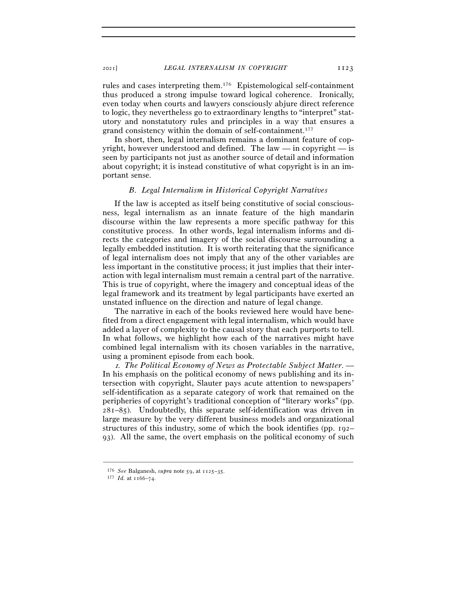## <sup>2021</sup>] *LEGAL INTERNALISM IN COPYRIGHT* 1123

rules and cases interpreting them.176 Epistemological self-containment thus produced a strong impulse toward logical coherence. Ironically, even today when courts and lawyers consciously abjure direct reference to logic, they nevertheless go to extraordinary lengths to "interpret" statutory and nonstatutory rules and principles in a way that ensures a grand consistency within the domain of self-containment.177

In short, then, legal internalism remains a dominant feature of copyright, however understood and defined. The law — in copyright — is seen by participants not just as another source of detail and information about copyright; it is instead constitutive of what copyright is in an important sense.

## *B. Legal Internalism in Historical Copyright Narratives*

If the law is accepted as itself being constitutive of social consciousness, legal internalism as an innate feature of the high mandarin discourse within the law represents a more specific pathway for this constitutive process. In other words, legal internalism informs and directs the categories and imagery of the social discourse surrounding a legally embedded institution. It is worth reiterating that the significance of legal internalism does not imply that any of the other variables are less important in the constitutive process; it just implies that their interaction with legal internalism must remain a central part of the narrative. This is true of copyright, where the imagery and conceptual ideas of the legal framework and its treatment by legal participants have exerted an unstated influence on the direction and nature of legal change.

The narrative in each of the books reviewed here would have benefited from a direct engagement with legal internalism, which would have added a layer of complexity to the causal story that each purports to tell. In what follows, we highlight how each of the narratives might have combined legal internalism with its chosen variables in the narrative, using a prominent episode from each book.

<sup>1</sup>*. The Political Economy of News as Protectable Subject Matter*. — In his emphasis on the political economy of news publishing and its intersection with copyright, Slauter pays acute attention to newspapers' self-identification as a separate category of work that remained on the peripheries of copyright's traditional conception of "literary works" (pp. 281–85). Undoubtedly, this separate self-identification was driven in large measure by the very different business models and organizational structures of this industry, some of which the book identifies (pp. 192– 93). All the same, the overt emphasis on the political economy of such

<sup>176</sup> *See* Balganesh, *supra* note 59, at 1125–<sup>35</sup>. 177 *Id.* at 1166–74.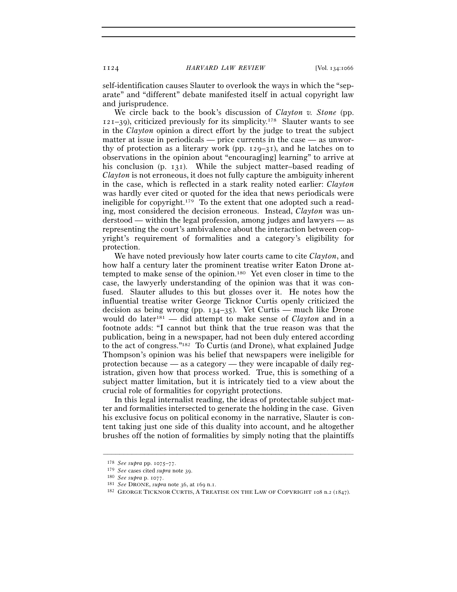self-identification causes Slauter to overlook the ways in which the "separate" and "different" debate manifested itself in actual copyright law and jurisprudence.

We circle back to the book's discussion of *Clayton v. Stone* (pp.  $121-39$ , criticized previously for its simplicity.<sup>178</sup> Slauter wants to see in the *Clayton* opinion a direct effort by the judge to treat the subject matter at issue in periodicals — price currents in the case — as unworthy of protection as a literary work (pp. 129–31), and he latches on to observations in the opinion about "encourag[ing] learning" to arrive at his conclusion (p. 131). While the subject matter–based reading of *Clayton* is not erroneous, it does not fully capture the ambiguity inherent in the case, which is reflected in a stark reality noted earlier: *Clayton* was hardly ever cited or quoted for the idea that news periodicals were ineligible for copyright.179 To the extent that one adopted such a reading, most considered the decision erroneous. Instead, *Clayton* was understood — within the legal profession, among judges and lawyers — as representing the court's ambivalence about the interaction between copyright's requirement of formalities and a category's eligibility for protection.

We have noted previously how later courts came to cite *Clayton*, and how half a century later the prominent treatise writer Eaton Drone attempted to make sense of the opinion.180 Yet even closer in time to the case, the lawyerly understanding of the opinion was that it was confused. Slauter alludes to this but glosses over it. He notes how the influential treatise writer George Ticknor Curtis openly criticized the decision as being wrong (pp.  $134-35$ ). Yet Curtis — much like Drone would do later181 — did attempt to make sense of *Clayton* and in a footnote adds: "I cannot but think that the true reason was that the publication, being in a newspaper, had not been duly entered according to the act of congress."182 To Curtis (and Drone), what explained Judge Thompson's opinion was his belief that newspapers were ineligible for protection because — as a category — they were incapable of daily registration, given how that process worked. True, this is something of a subject matter limitation, but it is intricately tied to a view about the crucial role of formalities for copyright protections.

In this legal internalist reading, the ideas of protectable subject matter and formalities intersected to generate the holding in the case. Given his exclusive focus on political economy in the narrative, Slauter is content taking just one side of this duality into account, and he altogether brushes off the notion of formalities by simply noting that the plaintiffs

<sup>178</sup> *See supra* pp. 1075–77.

<sup>&</sup>lt;sup>180</sup> *See supra* p. 1077.<br><sup>181</sup> *See* DRONE, *supra* note 36, at 169 n.1.<br><sup>182</sup> GEORGE TICKNOR CURTIS, A TREATISE ON THE LAW OF COPYRIGHT 108 n.2 (1847).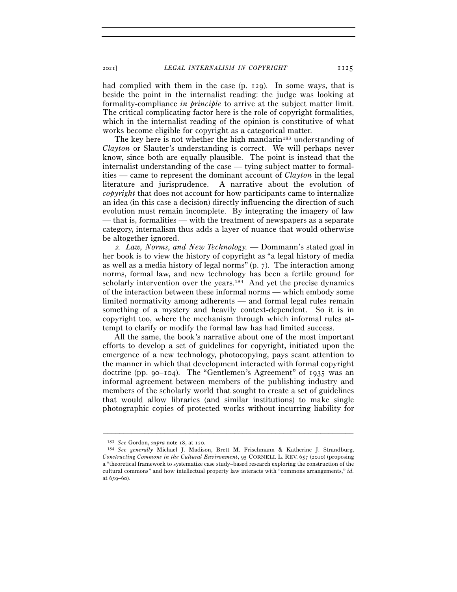<sup>2021</sup>] *LEGAL INTERNALISM IN COPYRIGHT* 1125

had complied with them in the case (p. 129). In some ways, that is beside the point in the internalist reading: the judge was looking at formality-compliance *in principle* to arrive at the subject matter limit. The critical complicating factor here is the role of copyright formalities, which in the internalist reading of the opinion is constitutive of what works become eligible for copyright as a categorical matter.

The key here is not whether the high mandarin<sup>183</sup> understanding of *Clayton* or Slauter's understanding is correct. We will perhaps never know, since both are equally plausible. The point is instead that the internalist understanding of the case — tying subject matter to formalities — came to represent the dominant account of *Clayton* in the legal literature and jurisprudence. A narrative about the evolution of *copyright* that does not account for how participants came to internalize an idea (in this case a decision) directly influencing the direction of such evolution must remain incomplete. By integrating the imagery of law — that is, formalities — with the treatment of newspapers as a separate category, internalism thus adds a layer of nuance that would otherwise be altogether ignored.

<sup>2</sup>*. Law, Norms, and New Technology.* — Dommann's stated goal in her book is to view the history of copyright as "a legal history of media as well as a media history of legal norms" (p. 7). The interaction among norms, formal law, and new technology has been a fertile ground for scholarly intervention over the years.<sup>184</sup> And yet the precise dynamics of the interaction between these informal norms — which embody some limited normativity among adherents — and formal legal rules remain something of a mystery and heavily context-dependent. So it is in copyright too, where the mechanism through which informal rules attempt to clarify or modify the formal law has had limited success.

All the same, the book's narrative about one of the most important efforts to develop a set of guidelines for copyright, initiated upon the emergence of a new technology, photocopying, pays scant attention to the manner in which that development interacted with formal copyright doctrine (pp. 90–104). The "Gentlemen's Agreement" of 1935 was an informal agreement between members of the publishing industry and members of the scholarly world that sought to create a set of guidelines that would allow libraries (and similar institutions) to make single photographic copies of protected works without incurring liability for

<sup>183</sup> *See* Gordon, *supra* note 18, at <sup>120</sup>. 184 *See generally* Michael J. Madison, Brett M. Frischmann & Katherine J. Strandburg, *Constructing Commons in the Cultural Environment*, 95 CORNELL L. REV. 657 (2010) (proposing a "theoretical framework to systematize case study–based research exploring the construction of the cultural commons" and how intellectual property law interacts with "commons arrangements," *id.* at 659–60).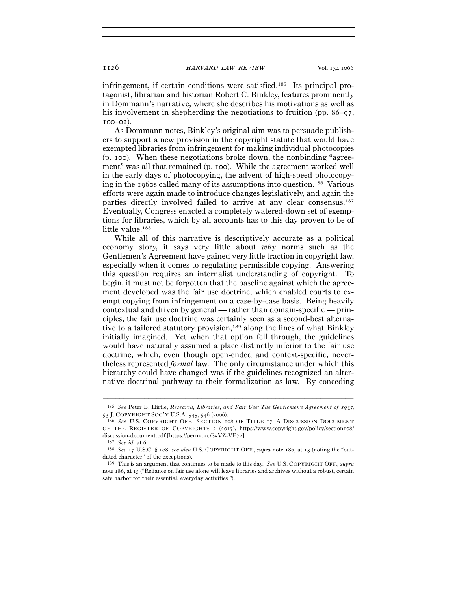infringement, if certain conditions were satisfied.185 Its principal protagonist, librarian and historian Robert C. Binkley, features prominently in Dommann's narrative, where she describes his motivations as well as his involvement in shepherding the negotiations to fruition (pp.  $86-\frac{97}{10}$ ,  $100 - 02$ ).

As Dommann notes, Binkley's original aim was to persuade publishers to support a new provision in the copyright statute that would have exempted libraries from infringement for making individual photocopies (p. 100). When these negotiations broke down, the nonbinding "agreement" was all that remained (p. 100). While the agreement worked well in the early days of photocopying, the advent of high-speed photocopying in the 1960s called many of its assumptions into question.186 Various efforts were again made to introduce changes legislatively, and again the parties directly involved failed to arrive at any clear consensus.187 Eventually, Congress enacted a completely watered-down set of exemptions for libraries, which by all accounts has to this day proven to be of little value.<sup>188</sup>

While all of this narrative is descriptively accurate as a political economy story, it says very little about *why* norms such as the Gentlemen's Agreement have gained very little traction in copyright law, especially when it comes to regulating permissible copying. Answering this question requires an internalist understanding of copyright. To begin, it must not be forgotten that the baseline against which the agreement developed was the fair use doctrine, which enabled courts to exempt copying from infringement on a case-by-case basis. Being heavily contextual and driven by general — rather than domain-specific — principles, the fair use doctrine was certainly seen as a second-best alternative to a tailored statutory provision,<sup>189</sup> along the lines of what Binkley initially imagined. Yet when that option fell through, the guidelines would have naturally assumed a place distinctly inferior to the fair use doctrine, which, even though open-ended and context-specific, nevertheless represented *formal* law. The only circumstance under which this hierarchy could have changed was if the guidelines recognized an alternative doctrinal pathway to their formalization as law. By conceding

<sup>–––––––––––––––––––––––––––––––––––––––––––––––––––––––––––––</sup> <sup>185</sup> *See* Peter B. Hirtle, *Research, Libraries, and Fair Use: The Gentlemen's Agreement of 1935,* 53 J. COPYRIGHT SOC'Y U.S.A. 545, 546 (2006).

<sup>&</sup>lt;sup>186</sup> See U.S. COPYRIGHT OFF., SECTION 108 OF TITLE 17: A DISCUSSION DOCUMENT OF THE REGISTER OF COPYRIGHTS 5 (2017), https://www.copyright.gov/policy/section108/ discussion-document.pdf [https://perma.cc/S5VZ-VF72].<br><sup>187</sup> *See id.* at 6.<br><sup>188</sup> *See* 17 U.S.C. § 108; *see also* U.S. COPYRIGHT OFF., *supra* note 186, at 13 (noting the "out-

dated character" of the exceptions).

<sup>189</sup> This is an argument that continues to be made to this day. *See* U.S. COPYRIGHT OFF., *supra* note 186, at 15 ("Reliance on fair use alone will leave libraries and archives without a robust, certain safe harbor for their essential, everyday activities.").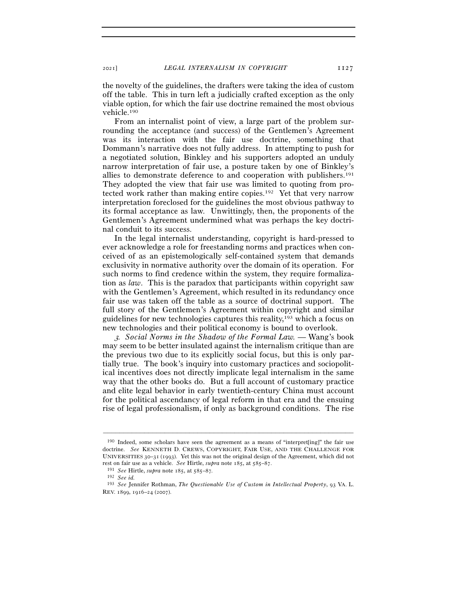the novelty of the guidelines, the drafters were taking the idea of custom off the table. This in turn left a judicially crafted exception as the only viable option, for which the fair use doctrine remained the most obvious vehicle.190

From an internalist point of view, a large part of the problem surrounding the acceptance (and success) of the Gentlemen's Agreement was its interaction with the fair use doctrine, something that Dommann's narrative does not fully address. In attempting to push for a negotiated solution, Binkley and his supporters adopted an unduly narrow interpretation of fair use, a posture taken by one of Binkley's allies to demonstrate deference to and cooperation with publishers.191 They adopted the view that fair use was limited to quoting from protected work rather than making entire copies.192 Yet that very narrow interpretation foreclosed for the guidelines the most obvious pathway to its formal acceptance as law. Unwittingly, then, the proponents of the Gentlemen's Agreement undermined what was perhaps the key doctrinal conduit to its success.

In the legal internalist understanding, copyright is hard-pressed to ever acknowledge a role for freestanding norms and practices when conceived of as an epistemologically self-contained system that demands exclusivity in normative authority over the domain of its operation. For such norms to find credence within the system, they require formalization as *law*. This is the paradox that participants within copyright saw with the Gentlemen's Agreement, which resulted in its redundancy once fair use was taken off the table as a source of doctrinal support. The full story of the Gentlemen's Agreement within copyright and similar guidelines for new technologies captures this reality,193 which a focus on new technologies and their political economy is bound to overlook.

<sup>3</sup>*. Social Norms in the Shadow of the Formal Law.* — Wang's book may seem to be better insulated against the internalism critique than are the previous two due to its explicitly social focus, but this is only partially true. The book's inquiry into customary practices and sociopolitical incentives does not directly implicate legal internalism in the same way that the other books do. But a full account of customary practice and elite legal behavior in early twentieth-century China must account for the political ascendancy of legal reform in that era and the ensuing rise of legal professionalism, if only as background conditions. The rise

<sup>190</sup> Indeed, some scholars have seen the agreement as a means of "interpret[ing]" the fair use doctrine. *See* KENNETH D. CREWS, COPYRIGHT, FAIR USE, AND THE CHALLENGE FOR UNIVERSITIES 30–31 (1993). Yet this was not the original design of the Agreement, which did not rest on fair use as a vehicle. *See* Hirtle, *supra* note 185, at 585–<sup>87</sup>. 191 *See* Hirtle, *supra* note 185, at 585–87*.* 

<sup>192</sup> *See id.*

<sup>193</sup> *See* Jennifer Rothman, *The Questionable Use of Custom in Intellectual Property*, 93 VA. L. REV. 1899, 1916–24 (2007).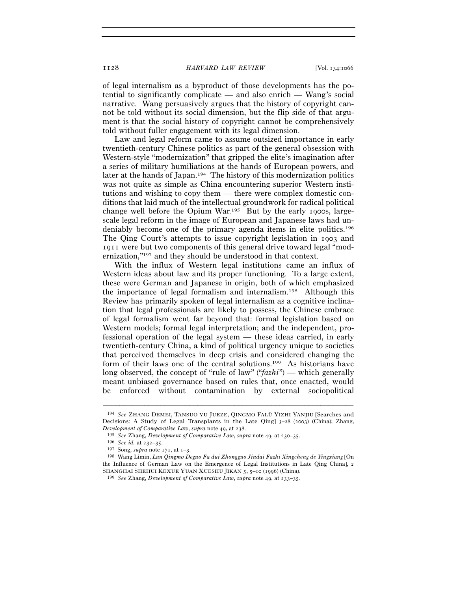of legal internalism as a byproduct of those developments has the potential to significantly complicate — and also enrich — Wang's social narrative. Wang persuasively argues that the history of copyright cannot be told without its social dimension, but the flip side of that argument is that the social history of copyright cannot be comprehensively told without fuller engagement with its legal dimension.

Law and legal reform came to assume outsized importance in early twentieth-century Chinese politics as part of the general obsession with Western-style "modernization" that gripped the elite's imagination after a series of military humiliations at the hands of European powers, and later at the hands of Japan.194 The history of this modernization politics was not quite as simple as China encountering superior Western institutions and wishing to copy them — there were complex domestic conditions that laid much of the intellectual groundwork for radical political change well before the Opium War.195 But by the early 1900s, largescale legal reform in the image of European and Japanese laws had undeniably become one of the primary agenda items in elite politics.196 The Qing Court's attempts to issue copyright legislation in 1903 and 1911 were but two components of this general drive toward legal "modernization,"197 and they should be understood in that context.

With the influx of Western legal institutions came an influx of Western ideas about law and its proper functioning. To a large extent, these were German and Japanese in origin, both of which emphasized the importance of legal formalism and internalism.198 Although this Review has primarily spoken of legal internalism as a cognitive inclination that legal professionals are likely to possess, the Chinese embrace of legal formalism went far beyond that: formal legislation based on Western models; formal legal interpretation; and the independent, professional operation of the legal system — these ideas carried, in early twentieth-century China, a kind of political urgency unique to societies that perceived themselves in deep crisis and considered changing the form of their laws one of the central solutions.199 As historians have long observed, the concept of "rule of law" ("*fazhi*") — which generally meant unbiased governance based on rules that, once enacted, would be enforced without contamination by external sociopolitical

<sup>194</sup> *See* ZHANG DEMEI, TANSUO YU JUEZE, QINGMO FALÜ YIZHI YANJIU [Searches and Decisions: A Study of Legal Transplants in the Late Qing] 3–28 (2003) (China); Zhang,

*Development of Comparative Law*, *supra* note 49, at <sup>238</sup>. 195 *See* Zhang, *Development of Comparative Law*, *supra* note 49, at 230–<sup>35</sup>. 196 *See id.* at 232–35.

<sup>197</sup> Song, *supra* note 171, at 1–<sup>3</sup>. 198 Wang Limin, *Lun Qingmo Deguo Fa dui Zhongguo Jindai Fazhi Xingcheng de Yingxiang* [On the Influence of German Law on the Emergence of Legal Institutions in Late Qing China], 2 SHANGHAI SHEHUI KEXUE YUAN XUESHU JIKAN <sup>5</sup>, 5–10 (1996) (China). 199 *See* Zhang, *Development of Comparative Law*, *supra* note 49, at 233–35.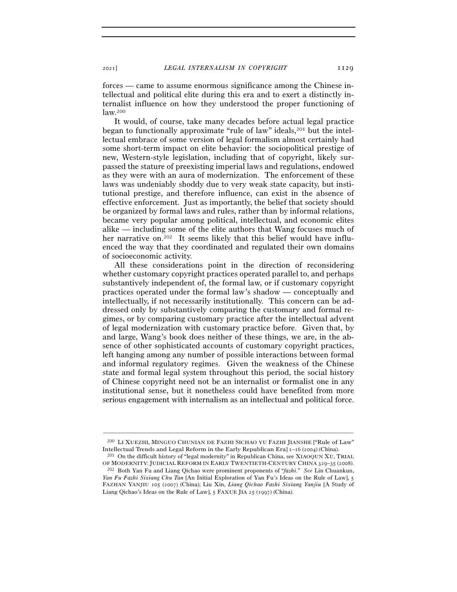forces — came to assume enormous significance among the Chinese intellectual and political elite during this era and to exert a distinctly internalist influence on how they understood the proper functioning of law.200

It would, of course, take many decades before actual legal practice began to functionally approximate "rule of law" ideals,201 but the intellectual embrace of some version of legal formalism almost certainly had some short-term impact on elite behavior: the sociopolitical prestige of new, Western-style legislation, including that of copyright, likely surpassed the stature of preexisting imperial laws and regulations, endowed as they were with an aura of modernization. The enforcement of these laws was undeniably shoddy due to very weak state capacity, but institutional prestige, and therefore influence, can exist in the absence of effective enforcement. Just as importantly, the belief that society should be organized by formal laws and rules, rather than by informal relations, became very popular among political, intellectual, and economic elites alike — including some of the elite authors that Wang focuses much of her narrative on.202 It seems likely that this belief would have influenced the way that they coordinated and regulated their own domains of socioeconomic activity.

All these considerations point in the direction of reconsidering whether customary copyright practices operated parallel to, and perhaps substantively independent of, the formal law, or if customary copyright practices operated under the formal law's shadow — conceptually and intellectually, if not necessarily institutionally. This concern can be addressed only by substantively comparing the customary and formal regimes, or by comparing customary practice after the intellectual advent of legal modernization with customary practice before. Given that, by and large, Wang's book does neither of these things, we are, in the absence of other sophisticated accounts of customary copyright practices, left hanging among any number of possible interactions between formal and informal regulatory regimes. Given the weakness of the Chinese state and formal legal system throughout this period, the social history of Chinese copyright need not be an internalist or formalist one in any institutional sense, but it nonetheless could have benefited from more serious engagement with internalism as an intellectual and political force.

<sup>200</sup> LI XUEZHI, MINGUO CHUNIAN DE FAZHI SICHAO YU FAZHI JIANSHE ["Rule of Law" Intellectual Trends and Legal Reform in the Early Republican Era] <sup>1</sup>–<sup>16</sup> (2004) (China). 201 On the difficult history of "legal modernity" in Republican China, see XIAOQUN XU, TRIAL

OF MODERNITY: JUDICIAL REFORM IN EARLY TWENTIETH-CENTURY CHINA <sup>329</sup>–35 (<sup>2008</sup>). 202 Both Yan Fu and Liang Qichao were prominent proponents of "*fazhi*." *See* Lin Chuankun,

*Yan Fu Fazhi Sixiang Chu Tan* [An Initial Exploration of Yan Fu's Ideas on the Rule of Law], 5 FAZHAN YANJIU 105 (2007) (China); Liu Xin, *Liang Qichao Fazhi Sixiang Yanjiu* [A Study of Liang Qichao's Ideas on the Rule of Law], 5 FAXUE JIA 25 (1997) (China).